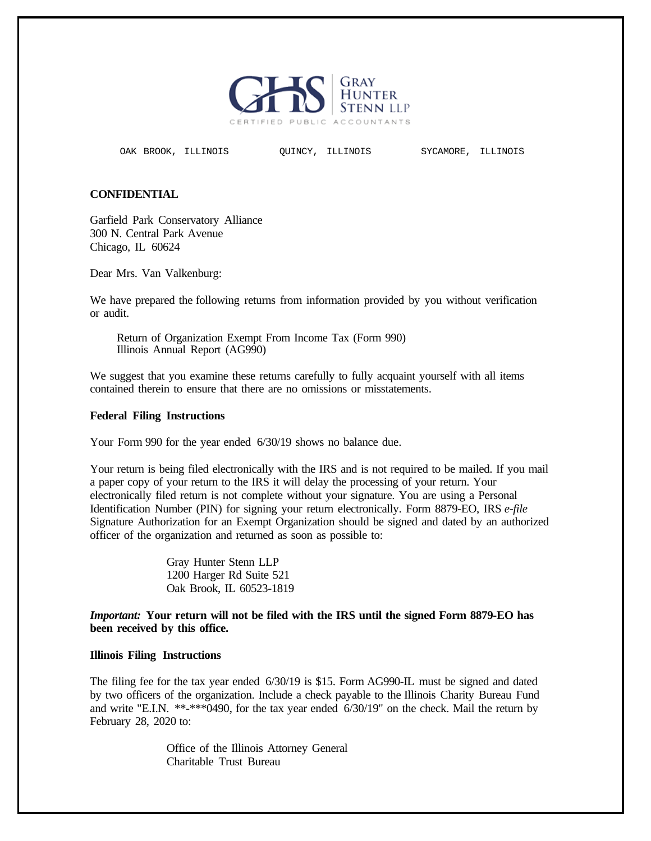

OAK BROOK, ILLINOIS QUINCY, ILLINOIS SYCAMORE, ILLINOIS

## **CONFIDENTIAL**

Garfield Park Conservatory Alliance 300 N. Central Park Avenue Chicago, IL 60624

Dear Mrs. Van Valkenburg:

We have prepared the following returns from information provided by you without verification or audit.

Return of Organization Exempt From Income Tax (Form 990) Illinois Annual Report (AG990)

We suggest that you examine these returns carefully to fully acquaint yourself with all items contained therein to ensure that there are no omissions or misstatements.

## **Federal Filing Instructions**

Your Form 990 for the year ended 6/30/19 shows no balance due.

Your return is being filed electronically with the IRS and is not required to be mailed. If you mail a paper copy of your return to the IRS it will delay the processing of your return. Your electronically filed return is not complete without your signature. You are using a Personal Identification Number (PIN) for signing your return electronically. Form 8879-EO, IRS *e-file* Signature Authorization for an Exempt Organization should be signed and dated by an authorized officer of the organization and returned as soon as possible to:

> Gray Hunter Stenn LLP 1200 Harger Rd Suite 521 Oak Brook, IL 60523-1819

*Important:* **Your return will not be filed with the IRS until the signed Form 8879-EO has been received by this office.**

## **Illinois Filing Instructions**

The filing fee for the tax year ended 6/30/19 is \$15. Form AG990-IL must be signed and dated by two officers of the organization. Include a check payable to the Illinois Charity Bureau Fund and write "E.I.N. \*\*-\*\*\*0490, for the tax year ended 6/30/19" on the check. Mail the return by February 28, 2020 to:

> Office of the Illinois Attorney General Charitable Trust Bureau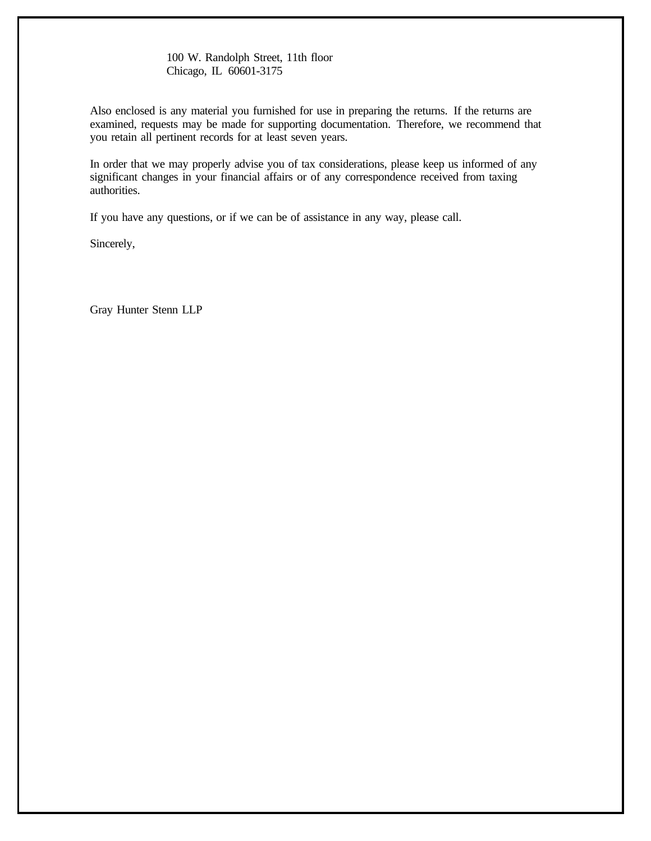100 W. Randolph Street, 11th floor Chicago, IL 60601-3175

Also enclosed is any material you furnished for use in preparing the returns. If the returns are examined, requests may be made for supporting documentation. Therefore, we recommend that you retain all pertinent records for at least seven years.

In order that we may properly advise you of tax considerations, please keep us informed of any significant changes in your financial affairs or of any correspondence received from taxing authorities.

If you have any questions, or if we can be of assistance in any way, please call.

Sincerely,

Gray Hunter Stenn LLP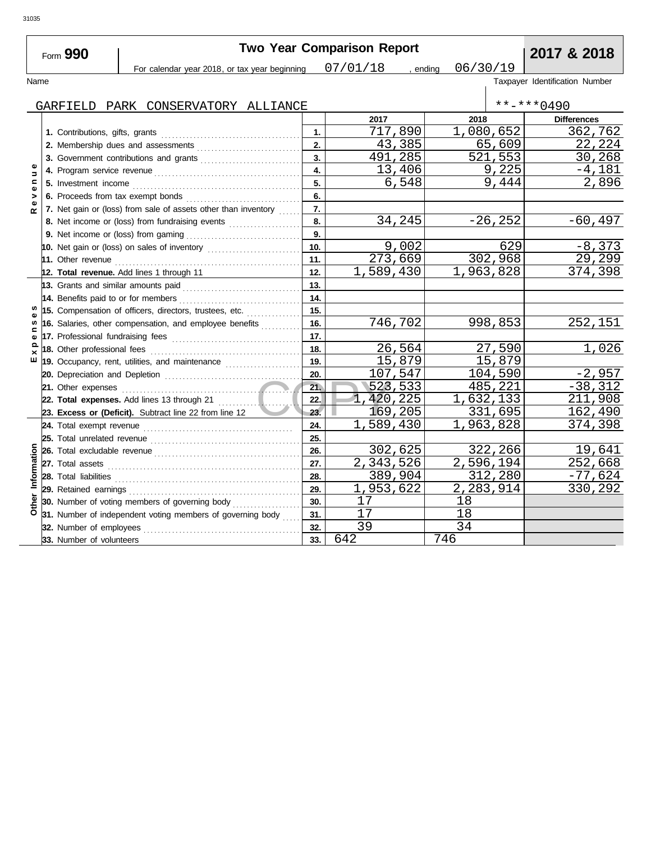|                               | Form 990                            |                                                                                                          |                | <b>Two Year Comparison Report</b> |             | 2017 & 2018                    |
|-------------------------------|-------------------------------------|----------------------------------------------------------------------------------------------------------|----------------|-----------------------------------|-------------|--------------------------------|
|                               |                                     | For calendar year 2018, or tax year beginning                                                            |                | $07/01/18$ , ending               | 06/30/19    |                                |
| Name                          |                                     |                                                                                                          |                |                                   |             | Taxpayer Identification Number |
|                               |                                     |                                                                                                          |                |                                   |             | $***$ $***$ 0490               |
|                               |                                     | GARFIELD PARK CONSERVATORY ALLIANCE                                                                      |                | 2017                              | 2018        | <b>Differences</b>             |
|                               |                                     |                                                                                                          | $\mathbf{1}$ . | 717,890                           | 1,080,652   | 362,762                        |
|                               |                                     |                                                                                                          | 2.             | 43,385                            | 65,609      | 22,224                         |
|                               |                                     |                                                                                                          | 3.             | 491,285                           | 521,553     | 30,268                         |
| Φ                             |                                     |                                                                                                          | 4.             | 13,406                            | 9,225       | $-4,181$                       |
| $\Rightarrow$<br>$\mathbf{C}$ |                                     |                                                                                                          | 5.             | 6,548                             | 9,444       | 2,896                          |
|                               |                                     |                                                                                                          | 6.             |                                   |             |                                |
| >                             |                                     |                                                                                                          | 7.             |                                   |             |                                |
| œ                             |                                     | 7. Net gain or (loss) from sale of assets other than inventory                                           | 8.             | 34,245                            | $-26, 252$  | $-60, 497$                     |
|                               |                                     | 8. Net income or (loss) from fundraising events                                                          | 9.             |                                   |             |                                |
|                               |                                     |                                                                                                          | 10.            | 9,002                             | 629         | $-8,373$                       |
|                               |                                     |                                                                                                          | 11.            | 273,669                           | 302,968     | 29,299                         |
|                               |                                     |                                                                                                          | 12.            | 1,589,430                         | 1,963,828   | 374,398                        |
|                               |                                     | 12. Total revenue. Add lines 1 through 11                                                                | 13.            |                                   |             |                                |
|                               | 13. Grants and similar amounts paid |                                                                                                          | 14.            |                                   |             |                                |
|                               |                                     | 15. Compensation of officers, directors, trustees, etc.                                                  | 15.            |                                   |             |                                |
| w                             |                                     | 16. Salaries, other compensation, and employee benefits                                                  | 16.            | 746,702                           | 998,853     | 252,151                        |
|                               |                                     |                                                                                                          | 17.            |                                   |             |                                |
| ω<br>≏                        |                                     |                                                                                                          | 18.            | 26,564                            | 27,590      | 1,026                          |
| $\times$<br>ш                 |                                     |                                                                                                          | 19.            | 15,879                            | 15,879      |                                |
|                               |                                     | 19. Occupancy, rent, utilities, and maintenance <i>[19. Occupancy, rent, utilities</i> , and maintenance | 20.            | 107,547                           | 104,590     | $-2,957$                       |
|                               |                                     |                                                                                                          | 21.            | 523,533                           | 485,221     | $-38,312$                      |
|                               |                                     |                                                                                                          | 22.            | 1,420,225                         | 1,632,133   | 211,908                        |
|                               |                                     | 23. Excess or (Deficit). Subtract line 22 from line 12                                                   | 23.            | 169,205                           | 331,695     | 162,490                        |
|                               | 24. Total exempt revenue            |                                                                                                          | 24.            | 1,589,430                         | 1,963,828   | 374,398                        |
|                               | 25. Total unrelated revenue         |                                                                                                          | 25.            |                                   |             |                                |
|                               |                                     |                                                                                                          | 26.            | 302,625                           | 322,266     | 19,641                         |
| Information                   |                                     |                                                                                                          | 27.            | $\overline{2,343,526}$            | 2,596,194   | 252,668                        |
|                               |                                     |                                                                                                          | 28.            | 389,904                           | 312,280     | $-77,624$                      |
|                               |                                     |                                                                                                          | 29.            | 1,953,622                         | 2, 283, 914 | 330,292                        |
|                               |                                     | 30. Number of voting members of governing body                                                           | 30.            | 17                                | 18          |                                |
| Other                         |                                     | 31. Number of independent voting members of governing body                                               | 31.            | 17                                | 18          |                                |
|                               | 32. Number of employees             |                                                                                                          | 32.            | 39                                | 34          |                                |
|                               | 33. Number of volunteers            |                                                                                                          | 33.            | 642                               | 746         |                                |
|                               |                                     |                                                                                                          |                |                                   |             |                                |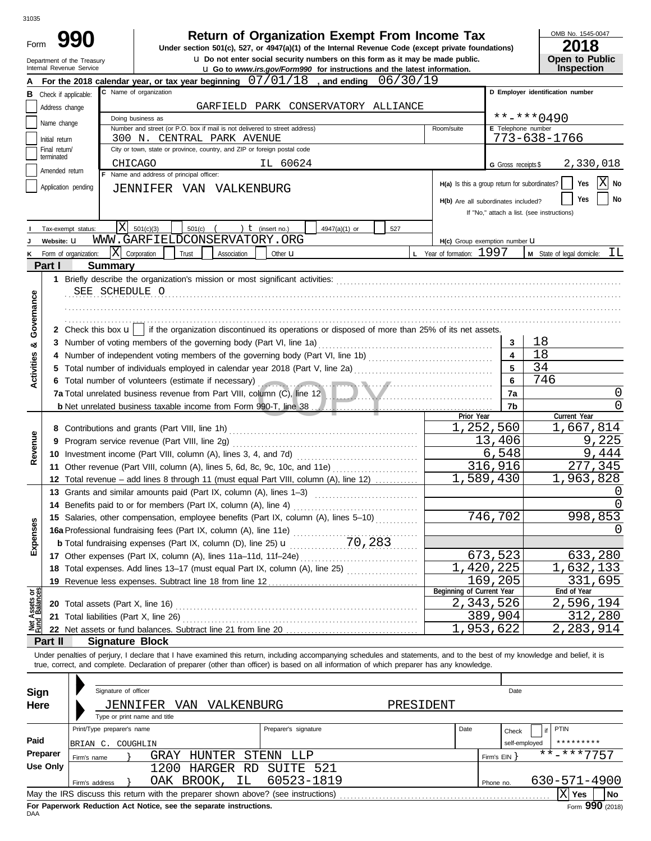Form

# **990 1990 2018 Depending Solution Solution Solution Script Script Script Script Script Prom Income Tax 1947(a)(1)** of the Internal Revenue Code (except private foundations)

u **Do not enter social security numbers on this form as it may be made public. Open to Public**

OMB No. 1545-0047

| LV I U                |
|-----------------------|
| <b>Open to Public</b> |
| <b>Inspection</b>     |

|                                | Department of the Treasury<br>Internal Revenue Service |                            |                                                                                                                                                                                                                                      |                      | Q Do not enter social security numbers on this form as it may be made public.<br><b>u</b> Go to www.irs.gov/Form990 for instructions and the latest information. |                           |                                         |                                               | Open to Public<br><b>Inspection</b>              |
|--------------------------------|--------------------------------------------------------|----------------------------|--------------------------------------------------------------------------------------------------------------------------------------------------------------------------------------------------------------------------------------|----------------------|------------------------------------------------------------------------------------------------------------------------------------------------------------------|---------------------------|-----------------------------------------|-----------------------------------------------|--------------------------------------------------|
|                                |                                                        |                            | For the 2018 calendar year, or tax year beginning $07/01/18$ , and ending                                                                                                                                                            |                      | 06/30/19                                                                                                                                                         |                           |                                         |                                               |                                                  |
|                                | <b>B</b> Check if applicable:                          |                            | C Name of organization                                                                                                                                                                                                               |                      |                                                                                                                                                                  |                           |                                         |                                               | D Employer identification number                 |
|                                | Address change                                         |                            |                                                                                                                                                                                                                                      |                      | GARFIELD PARK CONSERVATORY ALLIANCE                                                                                                                              |                           |                                         |                                               |                                                  |
|                                | Name change                                            |                            | Doing business as                                                                                                                                                                                                                    |                      |                                                                                                                                                                  |                           |                                         |                                               | $***$ $***$ 0490                                 |
|                                |                                                        |                            | Number and street (or P.O. box if mail is not delivered to street address)                                                                                                                                                           |                      |                                                                                                                                                                  | Room/suite                |                                         | E Telephone number                            |                                                  |
|                                | Initial return                                         |                            | 300 N. CENTRAL PARK AVENUE                                                                                                                                                                                                           |                      |                                                                                                                                                                  |                           |                                         |                                               | 773-638-1766                                     |
|                                | Final return/<br>terminated                            |                            | City or town, state or province, country, and ZIP or foreign postal code                                                                                                                                                             |                      |                                                                                                                                                                  |                           |                                         |                                               |                                                  |
|                                | Amended return                                         |                            | CHICAGO                                                                                                                                                                                                                              | IL 60624             |                                                                                                                                                                  |                           |                                         | G Gross receipts \$                           | 2,330,018                                        |
|                                |                                                        |                            | F Name and address of principal officer:                                                                                                                                                                                             |                      |                                                                                                                                                                  |                           |                                         | H(a) Is this a group return for subordinates? | $ X $ No<br>Yes                                  |
|                                | Application pending                                    |                            | JENNIFER VAN VALKENBURG                                                                                                                                                                                                              |                      |                                                                                                                                                                  |                           |                                         |                                               |                                                  |
|                                |                                                        |                            |                                                                                                                                                                                                                                      |                      |                                                                                                                                                                  |                           |                                         | H(b) Are all subordinates included?           | No<br>Yes                                        |
|                                |                                                        |                            |                                                                                                                                                                                                                                      |                      |                                                                                                                                                                  |                           |                                         |                                               | If "No," attach a list. (see instructions)       |
|                                | Tax-exempt status:                                     | X                          | 501(c)(3)<br>501(c)                                                                                                                                                                                                                  | ) $t$ (insert no.)   | 4947(a)(1) or<br>527                                                                                                                                             |                           |                                         |                                               |                                                  |
|                                | Website: U                                             |                            | WWW.GARFIELDCONSERVATORY.ORG                                                                                                                                                                                                         |                      |                                                                                                                                                                  |                           |                                         | H(c) Group exemption number U                 |                                                  |
| ĸ                              | Form of organization:                                  |                            | X Corporation<br>Trust<br>Association                                                                                                                                                                                                | Other $\mathbf u$    |                                                                                                                                                                  | L Year of formation: 1997 |                                         |                                               | $M$ State of legal domicile: $TL$                |
|                                | Part I                                                 | <b>Summary</b>             |                                                                                                                                                                                                                                      |                      |                                                                                                                                                                  |                           |                                         |                                               |                                                  |
|                                |                                                        |                            |                                                                                                                                                                                                                                      |                      |                                                                                                                                                                  |                           |                                         |                                               |                                                  |
|                                |                                                        | SEE SCHEDULE O             |                                                                                                                                                                                                                                      |                      |                                                                                                                                                                  |                           |                                         |                                               |                                                  |
| Governance                     |                                                        |                            |                                                                                                                                                                                                                                      |                      |                                                                                                                                                                  |                           |                                         |                                               |                                                  |
|                                |                                                        |                            |                                                                                                                                                                                                                                      |                      |                                                                                                                                                                  |                           |                                         |                                               |                                                  |
|                                |                                                        |                            | 2 Check this box $\mathbf{u}$   if the organization discontinued its operations or disposed of more than 25% of its net assets.                                                                                                      |                      |                                                                                                                                                                  |                           |                                         |                                               |                                                  |
| න්                             |                                                        |                            |                                                                                                                                                                                                                                      |                      |                                                                                                                                                                  |                           |                                         | 3                                             | 18                                               |
|                                |                                                        |                            |                                                                                                                                                                                                                                      |                      |                                                                                                                                                                  |                           |                                         |                                               | 18                                               |
| <b>Activities</b>              | 5                                                      |                            | Total number of individuals employed in calendar year 2018 (Part V, line 2a) [[[[[[[[[[[[[[[[[[[[[[[[[[[[[[[[                                                                                                                        |                      |                                                                                                                                                                  |                           |                                         | 5                                             | 34                                               |
|                                |                                                        |                            | 6 Total number of volunteers (estimate if necessary) (and the contract of the contract of the contract of the contract of the contract of the contract of the contract of the contract of the contract of the contract of the        |                      |                                                                                                                                                                  |                           |                                         | 6                                             | 746                                              |
|                                |                                                        |                            |                                                                                                                                                                                                                                      |                      |                                                                                                                                                                  |                           |                                         | 7a                                            | 0                                                |
|                                |                                                        |                            | <b>b</b> Net unrelated business taxable income from Form 990-T, line 38 [1] [1] Net unrelated business taxable income from Form 990-T, line 38                                                                                       |                      |                                                                                                                                                                  |                           |                                         | 7b                                            | 0                                                |
|                                |                                                        |                            |                                                                                                                                                                                                                                      |                      |                                                                                                                                                                  |                           | Prior Year<br>$\overline{1}$ , 252, 560 |                                               | Current Year<br>1,667,814                        |
|                                |                                                        |                            | Program service revenue (Part VIII, line 2g)                                                                                                                                                                                         |                      |                                                                                                                                                                  |                           |                                         | 13,406                                        | 9,225                                            |
| Revenue                        | 9                                                      |                            | 10 Investment income (Part VIII, column (A), lines 3, 4, and 7d)                                                                                                                                                                     |                      |                                                                                                                                                                  |                           |                                         | 6,548                                         | 9,444                                            |
|                                |                                                        |                            | 11 Other revenue (Part VIII, column (A), lines 5, 6d, 8c, 9c, 10c, and 11e)                                                                                                                                                          |                      |                                                                                                                                                                  |                           |                                         | 316,916                                       | 277,345                                          |
|                                |                                                        |                            | 12 Total revenue - add lines 8 through 11 (must equal Part VIII, column (A), line 12)                                                                                                                                                |                      |                                                                                                                                                                  |                           | 1,589,430                               |                                               | 1,963,828                                        |
|                                |                                                        |                            | 13 Grants and similar amounts paid (Part IX, column (A), lines 1-3)                                                                                                                                                                  |                      |                                                                                                                                                                  |                           |                                         |                                               | O                                                |
|                                |                                                        |                            | 14 Benefits paid to or for members (Part IX, column (A), line 4)                                                                                                                                                                     |                      |                                                                                                                                                                  |                           |                                         |                                               |                                                  |
|                                |                                                        |                            | 15 Salaries, other compensation, employee benefits (Part IX, column (A), lines 5-10)                                                                                                                                                 |                      |                                                                                                                                                                  |                           |                                         | 746,702                                       | 998,853                                          |
| nses                           |                                                        |                            | 16a Professional fundraising fees (Part IX, column (A), line 11e)                                                                                                                                                                    |                      |                                                                                                                                                                  |                           |                                         |                                               | 0                                                |
|                                |                                                        |                            | <b>b</b> Total fundraising expenses (Part IX, column (D), line 25) $\mathbf{u}$                                                                                                                                                      |                      | 70,283                                                                                                                                                           |                           |                                         |                                               |                                                  |
| Exper                          |                                                        |                            | 17 Other expenses (Part IX, column (A), lines 11a-11d, 11f-24e)                                                                                                                                                                      |                      |                                                                                                                                                                  |                           |                                         | 673,523                                       | 633,280                                          |
|                                |                                                        |                            | 18 Total expenses. Add lines 13-17 (must equal Part IX, column (A), line 25)                                                                                                                                                         |                      |                                                                                                                                                                  |                           | 1,420,225                               |                                               | 1,632,133                                        |
|                                |                                                        |                            | 19 Revenue less expenses. Subtract line 18 from line 12                                                                                                                                                                              |                      |                                                                                                                                                                  |                           |                                         | 169,205                                       | 331,695                                          |
|                                |                                                        |                            |                                                                                                                                                                                                                                      |                      |                                                                                                                                                                  |                           | Beginning of Current Year               |                                               | End of Year                                      |
| Net Assets or<br>Fund Balances |                                                        |                            | 20 Total assets (Part X, line 16) <b>Constant Constant Constant Constant Constant Constant Constant Constant Constant Constant Constant Constant Constant Constant Constant Constant Constant Constant Constant Constant Constan</b> |                      |                                                                                                                                                                  |                           | 2,343,526                               |                                               | 2,596,194                                        |
|                                |                                                        |                            | 21 Total liabilities (Part X, line 26)                                                                                                                                                                                               |                      |                                                                                                                                                                  |                           |                                         | 389,904                                       | 312,280                                          |
|                                |                                                        |                            |                                                                                                                                                                                                                                      |                      |                                                                                                                                                                  |                           | 1,953,622                               |                                               | 2,283,914                                        |
|                                | Part II                                                | <b>Signature Block</b>     |                                                                                                                                                                                                                                      |                      |                                                                                                                                                                  |                           |                                         |                                               |                                                  |
|                                |                                                        |                            | Under penalties of perjury, I declare that I have examined this return, including accompanying schedules and statements, and to the best of my knowledge and belief, it is                                                           |                      |                                                                                                                                                                  |                           |                                         |                                               |                                                  |
|                                |                                                        |                            | true, correct, and complete. Declaration of preparer (other than officer) is based on all information of which preparer has any knowledge.                                                                                           |                      |                                                                                                                                                                  |                           |                                         |                                               |                                                  |
|                                |                                                        |                            |                                                                                                                                                                                                                                      |                      |                                                                                                                                                                  |                           |                                         |                                               |                                                  |
| Sign                           |                                                        | Signature of officer       |                                                                                                                                                                                                                                      |                      |                                                                                                                                                                  |                           |                                         | Date                                          |                                                  |
| Here                           |                                                        |                            | JENNIFER VAN VALKENBURG                                                                                                                                                                                                              |                      |                                                                                                                                                                  | PRESIDENT                 |                                         |                                               |                                                  |
|                                |                                                        |                            | Type or print name and title                                                                                                                                                                                                         |                      |                                                                                                                                                                  |                           |                                         |                                               |                                                  |
|                                |                                                        | Print/Type preparer's name |                                                                                                                                                                                                                                      | Preparer's signature |                                                                                                                                                                  |                           | Date                                    | Check                                         | PTIN<br>if                                       |
| Paid                           |                                                        | BRIAN C. COUGHLIN          |                                                                                                                                                                                                                                      |                      |                                                                                                                                                                  |                           |                                         | self-employed                                 | * * * * * * * * *                                |
|                                | Preparer                                               | Firm's name                | GRAY HUNTER                                                                                                                                                                                                                          | STENN LLP            |                                                                                                                                                                  |                           |                                         | Firm's EIN                                    | $\overline{\star}\star$ - $\star\star\star$ 7757 |
|                                | <b>Use Only</b>                                        |                            | 1200 HARGER RD SUITE 521                                                                                                                                                                                                             |                      |                                                                                                                                                                  |                           |                                         |                                               |                                                  |
|                                |                                                        | Firm's address             | OAK BROOK,<br>ΙL                                                                                                                                                                                                                     | 60523-1819           |                                                                                                                                                                  |                           |                                         | Phone no.                                     | 630-571-4900                                     |
|                                |                                                        |                            | May the IRS discuss this return with the preparer shown above? (see instructions)                                                                                                                                                    |                      |                                                                                                                                                                  |                           |                                         |                                               | $ X $ Yes<br>No                                  |

| Sign     | Signature of officer       |                              |               |                                                                                   |           |      |            | Date                       |                |           |
|----------|----------------------------|------------------------------|---------------|-----------------------------------------------------------------------------------|-----------|------|------------|----------------------------|----------------|-----------|
| Here     |                            | JENNIFER<br>VAN              | VALKENBURG    |                                                                                   | PRESIDENT |      |            |                            |                |           |
|          |                            | Type or print name and title |               |                                                                                   |           |      |            |                            |                |           |
|          | Print/Type preparer's name |                              |               | Preparer's signature                                                              |           | Date |            | f if <sup>1</sup><br>Check | PTIN           |           |
| Paid     | BRIAN C.                   | COUGHLIN                     |               |                                                                                   |           |      |            | self-employed              | *********      |           |
| Preparer | Firm's name                | GRAY                         | <b>HUNTER</b> | STENN<br>T.T.P                                                                    |           |      | Firm's EIN |                            | $***$ -***7757 |           |
| Use Only |                            | 1200                         | HARGER<br>RD. | SUITE 521                                                                         |           |      |            |                            |                |           |
|          | Firm's address             | OAK BROOK,                   | ΙL            | 60523-1819                                                                        |           |      | Phone no.  |                            | 630-571-4900   |           |
|          |                            |                              |               | May the IRS discuss this return with the preparer shown above? (see instructions) |           |      |            |                            | Yes            | <b>No</b> |

**For Paperwork Reduction Act Notice, see the separate instructions.**<br>DAA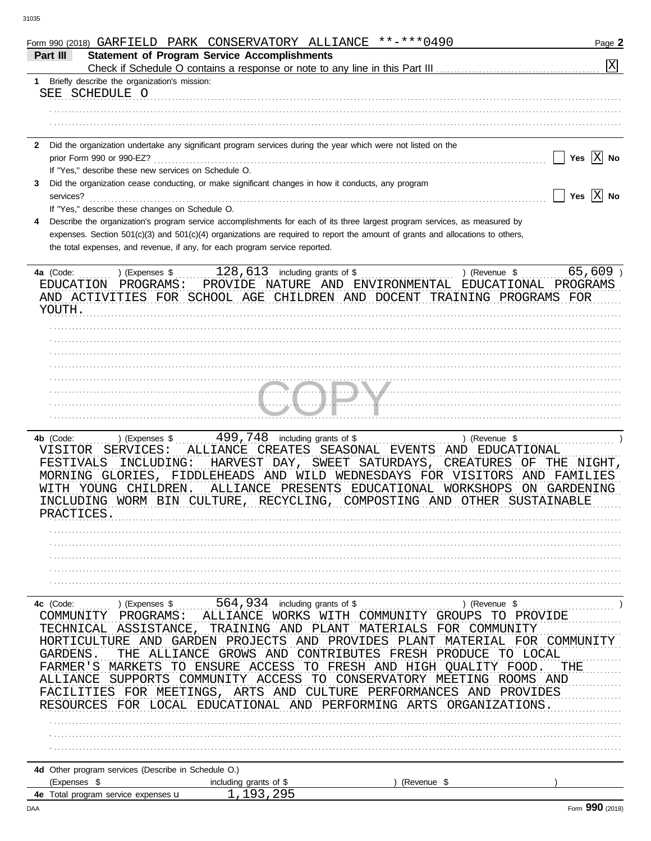|                |                                                                                   |              | Form 990 (2018) GARFIELD PARK CONSERVATORY ALLIANCE **-*** 0490                                                                |             |                                                                                                                      | Page 2                      |
|----------------|-----------------------------------------------------------------------------------|--------------|--------------------------------------------------------------------------------------------------------------------------------|-------------|----------------------------------------------------------------------------------------------------------------------|-----------------------------|
| Part III       |                                                                                   |              | <b>Statement of Program Service Accomplishments</b>                                                                            |             |                                                                                                                      |                             |
|                |                                                                                   |              |                                                                                                                                |             |                                                                                                                      | $\overline{X}$              |
| 1              | Briefly describe the organization's mission:                                      |              |                                                                                                                                |             |                                                                                                                      |                             |
|                | SEE SCHEDULE O                                                                    |              |                                                                                                                                |             |                                                                                                                      |                             |
|                |                                                                                   |              |                                                                                                                                |             |                                                                                                                      |                             |
|                |                                                                                   |              |                                                                                                                                |             |                                                                                                                      |                             |
|                |                                                                                   |              |                                                                                                                                |             |                                                                                                                      |                             |
|                |                                                                                   |              | 2 Did the organization undertake any significant program services during the year which were not listed on the                 |             |                                                                                                                      | Yes $ X $ No                |
|                | prior Form 990 or 990-EZ?<br>If "Yes," describe these new services on Schedule O. |              |                                                                                                                                |             |                                                                                                                      |                             |
|                |                                                                                   |              |                                                                                                                                |             |                                                                                                                      |                             |
| 3<br>services? |                                                                                   |              | Did the organization cease conducting, or make significant changes in how it conducts, any program                             |             |                                                                                                                      | Yes $\overline{X}$ No       |
|                | If "Yes," describe these changes on Schedule O.                                   |              |                                                                                                                                |             |                                                                                                                      |                             |
|                |                                                                                   |              | Describe the organization's program service accomplishments for each of its three largest program services, as measured by     |             |                                                                                                                      |                             |
|                |                                                                                   |              | expenses. Section 501(c)(3) and 501(c)(4) organizations are required to report the amount of grants and allocations to others, |             |                                                                                                                      |                             |
|                |                                                                                   |              | the total expenses, and revenue, if any, for each program service reported.                                                    |             |                                                                                                                      |                             |
|                |                                                                                   |              |                                                                                                                                |             |                                                                                                                      |                             |
| 4a (Code:      |                                                                                   |              |                                                                                                                                |             | ) (Revenue \$                                                                                                        | $65,609$ )                  |
|                | EDUCATION PROGRAMS:                                                               |              | $128,613$ including grants of \$<br>PROVIDE NATURE AND ENVIRONMENTAL EDUCATIONAL PROGRAMS                                      |             |                                                                                                                      |                             |
|                |                                                                                   |              | AND ACTIVITIES FOR SCHOOL AGE CHILDREN AND DOCENT TRAINING PROGRAMS FOR                                                        |             |                                                                                                                      |                             |
| YOUTH.         |                                                                                   |              |                                                                                                                                |             |                                                                                                                      |                             |
|                |                                                                                   |              |                                                                                                                                |             |                                                                                                                      |                             |
|                |                                                                                   |              |                                                                                                                                |             |                                                                                                                      |                             |
|                |                                                                                   |              |                                                                                                                                |             |                                                                                                                      |                             |
|                |                                                                                   |              |                                                                                                                                |             |                                                                                                                      |                             |
|                |                                                                                   |              |                                                                                                                                |             |                                                                                                                      |                             |
|                |                                                                                   |              |                                                                                                                                |             |                                                                                                                      |                             |
|                |                                                                                   |              |                                                                                                                                |             | <u>I.a I.a Martin Albert III.a Albert III.a Albert II.a Albert II.a Albert II.a Albert II.a Albert II.a Albert I</u> |                             |
|                |                                                                                   |              |                                                                                                                                |             |                                                                                                                      |                             |
|                |                                                                                   |              |                                                                                                                                |             |                                                                                                                      |                             |
| 4b (Code:      | ) (Expenses \$                                                                    |              | 499,748 including grants of \$                                                                                                 |             | ) (Revenue \$                                                                                                        |                             |
|                | VISITOR SERVICES:                                                                 |              | ALLIANCE CREATES SEASONAL EVENTS AND EDUCATIONAL                                                                               |             |                                                                                                                      |                             |
| FESTIVALS      | INCLUDING:                                                                        |              | HARVEST DAY, SWEET SATURDAYS, CREATURES OF THE NIGHT,                                                                          |             |                                                                                                                      |                             |
|                |                                                                                   |              | MORNING GLORIES, FIDDLEHEADS AND WILD WEDNESDAYS FOR VISITORS                                                                  |             |                                                                                                                      | AND FAMILIES                |
|                | WITH YOUNG CHILDREN.                                                              |              | ALLIANCE PRESENTS EDUCATIONAL WORKSHOPS                                                                                        |             |                                                                                                                      | ON GARDENING                |
|                |                                                                                   |              | INCLUDING WORM BIN CULTURE, RECYCLING, COMPOSTING AND OTHER SUSTAINABLE                                                        |             |                                                                                                                      |                             |
| מהמדחימת תח    |                                                                                   |              |                                                                                                                                |             |                                                                                                                      |                             |
|                |                                                                                   |              |                                                                                                                                |             |                                                                                                                      |                             |
|                |                                                                                   |              |                                                                                                                                |             |                                                                                                                      |                             |
|                |                                                                                   |              |                                                                                                                                |             |                                                                                                                      |                             |
|                |                                                                                   |              |                                                                                                                                |             |                                                                                                                      |                             |
|                |                                                                                   |              |                                                                                                                                |             |                                                                                                                      |                             |
|                |                                                                                   |              |                                                                                                                                |             |                                                                                                                      |                             |
| 4c (Code:      |                                                                                   |              | ) (Expenses $$$ 564, 934 including grants of \$                                                                                |             | ) (Revenue \$                                                                                                        |                             |
| COMMUNITY      | PROGRAMS:                                                                         |              | ALLIANCE WORKS WITH COMMUNITY GROUPS TO PROVIDE                                                                                |             |                                                                                                                      |                             |
|                |                                                                                   |              | TECHNICAL ASSISTANCE, TRAINING AND PLANT MATERIALS FOR COMMUNITY                                                               |             |                                                                                                                      |                             |
|                |                                                                                   |              | HORTICULTURE AND GARDEN PROJECTS AND PROVIDES PLANT MATERIAL FOR COMMUNITY                                                     |             |                                                                                                                      |                             |
| GARDENS.       |                                                                                   | THE ALLIANCE | GROWS AND CONTRIBUTES FRESH PRODUCE                                                                                            |             | TO LOCAL                                                                                                             |                             |
|                | FARMER'S MARKETS                                                                  |              | TO ENSURE ACCESS TO FRESH AND HIGH QUALITY FOOD.                                                                               |             |                                                                                                                      | THE                         |
| ALLIANCE       | SUPPORTS                                                                          |              | COMMUNITY ACCESS                                                                                                               |             | TO CONSERVATORY MEETING ROOMS AND                                                                                    |                             |
|                |                                                                                   |              | FACILITIES FOR MEETINGS, ARTS AND CULTURE PERFORMANCES AND PROVIDES                                                            |             |                                                                                                                      |                             |
|                |                                                                                   |              | RESOURCES FOR LOCAL EDUCATIONAL AND PERFORMING ARTS                                                                            |             | ORGANIZATIONS.                                                                                                       |                             |
|                |                                                                                   |              |                                                                                                                                |             |                                                                                                                      |                             |
|                |                                                                                   |              |                                                                                                                                |             |                                                                                                                      |                             |
|                |                                                                                   |              |                                                                                                                                |             |                                                                                                                      |                             |
|                |                                                                                   |              |                                                                                                                                |             |                                                                                                                      |                             |
|                | 4d Other program services (Describe in Schedule O.)                               |              |                                                                                                                                |             |                                                                                                                      |                             |
| (Expenses \$   |                                                                                   |              | including grants of \$                                                                                                         | (Revenue \$ |                                                                                                                      |                             |
|                | 4e Total program service expenses <b>u</b>                                        |              | 1,193,295                                                                                                                      |             |                                                                                                                      |                             |
|                |                                                                                   |              |                                                                                                                                |             |                                                                                                                      | $F_{\text{OCD}}$ 990 (2018) |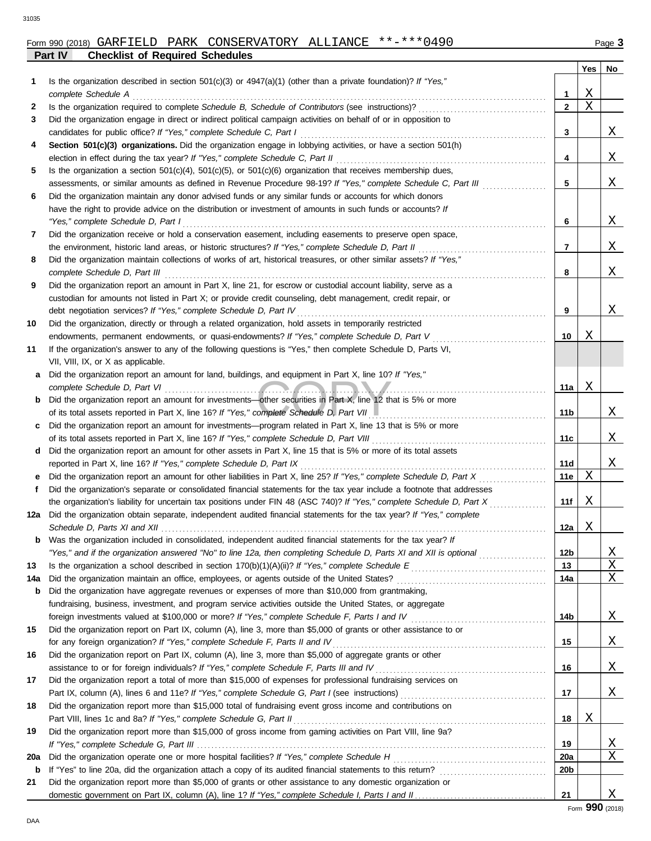|     |                                                                                                                                                                                              |                   | Yes | No           |
|-----|----------------------------------------------------------------------------------------------------------------------------------------------------------------------------------------------|-------------------|-----|--------------|
| 1   | Is the organization described in section $501(c)(3)$ or $4947(a)(1)$ (other than a private foundation)? If "Yes,"                                                                            |                   |     |              |
|     | complete Schedule A                                                                                                                                                                          | 1                 | Χ   |              |
| 2   |                                                                                                                                                                                              | $\mathbf{2}$      | X   |              |
| 3   | Did the organization engage in direct or indirect political campaign activities on behalf of or in opposition to                                                                             |                   |     |              |
|     | candidates for public office? If "Yes," complete Schedule C, Part I                                                                                                                          | 3                 |     | Χ            |
| 4   | Section 501(c)(3) organizations. Did the organization engage in lobbying activities, or have a section 501(h)                                                                                |                   |     |              |
|     | election in effect during the tax year? If "Yes," complete Schedule C, Part II                                                                                                               | 4                 |     | Χ            |
| 5   | Is the organization a section $501(c)(4)$ , $501(c)(5)$ , or $501(c)(6)$ organization that receives membership dues,                                                                         |                   |     |              |
|     | assessments, or similar amounts as defined in Revenue Procedure 98-19? If "Yes," complete Schedule C, Part III                                                                               | 5                 |     | Χ            |
| 6   | Did the organization maintain any donor advised funds or any similar funds or accounts for which donors                                                                                      |                   |     |              |
|     | have the right to provide advice on the distribution or investment of amounts in such funds or accounts? If<br>"Yes," complete Schedule D, Part I                                            | 6                 |     | Χ            |
| 7   | Did the organization receive or hold a conservation easement, including easements to preserve open space,                                                                                    |                   |     |              |
|     | the environment, historic land areas, or historic structures? If "Yes," complete Schedule D, Part II                                                                                         | 7                 |     | Χ            |
| 8   | Did the organization maintain collections of works of art, historical treasures, or other similar assets? If "Yes,"                                                                          |                   |     |              |
|     | complete Schedule D, Part III                                                                                                                                                                | 8                 |     | Χ            |
| 9   | Did the organization report an amount in Part X, line 21, for escrow or custodial account liability, serve as a                                                                              |                   |     |              |
|     | custodian for amounts not listed in Part X; or provide credit counseling, debt management, credit repair, or                                                                                 |                   |     |              |
|     | debt negotiation services? If "Yes," complete Schedule D, Part IV                                                                                                                            | 9                 |     | Χ            |
| 10  | Did the organization, directly or through a related organization, hold assets in temporarily restricted                                                                                      |                   |     |              |
|     | endowments, permanent endowments, or quasi-endowments? If "Yes," complete Schedule D, Part V                                                                                                 | 10                | Χ   |              |
| 11  | If the organization's answer to any of the following questions is "Yes," then complete Schedule D, Parts VI,                                                                                 |                   |     |              |
|     | VII, VIII, IX, or X as applicable.                                                                                                                                                           |                   |     |              |
|     | a Did the organization report an amount for land, buildings, and equipment in Part X, line 10? If "Yes,"                                                                                     |                   |     |              |
|     |                                                                                                                                                                                              | 11a               | Χ   |              |
|     | <b>b</b> Did the organization report an amount for investments—other securities in Part X, line 12 that is 5% or more                                                                        |                   |     |              |
|     | of its total assets reported in Part X, line 16? If "Yes," complete Schedule D, Part VII                                                                                                     | 11b               |     | Χ            |
|     | c Did the organization report an amount for investments—program related in Part X, line 13 that is 5% or more                                                                                |                   |     |              |
|     |                                                                                                                                                                                              | 11c               |     | Χ            |
|     | d Did the organization report an amount for other assets in Part X, line 15 that is 5% or more of its total assets                                                                           |                   |     | Χ            |
| е   | reported in Part X, line 16? If "Yes," complete Schedule D, Part IX<br>Did the organization report an amount for other liabilities in Part X, line 25? If "Yes," complete Schedule D, Part X | 11d<br><b>11e</b> | Χ   |              |
| f   | Did the organization's separate or consolidated financial statements for the tax year include a footnote that addresses                                                                      |                   |     |              |
|     | the organization's liability for uncertain tax positions under FIN 48 (ASC 740)? If "Yes," complete Schedule D, Part X                                                                       | 11f               | Χ   |              |
|     | 12a Did the organization obtain separate, independent audited financial statements for the tax year? If "Yes," complete                                                                      |                   |     |              |
|     |                                                                                                                                                                                              | 12a               | Χ   |              |
| b   | Was the organization included in consolidated, independent audited financial statements for the tax year? If                                                                                 |                   |     |              |
|     | "Yes," and if the organization answered "No" to line 12a, then completing Schedule D, Parts XI and XII is optional                                                                           | 12 <sub>b</sub>   |     | $\mathbf{X}$ |
| 13  |                                                                                                                                                                                              | 13                |     | X            |
| 14a |                                                                                                                                                                                              | 14a               |     | X            |
| b   | Did the organization have aggregate revenues or expenses of more than \$10,000 from grantmaking,                                                                                             |                   |     |              |
|     | fundraising, business, investment, and program service activities outside the United States, or aggregate                                                                                    |                   |     |              |
|     | foreign investments valued at \$100,000 or more? If "Yes," complete Schedule F, Parts I and IV [[[[[[[[[[[[[[[[                                                                              | 14b               |     | Χ            |
| 15  | Did the organization report on Part IX, column (A), line 3, more than \$5,000 of grants or other assistance to or                                                                            |                   |     |              |
|     | for any foreign organization? If "Yes," complete Schedule F, Parts II and IV                                                                                                                 | 15                |     | Χ            |
| 16  | Did the organization report on Part IX, column (A), line 3, more than \$5,000 of aggregate grants or other                                                                                   |                   |     |              |
|     |                                                                                                                                                                                              | 16                |     | Χ            |
| 17  | Did the organization report a total of more than \$15,000 of expenses for professional fundraising services on                                                                               |                   |     |              |
|     |                                                                                                                                                                                              | 17                |     | Χ            |
| 18  | Did the organization report more than \$15,000 total of fundraising event gross income and contributions on<br>Part VIII, lines 1c and 8a? If "Yes," complete Schedule G, Part II            |                   | Χ   |              |
| 19  |                                                                                                                                                                                              | 18                |     |              |
|     | Did the organization report more than \$15,000 of gross income from gaming activities on Part VIII, line 9a?                                                                                 | 19                |     | $\mathbf{X}$ |
| 20a |                                                                                                                                                                                              | 20a               |     | X            |
| b   |                                                                                                                                                                                              | 20 <sub>b</sub>   |     |              |
| 21  | Did the organization report more than \$5,000 of grants or other assistance to any domestic organization or                                                                                  |                   |     |              |
|     |                                                                                                                                                                                              | 21                |     | Χ            |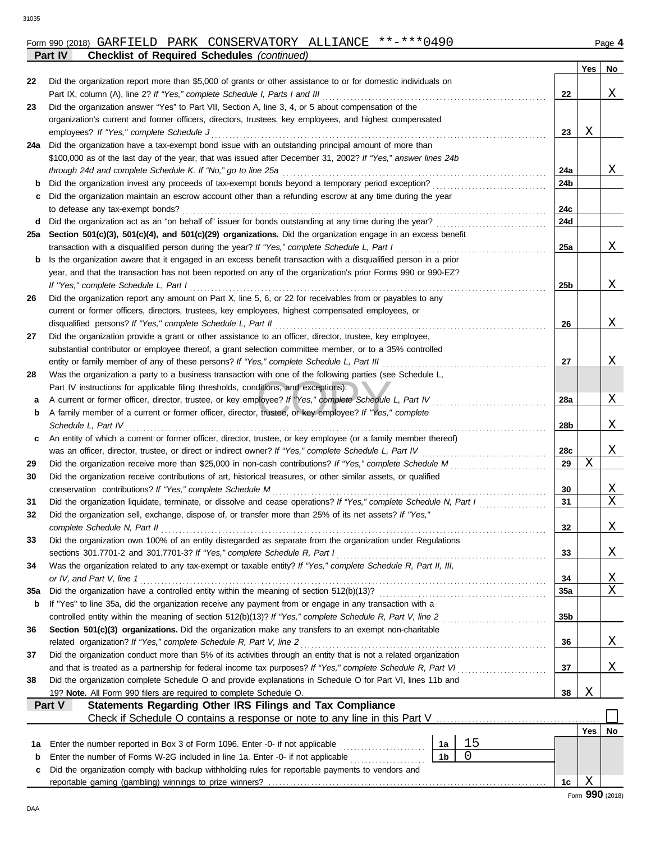## Form 990 (2018) Page **4** GARFIELD PARK CONSERVATORY ALLIANCE \*\*-\*\*\*0490 **Part IV Checklist of Required Schedules** *(continued)*

|     |                                                                                                                                                                          |     | Yes | No |
|-----|--------------------------------------------------------------------------------------------------------------------------------------------------------------------------|-----|-----|----|
| 22  | Did the organization report more than \$5,000 of grants or other assistance to or for domestic individuals on                                                            |     |     |    |
|     | Part IX, column (A), line 2? If "Yes," complete Schedule I, Parts I and III                                                                                              | 22  |     | Χ  |
| 23  | Did the organization answer "Yes" to Part VII, Section A, line 3, 4, or 5 about compensation of the                                                                      |     |     |    |
|     | organization's current and former officers, directors, trustees, key employees, and highest compensated                                                                  |     |     |    |
|     | employees? If "Yes," complete Schedule J                                                                                                                                 | 23  | Χ   |    |
| 24a | Did the organization have a tax-exempt bond issue with an outstanding principal amount of more than                                                                      |     |     |    |
|     | \$100,000 as of the last day of the year, that was issued after December 31, 2002? If "Yes," answer lines 24b                                                            |     |     |    |
|     | through 24d and complete Schedule K. If "No," go to line 25a                                                                                                             | 24a |     | X  |
| b   | Did the organization invest any proceeds of tax-exempt bonds beyond a temporary period exception?                                                                        | 24b |     |    |
| с   | Did the organization maintain an escrow account other than a refunding escrow at any time during the year                                                                |     |     |    |
|     | to defease any tax-exempt bonds?                                                                                                                                         | 24c |     |    |
| d   | Did the organization act as an "on behalf of" issuer for bonds outstanding at any time during the year?                                                                  | 24d |     |    |
| 25a | Section 501(c)(3), 501(c)(4), and 501(c)(29) organizations. Did the organization engage in an excess benefit                                                             |     |     |    |
|     | transaction with a disqualified person during the year? If "Yes," complete Schedule L, Part I                                                                            | 25a |     | Χ  |
| b   | Is the organization aware that it engaged in an excess benefit transaction with a disqualified person in a prior                                                         |     |     |    |
|     | year, and that the transaction has not been reported on any of the organization's prior Forms 990 or 990-EZ?                                                             |     |     |    |
|     | If "Yes," complete Schedule L, Part I                                                                                                                                    | 25b |     | Χ  |
| 26  | Did the organization report any amount on Part X, line 5, 6, or 22 for receivables from or payables to any                                                               |     |     |    |
|     | current or former officers, directors, trustees, key employees, highest compensated employees, or                                                                        |     |     |    |
|     | disqualified persons? If "Yes," complete Schedule L, Part II<br>Did the organization provide a grant or other assistance to an officer, director, trustee, key employee, | 26  |     | Χ  |
| 27  | substantial contributor or employee thereof, a grant selection committee member, or to a 35% controlled                                                                  |     |     |    |
|     | entity or family member of any of these persons? If "Yes," complete Schedule L, Part III                                                                                 | 27  |     | Χ  |
| 28  | Was the organization a party to a business transaction with one of the following parties (see Schedule L,                                                                |     |     |    |
|     | Part IV instructions for applicable filing thresholds, conditions, and exceptions):                                                                                      |     |     |    |
| а   | A current or former officer, director, trustee, or key employee? If "Yes," complete Schedule L, Part IV                                                                  | 28a |     | Χ  |
| b   | A family member of a current or former officer, director, trustee, or key employee? If "Yes," complete                                                                   |     |     |    |
|     | Schedule L, Part IV                                                                                                                                                      | 28b |     | Χ  |
| c   | An entity of which a current or former officer, director, trustee, or key employee (or a family member thereof)                                                          |     |     |    |
|     |                                                                                                                                                                          | 28c |     | X  |
| 29  | Did the organization receive more than \$25,000 in non-cash contributions? If "Yes," complete Schedule M                                                                 | 29  | Χ   |    |
| 30  | Did the organization receive contributions of art, historical treasures, or other similar assets, or qualified                                                           |     |     |    |
|     | conservation contributions? If "Yes," complete Schedule M                                                                                                                | 30  |     | X  |
| 31  | Did the organization liquidate, terminate, or dissolve and cease operations? If "Yes," complete Schedule N, Part I                                                       | 31  |     | Χ  |
| 32  | Did the organization sell, exchange, dispose of, or transfer more than 25% of its net assets? If "Yes,"                                                                  |     |     |    |
|     | complete Schedule N, Part II                                                                                                                                             | 32  |     | Χ  |
| 33  | Did the organization own 100% of an entity disregarded as separate from the organization under Regulations                                                               |     |     |    |
|     | sections 301.7701-2 and 301.7701-3? If "Yes," complete Schedule R, Part I                                                                                                | 33  |     | X  |
| 34  | Was the organization related to any tax-exempt or taxable entity? If "Yes," complete Schedule R, Part II, III,                                                           |     |     |    |
|     | or IV, and Part V, line 1                                                                                                                                                | 34  |     | Χ  |
| 35a |                                                                                                                                                                          | 35a |     | Χ  |
| b   | If "Yes" to line 35a, did the organization receive any payment from or engage in any transaction with a                                                                  |     |     |    |
|     |                                                                                                                                                                          | 35b |     |    |
| 36  | Section 501(c)(3) organizations. Did the organization make any transfers to an exempt non-charitable                                                                     |     |     |    |
|     | related organization? If "Yes," complete Schedule R, Part V, line 2                                                                                                      | 36  |     | X  |
| 37  | Did the organization conduct more than 5% of its activities through an entity that is not a related organization                                                         |     |     |    |
|     |                                                                                                                                                                          | 37  |     | Χ  |
| 38  | Did the organization complete Schedule O and provide explanations in Schedule O for Part VI, lines 11b and                                                               |     | Χ   |    |
|     | 19? Note. All Form 990 filers are required to complete Schedule O.<br>Statements Regarding Other IRS Filings and Tax Compliance<br>Part V                                | 38  |     |    |
|     | Check if Schedule O contains a response or note to any line in this Part V                                                                                               |     |     |    |
|     |                                                                                                                                                                          |     | Yes | No |
| 1а  | 15<br>Enter the number reported in Box 3 of Form 1096. Enter -0- if not applicable [<br>1а                                                                               |     |     |    |
| b   | $\mathbf 0$<br>Enter the number of Forms W-2G included in line 1a. Enter -0- if not applicable<br>1 <sub>b</sub>                                                         |     |     |    |
| с   | Did the organization comply with backup withholding rules for reportable payments to vendors and                                                                         |     |     |    |
|     |                                                                                                                                                                          | 1c  | Χ   |    |
|     |                                                                                                                                                                          |     |     |    |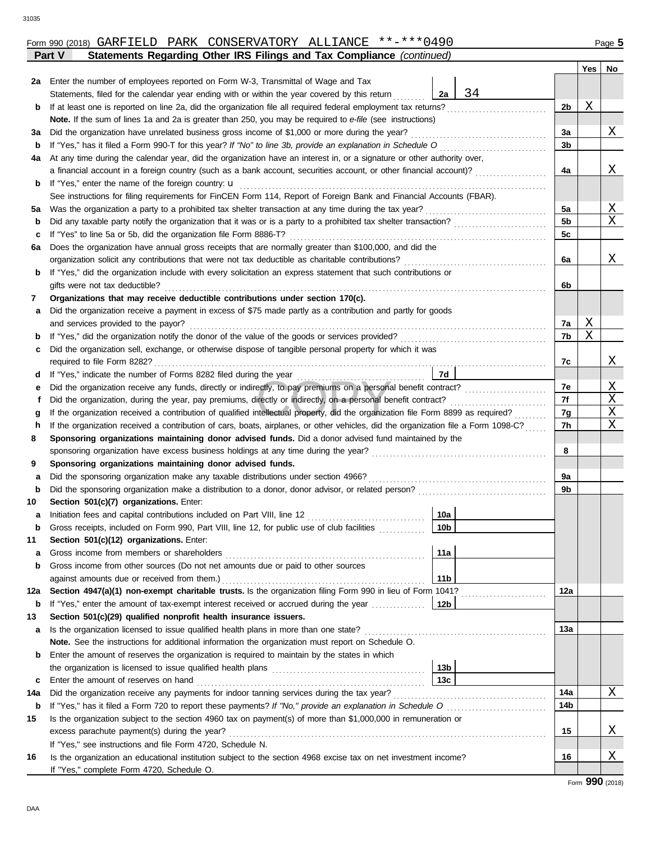|               |  | Form 990 (2018) GARFIELD PARK CONSERVATORY ALLIANCE **-***0490        |  | Page $5$ |
|---------------|--|-----------------------------------------------------------------------|--|----------|
| <b>Part V</b> |  | Statements Regarding Other IRS Filings and Tax Compliance (continued) |  |          |

|     |                                                                                                                                    |                 |    |                | Yes | No.          |  |
|-----|------------------------------------------------------------------------------------------------------------------------------------|-----------------|----|----------------|-----|--------------|--|
| 2a  | Enter the number of employees reported on Form W-3, Transmittal of Wage and Tax                                                    |                 |    |                |     |              |  |
|     | Statements, filed for the calendar year ending with or within the year covered by this return                                      | 2a              | 34 |                |     |              |  |
| b   | If at least one is reported on line 2a, did the organization file all required federal employment tax returns?                     |                 |    | 2b             | Χ   |              |  |
|     | Note. If the sum of lines 1a and 2a is greater than 250, you may be required to e-file (see instructions)                          |                 |    |                |     |              |  |
| за  | Did the organization have unrelated business gross income of \$1,000 or more during the year?                                      |                 |    | 3a             |     | Χ            |  |
| b   | If "Yes," has it filed a Form 990-T for this year? If "No" to line 3b, provide an explanation in Schedule O                        |                 |    | 3b             |     |              |  |
| 4a  | At any time during the calendar year, did the organization have an interest in, or a signature or other authority over,            |                 |    |                |     |              |  |
|     | a financial account in a foreign country (such as a bank account, securities account, or other financial account)?                 |                 |    | 4a             |     | Χ            |  |
| b   | If "Yes," enter the name of the foreign country: $\mathbf u$                                                                       |                 |    |                |     |              |  |
|     | See instructions for filing requirements for FinCEN Form 114, Report of Foreign Bank and Financial Accounts (FBAR).                |                 |    |                |     |              |  |
| 5а  | Was the organization a party to a prohibited tax shelter transaction at any time during the tax year?                              |                 |    | 5a             |     | $\mathbf{X}$ |  |
| b   |                                                                                                                                    |                 |    | 5 <sub>b</sub> |     | X            |  |
| с   | If "Yes" to line 5a or 5b, did the organization file Form 8886-T?                                                                  |                 |    | 5c             |     |              |  |
| 6а  | Does the organization have annual gross receipts that are normally greater than \$100,000, and did the                             |                 |    |                |     |              |  |
|     | organization solicit any contributions that were not tax deductible as charitable contributions?                                   |                 |    | 6a             |     | Χ            |  |
| b   | If "Yes," did the organization include with every solicitation an express statement that such contributions or                     |                 |    |                |     |              |  |
|     | gifts were not tax deductible?                                                                                                     |                 |    | 6b             |     |              |  |
| 7   | Organizations that may receive deductible contributions under section 170(c).                                                      |                 |    |                |     |              |  |
| а   | Did the organization receive a payment in excess of \$75 made partly as a contribution and partly for goods                        |                 |    |                |     |              |  |
|     | and services provided to the payor?                                                                                                |                 |    | 7a             | Χ   |              |  |
| b   |                                                                                                                                    |                 |    | 7b             | Χ   |              |  |
| с   | Did the organization sell, exchange, or otherwise dispose of tangible personal property for which it was                           |                 |    |                |     |              |  |
|     | required to file Form 8282?                                                                                                        |                 |    | 7c             |     | Χ            |  |
| d   | If "Yes," indicate the number of Forms 8282 filed during the year                                                                  | 7d              |    |                |     |              |  |
| е   | Did the organization receive any funds, directly or indirectly, to pay premiums on a personal benefit contract?                    |                 |    | 7e             |     | $\mathbf{X}$ |  |
| f   | Did the organization, during the year, pay premiums, directly or indirectly, on a personal benefit contract?                       |                 |    | 7f             |     | Χ            |  |
| g   | If the organization received a contribution of qualified intellectual property, did the organization file Form 8899 as required?   |                 |    | 7g             |     | Χ            |  |
| h   | If the organization received a contribution of cars, boats, airplanes, or other vehicles, did the organization file a Form 1098-C? |                 |    | 7h             |     | Χ            |  |
| 8   | Sponsoring organizations maintaining donor advised funds. Did a donor advised fund maintained by the                               |                 |    |                |     |              |  |
|     | sponsoring organization have excess business holdings at any time during the year?                                                 |                 |    | 8              |     |              |  |
| 9   | Sponsoring organizations maintaining donor advised funds.                                                                          |                 |    |                |     |              |  |
| а   | Did the sponsoring organization make any taxable distributions under section 4966?                                                 |                 |    | 9a             |     |              |  |
| b   |                                                                                                                                    |                 |    | 9b             |     |              |  |
| 10  | Section 501(c)(7) organizations. Enter:                                                                                            |                 |    |                |     |              |  |
| а   | Initiation fees and capital contributions included on Part VIII, line 12                                                           | 10a             |    |                |     |              |  |
| b   | Gross receipts, included on Form 990, Part VIII, line 12, for public use of club facilities                                        | 10 <sub>b</sub> |    |                |     |              |  |
| 11  | Section 501(c)(12) organizations. Enter:                                                                                           |                 |    |                |     |              |  |
| a   | Gross income from members or shareholders                                                                                          | 11a             |    |                |     |              |  |
| b   | Gross income from other sources (Do not net amounts due or paid to other sources                                                   |                 |    |                |     |              |  |
|     |                                                                                                                                    | 11 <sub>b</sub> |    |                |     |              |  |
| 12a | Section 4947(a)(1) non-exempt charitable trusts. Is the organization filing Form 990 in lieu of Form 1041?                         |                 |    | 12a            |     |              |  |
| b   | If "Yes," enter the amount of tax-exempt interest received or accrued during the year                                              | 12b             |    |                |     |              |  |
| 13  | Section 501(c)(29) qualified nonprofit health insurance issuers.                                                                   |                 |    |                |     |              |  |
| a   | Is the organization licensed to issue qualified health plans in more than one state?                                               |                 |    | 13а            |     |              |  |
|     | Note. See the instructions for additional information the organization must report on Schedule O.                                  |                 |    |                |     |              |  |
| b   | Enter the amount of reserves the organization is required to maintain by the states in which                                       |                 |    |                |     |              |  |
|     |                                                                                                                                    | 13 <sub>b</sub> |    |                |     |              |  |
| c   | Enter the amount of reserves on hand                                                                                               | 13 <sub>c</sub> |    |                |     |              |  |
| 14a | Did the organization receive any payments for indoor tanning services during the tax year?                                         |                 |    | 14a            |     | Χ            |  |
| b   | If "Yes," has it filed a Form 720 to report these payments? If "No," provide an explanation in Schedule O                          |                 |    | 14b            |     |              |  |
| 15  | Is the organization subject to the section 4960 tax on payment(s) of more than \$1,000,000 in remuneration or                      |                 |    |                |     |              |  |
|     | excess parachute payment(s) during the year?                                                                                       |                 |    | 15             |     | Χ            |  |
|     | If "Yes," see instructions and file Form 4720, Schedule N.                                                                         |                 |    |                |     |              |  |
| 16  | Is the organization an educational institution subject to the section 4968 excise tax on net investment income?                    |                 |    | 16             |     | $\mathbf{X}$ |  |
|     | If "Yes," complete Form 4720, Schedule O.                                                                                          |                 |    |                |     |              |  |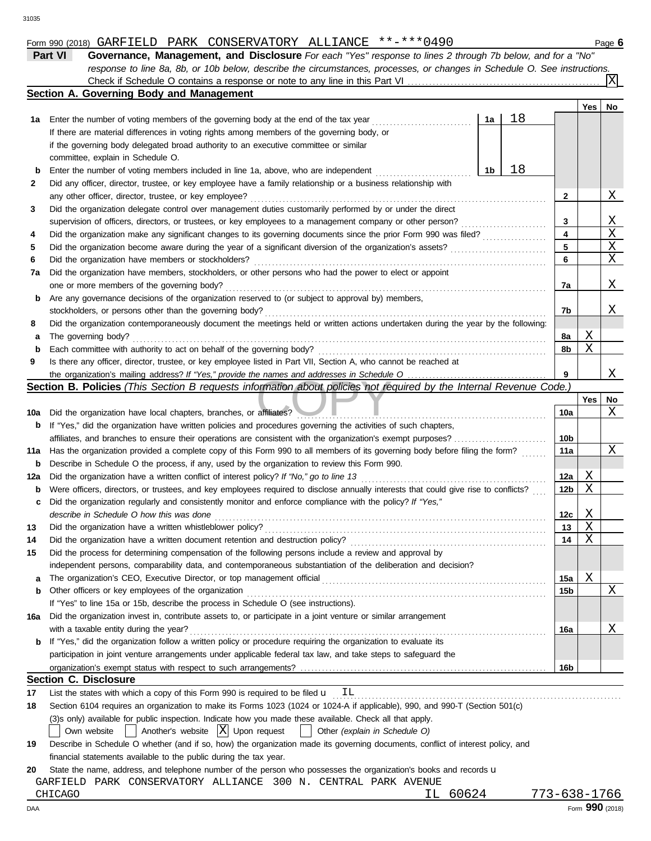|  |  |  |  | Form 990 (2018) GARFIELD PARK CONSERVATORY ALLIANCE **-***0490 |  |  |
|--|--|--|--|----------------------------------------------------------------|--|--|
|--|--|--|--|----------------------------------------------------------------|--|--|

|     | Form 990 (2018) GARFIELD PARK CONSERVATORY ALLIANCE **-***0490                                                                                                                                                                          |                 |     | Page 6                  |
|-----|-----------------------------------------------------------------------------------------------------------------------------------------------------------------------------------------------------------------------------------------|-----------------|-----|-------------------------|
|     | Part VI<br>Governance, Management, and Disclosure For each "Yes" response to lines 2 through 7b below, and for a "No"                                                                                                                   |                 |     |                         |
|     | response to line 8a, 8b, or 10b below, describe the circumstances, processes, or changes in Schedule O. See instructions.                                                                                                               |                 |     |                         |
|     |                                                                                                                                                                                                                                         |                 |     | $\overline{\mathrm{x}}$ |
|     | Section A. Governing Body and Management                                                                                                                                                                                                |                 |     |                         |
|     |                                                                                                                                                                                                                                         |                 | Yes | No                      |
| 1а  | 18<br>Enter the number of voting members of the governing body at the end of the tax year<br>1a                                                                                                                                         |                 |     |                         |
|     | If there are material differences in voting rights among members of the governing body, or                                                                                                                                              |                 |     |                         |
|     | if the governing body delegated broad authority to an executive committee or similar                                                                                                                                                    |                 |     |                         |
|     | committee, explain in Schedule O.                                                                                                                                                                                                       |                 |     |                         |
| b   | 18<br>1b<br>Enter the number of voting members included in line 1a, above, who are independent                                                                                                                                          |                 |     |                         |
| 2   | Did any officer, director, trustee, or key employee have a family relationship or a business relationship with                                                                                                                          |                 |     |                         |
|     | any other officer, director, trustee, or key employee?                                                                                                                                                                                  | 2               |     | Χ                       |
| 3   | Did the organization delegate control over management duties customarily performed by or under the direct                                                                                                                               |                 |     |                         |
|     | supervision of officers, directors, or trustees, or key employees to a management company or other person?<br><u> 1999 - Johann Stoff, martin Stoff, martin Stoff, martin Stoff, martin Stoff, martin Stoff, martin Stoff, martin S</u> | 3               |     | <u>X</u>                |
| 4   | Did the organization make any significant changes to its governing documents since the prior Form 990 was filed?                                                                                                                        | 4               |     | X                       |
| 5   | Did the organization become aware during the year of a significant diversion of the organization's assets?                                                                                                                              | 5               |     | $\mathbf X$             |
| 6   | Did the organization have members or stockholders?                                                                                                                                                                                      | 6               |     | Χ                       |
| 7а  | Did the organization have members, stockholders, or other persons who had the power to elect or appoint                                                                                                                                 |                 |     |                         |
|     | one or more members of the governing body?                                                                                                                                                                                              | 7a              |     | Χ                       |
| b   | Are any governance decisions of the organization reserved to (or subject to approval by) members,                                                                                                                                       |                 |     |                         |
|     | stockholders, or persons other than the governing body?                                                                                                                                                                                 | 7b              |     | Χ                       |
| 8   | Did the organization contemporaneously document the meetings held or written actions undertaken during the year by the following:                                                                                                       |                 |     |                         |
| а   | The governing body?                                                                                                                                                                                                                     | 8а              | Χ   |                         |
| b   | Each committee with authority to act on behalf of the governing body?                                                                                                                                                                   | 8b              | Χ   |                         |
| 9   | Is there any officer, director, trustee, or key employee listed in Part VII, Section A, who cannot be reached at                                                                                                                        |                 |     |                         |
|     |                                                                                                                                                                                                                                         | 9               |     | Χ                       |
|     | Section B. Policies (This Section B requests information about policies not required by the Internal Revenue Code.)                                                                                                                     |                 |     |                         |
|     |                                                                                                                                                                                                                                         |                 | Yes | No                      |
| 10a | Did the organization have local chapters, branches, or affiliates?                                                                                                                                                                      | 10a             |     | Χ                       |
| b   | If "Yes," did the organization have written policies and procedures governing the activities of such chapters,                                                                                                                          |                 |     |                         |
|     | affiliates, and branches to ensure their operations are consistent with the organization's exempt purposes?                                                                                                                             | 10 <sub>b</sub> |     |                         |
| 11a | Has the organization provided a complete copy of this Form 990 to all members of its governing body before filing the form?                                                                                                             | 11a             |     | Χ                       |
| b   | Describe in Schedule O the process, if any, used by the organization to review this Form 990.                                                                                                                                           |                 |     |                         |
| 12a | Did the organization have a written conflict of interest policy? If "No," go to line 13                                                                                                                                                 | 12a             | Χ   |                         |
| b   | Were officers, directors, or trustees, and key employees required to disclose annually interests that could give rise to conflicts?                                                                                                     | 12b             | Χ   |                         |
| c   | Did the organization regularly and consistently monitor and enforce compliance with the policy? If "Yes,"                                                                                                                               |                 |     |                         |
|     | describe in Schedule O how this was done                                                                                                                                                                                                | 12c             | Χ   |                         |
| 13  | Did the organization have a written whistleblower policy?                                                                                                                                                                               | 13              | Χ   |                         |
| 14  | Did the organization have a written document retention and destruction policy?                                                                                                                                                          | 14              | Χ   |                         |
| 15  | Did the process for determining compensation of the following persons include a review and approval by                                                                                                                                  |                 |     |                         |
|     | independent persons, comparability data, and contemporaneous substantiation of the deliberation and decision?                                                                                                                           |                 |     |                         |
| а   |                                                                                                                                                                                                                                         | 15a             | Χ   |                         |
| b   | Other officers or key employees of the organization                                                                                                                                                                                     | 15b             |     | Χ                       |
|     | If "Yes" to line 15a or 15b, describe the process in Schedule O (see instructions).                                                                                                                                                     |                 |     |                         |
| 16a | Did the organization invest in, contribute assets to, or participate in a joint venture or similar arrangement                                                                                                                          |                 |     |                         |
|     | with a taxable entity during the year?                                                                                                                                                                                                  | 16a             |     | Χ                       |
| b   | If "Yes," did the organization follow a written policy or procedure requiring the organization to evaluate its                                                                                                                          |                 |     |                         |
|     | participation in joint venture arrangements under applicable federal tax law, and take steps to safeguard the                                                                                                                           |                 |     |                         |
|     |                                                                                                                                                                                                                                         | 16b             |     |                         |

|            | ישעו                                                                                                                            |
|------------|---------------------------------------------------------------------------------------------------------------------------------|
|            | <b>Section C. Disclosure</b>                                                                                                    |
| 17         | List the states with which a copy of this Form 990 is required to be filed $\mathbf{u}$ IL                                      |
| 18         | Section 6104 requires an organization to make its Forms 1023 (1024 or 1024-A if applicable), 990, and 990-T (Section 501(c)     |
|            | (3)s only) available for public inspection. Indicate how you made these available. Check all that apply.                        |
|            | Own website $\Box$ Another's website $\Box$ Upon request $\Box$ Other (explain in Schedule O)                                   |
| 19         | Describe in Schedule O whether (and if so, how) the organization made its governing documents, conflict of interest policy, and |
|            | financial statements available to the public during the tax year.                                                               |
| 20         | State the name, address, and telephone number of the person who possesses the organization's books and records <b>u</b>         |
|            | PARK CONSERVATORY ALLIANCE 300 N. CENTRAL PARK AVENUE<br>GARFIELD                                                               |
|            | 773-638-1766<br>60624<br>CHICAGO<br>TT.                                                                                         |
| <b>DAA</b> | Form 990 (2018)                                                                                                                 |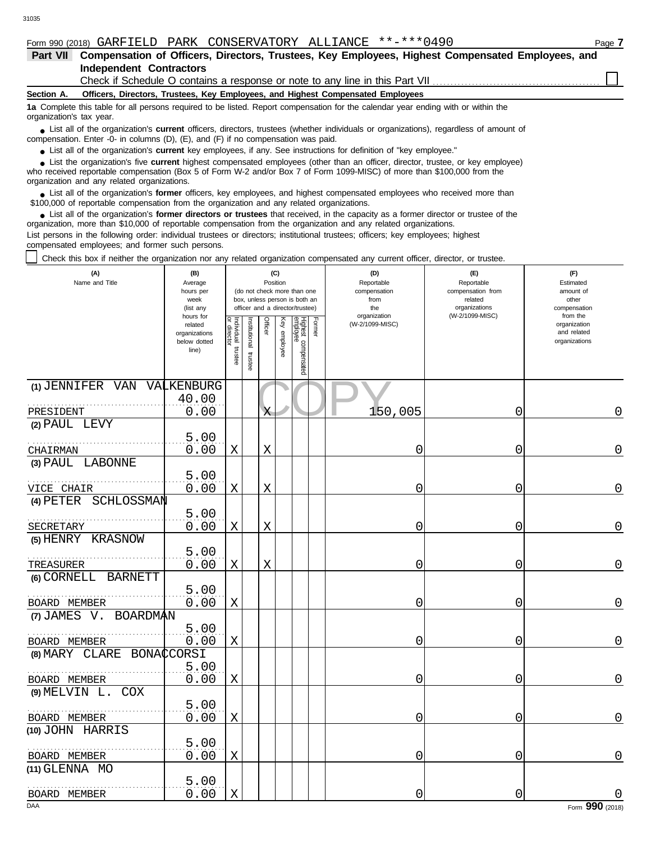● List all of the organization's **current** key employees, if any. See instructions for definition of "key employee."

who received reportable compensation (Box 5 of Form W-2 and/or Box 7 of Form 1099-MISC) of more than \$100,000 from the organization and any related organizations. ■ List the organization's five **current** highest compensated employees (other than an officer, director, trustee, or key employee)<br> **•** Preceived reportable compensation (Box 5 of Form W.2 and/or Box 7 of Form 1000 MISC)

■ List all of the organization's **former** officers, key employees, and highest compensated employees who received more than<br> **•** 00,000 of reportable compensation from the ergonization and any related ergonizations \$100,000 of reportable compensation from the organization and any related organizations.

■ List all of the organization's **former directors or trustees** that received, in the capacity as a former director or trustee of the<br>paization, more than \$10,000 of reportable compensation from the organization and any r organization, more than \$10,000 of reportable compensation from the organization and any related organizations. List persons in the following order: individual trustees or directors; institutional trustees; officers; key employees; highest compensated employees; and former such persons.

Check this box if neither the organization nor any related organization compensated any current officer, director, or trustee.

| (A)<br>Name and Title                    | (B)<br>Average<br>hours per<br>week<br>(list any               |                                      |                          | (C)<br>Position<br>(do not check more than one<br>box, unless person is both an<br>officer and a director/trustee) |              |                                 |        | (D)<br>Reportable<br>compensation<br>from<br>the | (E)<br>Reportable<br>compensation from<br>related<br>organizations | (F)<br>Estimated<br>amount of<br>other<br>compensation   |
|------------------------------------------|----------------------------------------------------------------|--------------------------------------|--------------------------|--------------------------------------------------------------------------------------------------------------------|--------------|---------------------------------|--------|--------------------------------------------------|--------------------------------------------------------------------|----------------------------------------------------------|
|                                          | hours for<br>related<br>organizations<br>below dotted<br>line) | Individual<br>or director<br>trustee | Institutional<br>trustee | Officer                                                                                                            | Key employee | Highest compensated<br>employee | Former | organization<br>(W-2/1099-MISC)                  | (W-2/1099-MISC)                                                    | from the<br>organization<br>and related<br>organizations |
| (1) JENNIFER VAN VALKENBURG<br>PRESIDENT | 40.00<br>0.00                                                  |                                      |                          | Χ                                                                                                                  |              |                                 |        | 150,005                                          | 0                                                                  | 0                                                        |
| (2) PAUL LEVY                            |                                                                |                                      |                          |                                                                                                                    |              |                                 |        |                                                  |                                                                    |                                                          |
| CHAIRMAN                                 | 5.00<br>0.00                                                   | X                                    |                          | X                                                                                                                  |              |                                 |        | 0                                                | 0                                                                  | 0                                                        |
| (3) PAUL LABONNE                         |                                                                |                                      |                          |                                                                                                                    |              |                                 |        |                                                  |                                                                    |                                                          |
| VICE CHAIR                               | 5.00<br>0.00                                                   | $\mathbf X$                          |                          | $\rm X$                                                                                                            |              |                                 |        | 0                                                | 0                                                                  | 0                                                        |
| (4) PETER SCHLOSSMAN                     |                                                                |                                      |                          |                                                                                                                    |              |                                 |        |                                                  |                                                                    |                                                          |
| SECRETARY                                | 5.00<br>0.00                                                   | Χ                                    |                          | X                                                                                                                  |              |                                 |        | 0                                                | 0                                                                  | 0                                                        |
| (5) HENRY KRASNOW                        | 5.00                                                           |                                      |                          |                                                                                                                    |              |                                 |        |                                                  |                                                                    |                                                          |
| TREASURER                                | 0.00                                                           | X                                    |                          | Χ                                                                                                                  |              |                                 |        | 0                                                | 0                                                                  | 0                                                        |
| (6) CORNELL BARNETT                      |                                                                |                                      |                          |                                                                                                                    |              |                                 |        |                                                  |                                                                    |                                                          |
| BOARD MEMBER                             | 5.00<br>0.00                                                   | Χ                                    |                          |                                                                                                                    |              |                                 |        | 0                                                | 0                                                                  | 0                                                        |
| (7) JAMES V. BOARDMAN                    |                                                                |                                      |                          |                                                                                                                    |              |                                 |        |                                                  |                                                                    |                                                          |
| BOARD MEMBER                             | 5.00<br>0.00                                                   | Χ                                    |                          |                                                                                                                    |              |                                 |        | 0                                                | 0                                                                  | 0                                                        |
| (8) MARY CLARE BONACCORSI                |                                                                |                                      |                          |                                                                                                                    |              |                                 |        |                                                  |                                                                    |                                                          |
| BOARD MEMBER                             | 5.00<br>0.00                                                   | X                                    |                          |                                                                                                                    |              |                                 |        | 0                                                | 0                                                                  | 0                                                        |
| (9) MELVIN L. COX                        |                                                                |                                      |                          |                                                                                                                    |              |                                 |        |                                                  |                                                                    |                                                          |
| BOARD MEMBER                             | 5.00<br>0.00                                                   | $\mathbf X$                          |                          |                                                                                                                    |              |                                 |        | 0                                                | 0                                                                  | 0                                                        |
| (10) JOHN HARRIS                         |                                                                |                                      |                          |                                                                                                                    |              |                                 |        |                                                  |                                                                    |                                                          |
| BOARD MEMBER                             | 5.00<br>0.00                                                   | Χ                                    |                          |                                                                                                                    |              |                                 |        | 0                                                | 0                                                                  | 0                                                        |
| (11) GLENNA MO                           |                                                                |                                      |                          |                                                                                                                    |              |                                 |        |                                                  |                                                                    |                                                          |
| BOARD MEMBER                             | 5.00<br>0.00                                                   | $\mathbf X$                          |                          |                                                                                                                    |              |                                 |        | 0                                                | 0                                                                  | 0                                                        |
| DAA                                      |                                                                |                                      |                          |                                                                                                                    |              |                                 |        |                                                  |                                                                    | Form 990 (2018)                                          |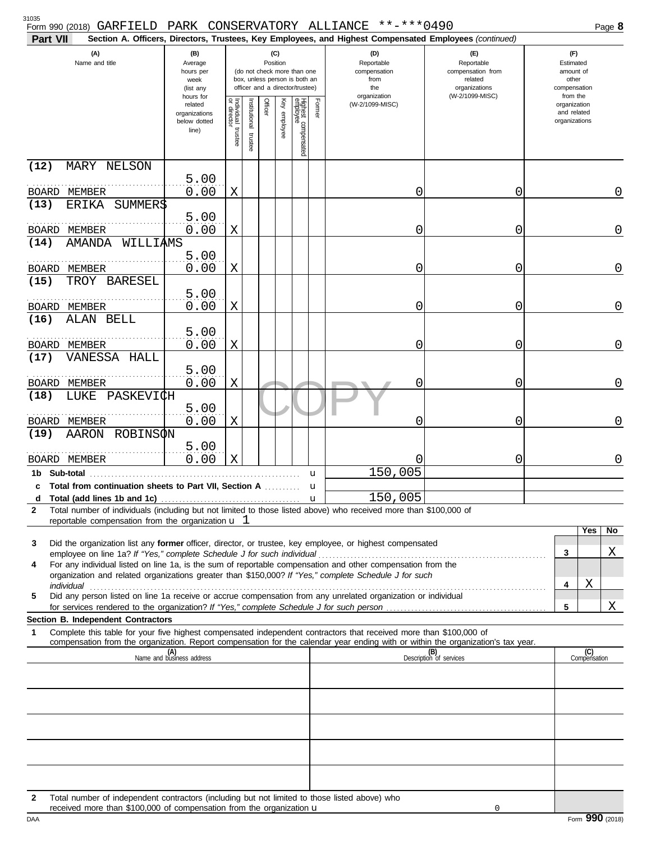| ۰.<br>× | ۰.<br>۰.<br>×<br>۰.<br>× |
|---------|--------------------------|

| Form 990 (2018) GARFIELD                                                                                                                                                                                                                                                                                                                        |                                                                |                                      |                         |                                                                                                                    |              |                                 |        | PARK CONSERVATORY ALLIANCE **-***0490                                                                  |                                                                                       |                                                                    | Page 8              |
|-------------------------------------------------------------------------------------------------------------------------------------------------------------------------------------------------------------------------------------------------------------------------------------------------------------------------------------------------|----------------------------------------------------------------|--------------------------------------|-------------------------|--------------------------------------------------------------------------------------------------------------------|--------------|---------------------------------|--------|--------------------------------------------------------------------------------------------------------|---------------------------------------------------------------------------------------|--------------------------------------------------------------------|---------------------|
| Part VII                                                                                                                                                                                                                                                                                                                                        |                                                                |                                      |                         |                                                                                                                    |              |                                 |        | Section A. Officers, Directors, Trustees, Key Employees, and Highest Compensated Employees (continued) |                                                                                       |                                                                    |                     |
| (A)<br>Name and title                                                                                                                                                                                                                                                                                                                           | (B)<br>Average<br>hours per<br>week<br>(list any               |                                      |                         | (C)<br>Position<br>(do not check more than one<br>box, unless person is both an<br>officer and a director/trustee) |              |                                 |        | (D)<br>Reportable<br>compensation<br>from<br>the<br>organization                                       | (E)<br>Reportable<br>compensation from<br>related<br>organizations<br>(W-2/1099-MISC) | (F)<br>Estimated<br>amount of<br>other<br>compensation<br>from the |                     |
|                                                                                                                                                                                                                                                                                                                                                 | hours for<br>related<br>organizations<br>below dotted<br>line) | Individual<br>or director<br>trustee | nstitutional<br>trustee | Officer                                                                                                            | Key employee | Highest compensated<br>employee | Former | (W-2/1099-MISC)                                                                                        |                                                                                       | organization<br>and related<br>organizations                       |                     |
| (12)<br>MARY NELSON                                                                                                                                                                                                                                                                                                                             |                                                                |                                      |                         |                                                                                                                    |              |                                 |        |                                                                                                        |                                                                                       |                                                                    |                     |
| BOARD MEMBER                                                                                                                                                                                                                                                                                                                                    | 5.00<br>0.00                                                   | Χ                                    |                         |                                                                                                                    |              |                                 |        | 0                                                                                                      | 0                                                                                     |                                                                    | 0                   |
| SUMMER\$<br>(13)<br>ERIKA                                                                                                                                                                                                                                                                                                                       |                                                                |                                      |                         |                                                                                                                    |              |                                 |        |                                                                                                        |                                                                                       |                                                                    |                     |
|                                                                                                                                                                                                                                                                                                                                                 | 5.00                                                           |                                      |                         |                                                                                                                    |              |                                 |        |                                                                                                        |                                                                                       |                                                                    |                     |
| BOARD MEMBER<br>WILLIAMS<br>(14)<br><b>AMANDA</b>                                                                                                                                                                                                                                                                                               | 0.00                                                           | Χ                                    |                         |                                                                                                                    |              |                                 |        | 0                                                                                                      | 0                                                                                     |                                                                    | $\overline{0}$      |
|                                                                                                                                                                                                                                                                                                                                                 | 5.00                                                           |                                      |                         |                                                                                                                    |              |                                 |        |                                                                                                        |                                                                                       |                                                                    |                     |
| BOARD MEMBER                                                                                                                                                                                                                                                                                                                                    | 0.00                                                           | Χ                                    |                         |                                                                                                                    |              |                                 |        | 0                                                                                                      | 0                                                                                     |                                                                    | $\overline{0}$      |
| TROY BARESEL<br>(15)                                                                                                                                                                                                                                                                                                                            |                                                                |                                      |                         |                                                                                                                    |              |                                 |        |                                                                                                        |                                                                                       |                                                                    |                     |
| BOARD MEMBER                                                                                                                                                                                                                                                                                                                                    | 5.00<br>0.00                                                   | Χ                                    |                         |                                                                                                                    |              |                                 |        | 0                                                                                                      | 0                                                                                     |                                                                    | $\overline{0}$      |
| ALAN BELL<br>(16)                                                                                                                                                                                                                                                                                                                               |                                                                |                                      |                         |                                                                                                                    |              |                                 |        |                                                                                                        |                                                                                       |                                                                    |                     |
|                                                                                                                                                                                                                                                                                                                                                 | 5.00                                                           |                                      |                         |                                                                                                                    |              |                                 |        |                                                                                                        |                                                                                       |                                                                    |                     |
| BOARD MEMBER<br>VANESSA HALL<br>(17)                                                                                                                                                                                                                                                                                                            | 0.00                                                           | Χ                                    |                         |                                                                                                                    |              |                                 |        | 0                                                                                                      | 0                                                                                     |                                                                    | $\overline{0}$      |
|                                                                                                                                                                                                                                                                                                                                                 | 5.00                                                           |                                      |                         |                                                                                                                    |              |                                 |        |                                                                                                        |                                                                                       |                                                                    |                     |
| BOARD MEMBER                                                                                                                                                                                                                                                                                                                                    | 0.00                                                           | Χ                                    |                         |                                                                                                                    |              |                                 |        | C                                                                                                      | 0                                                                                     |                                                                    | $\overline{0}$      |
| PASKEVI¢H<br>(18)<br>LUKE                                                                                                                                                                                                                                                                                                                       | 5.00                                                           |                                      |                         |                                                                                                                    |              |                                 |        |                                                                                                        |                                                                                       |                                                                    |                     |
| BOARD MEMBER                                                                                                                                                                                                                                                                                                                                    | 0.00                                                           | X                                    |                         |                                                                                                                    |              |                                 |        | 0                                                                                                      | 0                                                                                     |                                                                    | $\overline{0}$      |
| ROBINSØN<br>(19)<br>AARON                                                                                                                                                                                                                                                                                                                       |                                                                |                                      |                         |                                                                                                                    |              |                                 |        |                                                                                                        |                                                                                       |                                                                    |                     |
| BOARD MEMBER                                                                                                                                                                                                                                                                                                                                    | 5.00<br>0.00                                                   | $\mathbf X$                          |                         |                                                                                                                    |              |                                 |        |                                                                                                        | 0                                                                                     |                                                                    | 0                   |
| 1b Sub-total                                                                                                                                                                                                                                                                                                                                    |                                                                |                                      |                         |                                                                                                                    |              |                                 | u      | 150,005                                                                                                |                                                                                       |                                                                    |                     |
| c Total from continuation sheets to Part VII, Section A                                                                                                                                                                                                                                                                                         |                                                                |                                      |                         |                                                                                                                    |              |                                 | u      |                                                                                                        |                                                                                       |                                                                    |                     |
| Total number of individuals (including but not limited to those listed above) who received more than \$100,000 of<br>$\mathbf{2}$                                                                                                                                                                                                               |                                                                |                                      |                         |                                                                                                                    |              |                                 |        | 150,005                                                                                                |                                                                                       |                                                                    |                     |
| reportable compensation from the organization $\mathbf u$ 1                                                                                                                                                                                                                                                                                     |                                                                |                                      |                         |                                                                                                                    |              |                                 |        |                                                                                                        |                                                                                       |                                                                    |                     |
| Did the organization list any former officer, director, or trustee, key employee, or highest compensated<br>3                                                                                                                                                                                                                                   |                                                                |                                      |                         |                                                                                                                    |              |                                 |        |                                                                                                        |                                                                                       |                                                                    | Yes<br>No           |
|                                                                                                                                                                                                                                                                                                                                                 |                                                                |                                      |                         |                                                                                                                    |              |                                 |        |                                                                                                        |                                                                                       | 3                                                                  | Χ                   |
| For any individual listed on line 1a, is the sum of reportable compensation and other compensation from the<br>4<br>organization and related organizations greater than \$150,000? If "Yes," complete Schedule J for such                                                                                                                       |                                                                |                                      |                         |                                                                                                                    |              |                                 |        |                                                                                                        |                                                                                       |                                                                    |                     |
| individual with the contract of the contract of the contract of the contract of the contract of the contract of the contract of the contract of the contract of the contract of the contract of the contract of the contract o<br>Did any person listed on line 1a receive or accrue compensation from any unrelated organization or individual |                                                                |                                      |                         |                                                                                                                    |              |                                 |        |                                                                                                        |                                                                                       | 4                                                                  | Χ                   |
| 5                                                                                                                                                                                                                                                                                                                                               |                                                                |                                      |                         |                                                                                                                    |              |                                 |        |                                                                                                        |                                                                                       | 5                                                                  | Χ                   |
| Section B. Independent Contractors                                                                                                                                                                                                                                                                                                              |                                                                |                                      |                         |                                                                                                                    |              |                                 |        |                                                                                                        |                                                                                       |                                                                    |                     |
| Complete this table for your five highest compensated independent contractors that received more than \$100,000 of<br>1<br>compensation from the organization. Report compensation for the calendar year ending with or within the organization's tax year.                                                                                     |                                                                |                                      |                         |                                                                                                                    |              |                                 |        |                                                                                                        |                                                                                       |                                                                    |                     |
|                                                                                                                                                                                                                                                                                                                                                 | (A)<br>Name and business address                               |                                      |                         |                                                                                                                    |              |                                 |        |                                                                                                        | (B)<br>Description of services                                                        |                                                                    | (C)<br>Compensation |
|                                                                                                                                                                                                                                                                                                                                                 |                                                                |                                      |                         |                                                                                                                    |              |                                 |        |                                                                                                        |                                                                                       |                                                                    |                     |
|                                                                                                                                                                                                                                                                                                                                                 |                                                                |                                      |                         |                                                                                                                    |              |                                 |        |                                                                                                        |                                                                                       |                                                                    |                     |
|                                                                                                                                                                                                                                                                                                                                                 |                                                                |                                      |                         |                                                                                                                    |              |                                 |        |                                                                                                        |                                                                                       |                                                                    |                     |
|                                                                                                                                                                                                                                                                                                                                                 |                                                                |                                      |                         |                                                                                                                    |              |                                 |        |                                                                                                        |                                                                                       |                                                                    |                     |
|                                                                                                                                                                                                                                                                                                                                                 |                                                                |                                      |                         |                                                                                                                    |              |                                 |        |                                                                                                        |                                                                                       |                                                                    |                     |
|                                                                                                                                                                                                                                                                                                                                                 |                                                                |                                      |                         |                                                                                                                    |              |                                 |        |                                                                                                        |                                                                                       |                                                                    |                     |
|                                                                                                                                                                                                                                                                                                                                                 |                                                                |                                      |                         |                                                                                                                    |              |                                 |        |                                                                                                        |                                                                                       |                                                                    |                     |
| Total number of independent contractors (including but not limited to those listed above) who<br>$\mathbf{2}$                                                                                                                                                                                                                                   |                                                                |                                      |                         |                                                                                                                    |              |                                 |        |                                                                                                        |                                                                                       |                                                                    |                     |

|  |  |  |  | (2018) GARFIELD PARK CONSERVATORY ALLIANCE **-***0490 |  |  |  |
|--|--|--|--|-------------------------------------------------------|--|--|--|
|--|--|--|--|-------------------------------------------------------|--|--|--|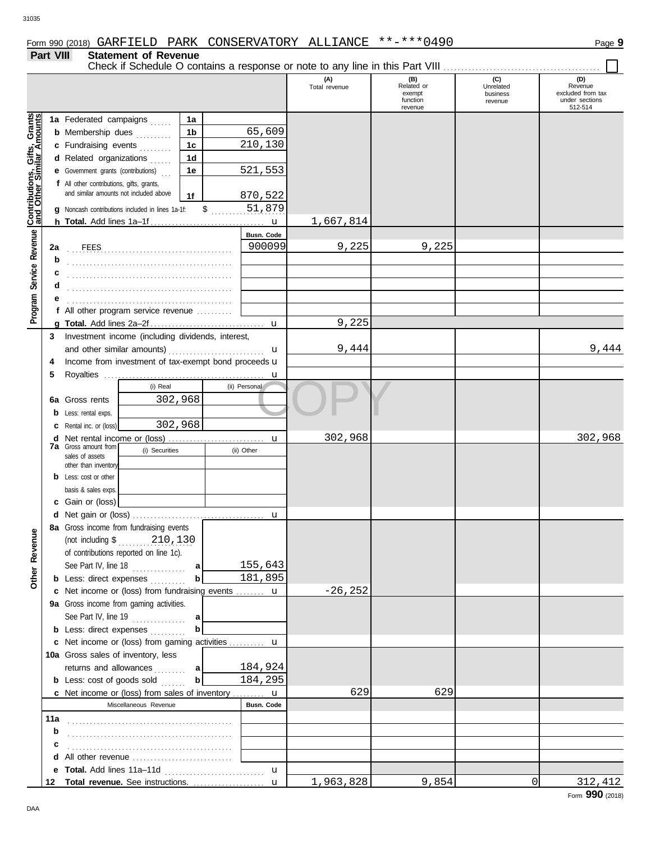## **Part VIII Statement of Revenue**

Check if Schedule O contains a response or note to any line in this Part VIII . . . . . . . . . . . . . . . . . . . . . . . . . . . . . . . . . . . . . . . . . . . .

|                                              |     |                                                                    |                |                              | (A)<br>Total revenue | (B)<br>Related or<br>exempt | (C)<br>Unrelated<br>business | (D)<br>Revenue<br>excluded from tax |
|----------------------------------------------|-----|--------------------------------------------------------------------|----------------|------------------------------|----------------------|-----------------------------|------------------------------|-------------------------------------|
|                                              |     |                                                                    |                |                              |                      | function<br>revenue         | revenue                      | under sections<br>512-514           |
|                                              |     | 1a Federated campaigns                                             | 1a             |                              |                      |                             |                              |                                     |
|                                              |     | <b>b</b> Membership dues                                           | 1 <sub>b</sub> | 65,609                       |                      |                             |                              |                                     |
|                                              |     | c Fundraising events                                               | 1 <sub>c</sub> | 210,130                      |                      |                             |                              |                                     |
|                                              |     | d Related organizations<br>$\mathbb{R}$                            | 1 <sub>d</sub> |                              |                      |                             |                              |                                     |
|                                              |     | <b>e</b> Government grants (contributions)                         | 1e             | 521,553                      |                      |                             |                              |                                     |
|                                              |     | f All other contributions, gifts, grants,                          |                |                              |                      |                             |                              |                                     |
|                                              |     | and similar amounts not included above                             | 1f             | 870,522                      |                      |                             |                              |                                     |
|                                              |     | <b>q</b> Noncash contributions included in lines 1a-1f:            | $\mathsf{\$}$  | 51,879                       |                      |                             |                              |                                     |
| Service Revenue Contributions, Gifts, Grants |     |                                                                    |                |                              | 1,667,814            |                             |                              |                                     |
|                                              |     |                                                                    |                | Busn. Code                   |                      |                             |                              |                                     |
|                                              | 2a  |                                                                    |                | 900099                       | 9,225                | 9,225                       |                              |                                     |
|                                              | b   |                                                                    |                |                              |                      |                             |                              |                                     |
|                                              |     |                                                                    |                |                              |                      |                             |                              |                                     |
|                                              | d   |                                                                    |                |                              |                      |                             |                              |                                     |
|                                              |     |                                                                    |                |                              |                      |                             |                              |                                     |
| Program                                      |     | f All other program service revenue                                |                |                              |                      |                             |                              |                                     |
|                                              |     |                                                                    |                |                              | 9,225                |                             |                              |                                     |
|                                              | 3   | Investment income (including dividends, interest,                  |                |                              |                      |                             |                              |                                     |
|                                              |     | and other similar amounts)                                         |                | u                            | 9,444                |                             |                              | 9,444                               |
|                                              | 4   | Income from investment of tax-exempt bond proceeds u               |                |                              |                      |                             |                              |                                     |
|                                              | 5   |                                                                    |                | $\mathbf u$                  |                      |                             |                              |                                     |
|                                              |     | (i) Real                                                           |                | (ii) Personal                |                      |                             |                              |                                     |
|                                              |     | 302,968<br><b>6a</b> Gross rents                                   |                |                              |                      |                             |                              |                                     |
|                                              | b   | Less: rental exps.                                                 |                |                              |                      |                             |                              |                                     |
|                                              | с   | 302,968<br>Rental inc. or (loss)                                   |                |                              |                      |                             |                              |                                     |
|                                              | d   |                                                                    |                | u                            | 302,968              |                             |                              | 302,968                             |
|                                              |     | <b>7a</b> Gross amount from<br>(i) Securities<br>sales of assets   |                | (ii) Other                   |                      |                             |                              |                                     |
|                                              |     | other than inventory                                               |                |                              |                      |                             |                              |                                     |
|                                              |     | <b>b</b> Less: cost or other                                       |                |                              |                      |                             |                              |                                     |
|                                              |     | basis & sales exps.                                                |                |                              |                      |                             |                              |                                     |
|                                              |     | c Gain or (loss)                                                   |                |                              |                      |                             |                              |                                     |
|                                              | d   |                                                                    |                | u                            |                      |                             |                              |                                     |
|                                              |     | 8a Gross income from fundraising events                            |                |                              |                      |                             |                              |                                     |
| venue                                        |     | 210,130<br>(not including $\$\dots$                                |                |                              |                      |                             |                              |                                     |
| <b>Re</b>                                    |     | of contributions reported on line 1c).                             |                |                              |                      |                             |                              |                                     |
|                                              |     | See Part IV, line 18                                               | a              | 155,643                      |                      |                             |                              |                                     |
| <b>Other</b>                                 |     | <b>b</b> Less: direct expenses                                     | b              | 181,895                      |                      |                             |                              |                                     |
|                                              |     | c Net income or (loss) from fundraising events  u                  |                |                              | $-26, 252$           |                             |                              |                                     |
|                                              |     | 9a Gross income from gaming activities.                            |                |                              |                      |                             |                              |                                     |
|                                              |     | See Part IV, line 19                                               | a              |                              |                      |                             |                              |                                     |
|                                              |     | <b>b</b> Less: direct expenses                                     | b              |                              |                      |                             |                              |                                     |
|                                              |     | c Net income or (loss) from gaming activities  u                   |                |                              |                      |                             |                              |                                     |
|                                              |     | 10a Gross sales of inventory, less                                 |                |                              |                      |                             |                              |                                     |
|                                              |     | returns and allowances                                             | a              | 184,924                      |                      |                             |                              |                                     |
|                                              |     | <b>b</b> Less: cost of goods sold                                  | $\mathbf{b}$   | 184,295                      |                      |                             |                              |                                     |
|                                              |     | <b>c</b> Net income or (loss) from sales of inventory $\mathbf{u}$ |                |                              | 629                  | 629                         |                              |                                     |
|                                              |     | Miscellaneous Revenue                                              |                | <b>Busn. Code</b>            |                      |                             |                              |                                     |
|                                              | 11a |                                                                    |                |                              |                      |                             |                              |                                     |
|                                              | b   |                                                                    |                |                              |                      |                             |                              |                                     |
|                                              | с   | All other revenue                                                  |                |                              |                      |                             |                              |                                     |
|                                              | d   |                                                                    |                |                              |                      |                             |                              |                                     |
|                                              |     | 12 Total revenue. See instructions.                                |                | $\mathbf{u}$<br>$\mathbf{u}$ | 1,963,828            | 9,854                       | 0                            | 312,412                             |
|                                              |     |                                                                    |                |                              |                      |                             |                              |                                     |

DAA

 $\blacksquare$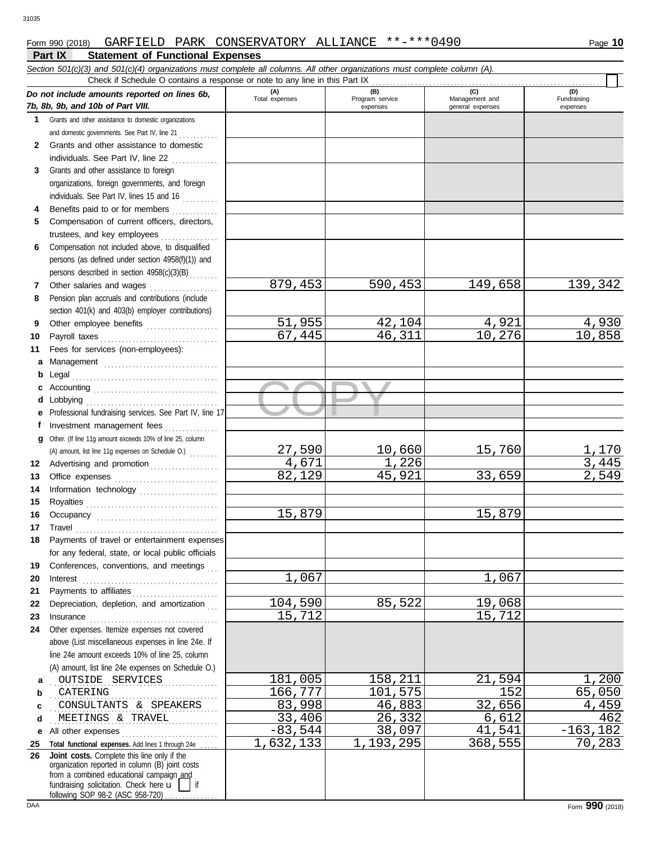## **Part IX Statement of Functional Expenses** Form 990 (2018) Page **10** GARFIELD PARK CONSERVATORY ALLIANCE \*\*-\*\*\*0490

| Check if Schedule O contains a response or note to any line in this Part IX<br>(A)<br>(B)<br>(C)<br>(D)<br>Do not include amounts reported on lines 6b,<br>Total expenses<br>Program service<br>Fundraising<br>Management and<br>7b, 8b, 9b, and 10b of Part VIII.<br>expenses<br>general expenses<br>expenses<br>1 Grants and other assistance to domestic organizations<br>and domestic governments. See Part IV, line 21<br>Grants and other assistance to domestic<br>2<br>individuals. See Part IV, line 22<br>Grants and other assistance to foreign<br>3<br>organizations, foreign governments, and foreign<br>individuals. See Part IV, lines 15 and 16<br>Benefits paid to or for members<br>4<br>Compensation of current officers, directors,<br>5<br>trustees, and key employees<br>Compensation not included above, to disqualified<br>6<br>persons (as defined under section 4958(f)(1)) and<br>persons described in section 4958(c)(3)(B)<br>879,453<br>139,342<br>590,453<br>149,658<br>Other salaries and wages<br>7<br>Pension plan accruals and contributions (include<br>8<br>section 401(k) and 403(b) employer contributions)<br>51,955<br>4,930<br>42,104<br>4,921<br>Other employee benefits<br>9<br>46,311<br>10,276<br>10,858<br>67,445<br>Payroll taxes<br>10<br>Fees for services (non-employees):<br>11<br>Management<br>a<br>b<br>c<br>d<br>Professional fundraising services. See Part IV, line 17<br>е<br>Investment management fees<br>f<br>Other. (If line 11g amount exceeds 10% of line 25, column<br>g<br>27,590<br>10,660<br>15,760<br>1,170<br>(A) amount, list line 11g expenses on Schedule O.)<br>4,671<br>3,445<br>1,226<br>Advertising and promotion<br>12<br>2,549<br>82,129<br>45,921<br>33,659<br>13<br>14<br>15<br>15,879<br>15,879<br>16<br>$\begin{minipage}[c]{0.9\linewidth} \begin{tabular}{l} \textbf{True} \end{tabular} \end{minipage} \begin{minipage}[c]{0.9\linewidth} \begin{tabular}{l} \textbf{True} \end{tabular} \end{minipage} \end{minipage} \begin{minipage}[c]{0.9\linewidth} \begin{tabular}{l} \textbf{True} \end{tabular} \end{minipage} \end{minipage} \begin{minipage}[c]{0.9\linewidth} \begin{tabular}{l} \textbf{True} \end{tabular} \end{minipage} \end{minipage} \begin{minipage}[c]{0.9\linewidth} \begin{tabular}{l} \textbf{True} \end$<br>17<br>Payments of travel or entertainment expenses<br>for any federal, state, or local public officials<br>Conferences, conventions, and meetings<br>19<br>$\overline{1}$ , 067<br>1,067<br>20<br>Payments to affiliates<br>21<br>104,590<br>85,522<br>19,068<br>Depreciation, depletion, and amortization<br>22<br>15,712<br>15,712<br>23<br>$In \textbf{surance} \begin{tabular}{@{}l@{}} \hline \textbf{unsum} & \textbf{unsum} \\ \hline \textbf{unsum} & \textbf{unsum} \\ \hline \textbf{unsum} & \textbf{unsum} \\ \hline \textbf{unsum} & \textbf{unsum} \\ \hline \textbf{unsum} & \textbf{unsum} \\ \hline \textbf{unsum} & \textbf{unsum} \\ \hline \textbf{unsum} & \textbf{unsum} \\ \hline \textbf{unsum} & \textbf{unsum} \\ \hline \textbf{unsum} & \textbf{unsum} \\ \hline \textbf{unsum} & \textbf{unsum} \\ \hline \textbf{unsum}$<br>Other expenses. Itemize expenses not covered<br>24<br>above (List miscellaneous expenses in line 24e. If<br>line 24e amount exceeds 10% of line 25, column<br>(A) amount, list line 24e expenses on Schedule O.)<br>181,005<br>158,211<br>21,594<br>1,200<br>OUTSIDE SERVICES<br>а<br>166,777<br>101,575<br>152<br>65,050<br>CATERING<br>b<br>83,998<br>32,656<br>46,883<br>4,459<br>CONSULTANTS & SPEAKERS<br>c<br>26, 332<br>33,406<br>6,612<br>462<br>MEETINGS & TRAVEL<br>d<br>$-83,544$<br>38,097<br>41,541<br>$-163, 182$<br>All other expenses<br>е |    | Section 501(c)(3) and 501(c)(4) organizations must complete all columns. All other organizations must complete column (A). |           |           |         |        |
|-------------------------------------------------------------------------------------------------------------------------------------------------------------------------------------------------------------------------------------------------------------------------------------------------------------------------------------------------------------------------------------------------------------------------------------------------------------------------------------------------------------------------------------------------------------------------------------------------------------------------------------------------------------------------------------------------------------------------------------------------------------------------------------------------------------------------------------------------------------------------------------------------------------------------------------------------------------------------------------------------------------------------------------------------------------------------------------------------------------------------------------------------------------------------------------------------------------------------------------------------------------------------------------------------------------------------------------------------------------------------------------------------------------------------------------------------------------------------------------------------------------------------------------------------------------------------------------------------------------------------------------------------------------------------------------------------------------------------------------------------------------------------------------------------------------------------------------------------------------------------------------------------------------------------------------------------------------------------------------------------------------------------------------------------------------------------------------------------------------------------------------------------------------------------------------------------------------------------------------------------------------------------------------------------------------------------------------------------------------------------------------------------------------------------------------------------------------------------------------------------------------------------------------------------------------------------------------------------------------------------------------------------------------------------------------------------------------------------------------------------------------------------------------------------------------------------------------------------------------------------------------------------------------------------------------------------------------------------------------------------------------------------------------------------------------------------------------------------------------------------------------------------------------------------------------------------------------------------------------------------------------------------------------------------------------------------------------------------------------------------------------------------------------------------------------------------------------------------------------------------------------------------------------------------------------------------------------------------------------------------------------------------------------------------------------------------------------------------------------------------|----|----------------------------------------------------------------------------------------------------------------------------|-----------|-----------|---------|--------|
|                                                                                                                                                                                                                                                                                                                                                                                                                                                                                                                                                                                                                                                                                                                                                                                                                                                                                                                                                                                                                                                                                                                                                                                                                                                                                                                                                                                                                                                                                                                                                                                                                                                                                                                                                                                                                                                                                                                                                                                                                                                                                                                                                                                                                                                                                                                                                                                                                                                                                                                                                                                                                                                                                                                                                                                                                                                                                                                                                                                                                                                                                                                                                                                                                                                                                                                                                                                                                                                                                                                                                                                                                                                                                                                                                 |    |                                                                                                                            |           |           |         |        |
|                                                                                                                                                                                                                                                                                                                                                                                                                                                                                                                                                                                                                                                                                                                                                                                                                                                                                                                                                                                                                                                                                                                                                                                                                                                                                                                                                                                                                                                                                                                                                                                                                                                                                                                                                                                                                                                                                                                                                                                                                                                                                                                                                                                                                                                                                                                                                                                                                                                                                                                                                                                                                                                                                                                                                                                                                                                                                                                                                                                                                                                                                                                                                                                                                                                                                                                                                                                                                                                                                                                                                                                                                                                                                                                                                 |    |                                                                                                                            |           |           |         |        |
|                                                                                                                                                                                                                                                                                                                                                                                                                                                                                                                                                                                                                                                                                                                                                                                                                                                                                                                                                                                                                                                                                                                                                                                                                                                                                                                                                                                                                                                                                                                                                                                                                                                                                                                                                                                                                                                                                                                                                                                                                                                                                                                                                                                                                                                                                                                                                                                                                                                                                                                                                                                                                                                                                                                                                                                                                                                                                                                                                                                                                                                                                                                                                                                                                                                                                                                                                                                                                                                                                                                                                                                                                                                                                                                                                 |    |                                                                                                                            |           |           |         |        |
|                                                                                                                                                                                                                                                                                                                                                                                                                                                                                                                                                                                                                                                                                                                                                                                                                                                                                                                                                                                                                                                                                                                                                                                                                                                                                                                                                                                                                                                                                                                                                                                                                                                                                                                                                                                                                                                                                                                                                                                                                                                                                                                                                                                                                                                                                                                                                                                                                                                                                                                                                                                                                                                                                                                                                                                                                                                                                                                                                                                                                                                                                                                                                                                                                                                                                                                                                                                                                                                                                                                                                                                                                                                                                                                                                 |    |                                                                                                                            |           |           |         |        |
|                                                                                                                                                                                                                                                                                                                                                                                                                                                                                                                                                                                                                                                                                                                                                                                                                                                                                                                                                                                                                                                                                                                                                                                                                                                                                                                                                                                                                                                                                                                                                                                                                                                                                                                                                                                                                                                                                                                                                                                                                                                                                                                                                                                                                                                                                                                                                                                                                                                                                                                                                                                                                                                                                                                                                                                                                                                                                                                                                                                                                                                                                                                                                                                                                                                                                                                                                                                                                                                                                                                                                                                                                                                                                                                                                 |    |                                                                                                                            |           |           |         |        |
|                                                                                                                                                                                                                                                                                                                                                                                                                                                                                                                                                                                                                                                                                                                                                                                                                                                                                                                                                                                                                                                                                                                                                                                                                                                                                                                                                                                                                                                                                                                                                                                                                                                                                                                                                                                                                                                                                                                                                                                                                                                                                                                                                                                                                                                                                                                                                                                                                                                                                                                                                                                                                                                                                                                                                                                                                                                                                                                                                                                                                                                                                                                                                                                                                                                                                                                                                                                                                                                                                                                                                                                                                                                                                                                                                 |    |                                                                                                                            |           |           |         |        |
|                                                                                                                                                                                                                                                                                                                                                                                                                                                                                                                                                                                                                                                                                                                                                                                                                                                                                                                                                                                                                                                                                                                                                                                                                                                                                                                                                                                                                                                                                                                                                                                                                                                                                                                                                                                                                                                                                                                                                                                                                                                                                                                                                                                                                                                                                                                                                                                                                                                                                                                                                                                                                                                                                                                                                                                                                                                                                                                                                                                                                                                                                                                                                                                                                                                                                                                                                                                                                                                                                                                                                                                                                                                                                                                                                 |    |                                                                                                                            |           |           |         |        |
|                                                                                                                                                                                                                                                                                                                                                                                                                                                                                                                                                                                                                                                                                                                                                                                                                                                                                                                                                                                                                                                                                                                                                                                                                                                                                                                                                                                                                                                                                                                                                                                                                                                                                                                                                                                                                                                                                                                                                                                                                                                                                                                                                                                                                                                                                                                                                                                                                                                                                                                                                                                                                                                                                                                                                                                                                                                                                                                                                                                                                                                                                                                                                                                                                                                                                                                                                                                                                                                                                                                                                                                                                                                                                                                                                 |    |                                                                                                                            |           |           |         |        |
|                                                                                                                                                                                                                                                                                                                                                                                                                                                                                                                                                                                                                                                                                                                                                                                                                                                                                                                                                                                                                                                                                                                                                                                                                                                                                                                                                                                                                                                                                                                                                                                                                                                                                                                                                                                                                                                                                                                                                                                                                                                                                                                                                                                                                                                                                                                                                                                                                                                                                                                                                                                                                                                                                                                                                                                                                                                                                                                                                                                                                                                                                                                                                                                                                                                                                                                                                                                                                                                                                                                                                                                                                                                                                                                                                 |    |                                                                                                                            |           |           |         |        |
|                                                                                                                                                                                                                                                                                                                                                                                                                                                                                                                                                                                                                                                                                                                                                                                                                                                                                                                                                                                                                                                                                                                                                                                                                                                                                                                                                                                                                                                                                                                                                                                                                                                                                                                                                                                                                                                                                                                                                                                                                                                                                                                                                                                                                                                                                                                                                                                                                                                                                                                                                                                                                                                                                                                                                                                                                                                                                                                                                                                                                                                                                                                                                                                                                                                                                                                                                                                                                                                                                                                                                                                                                                                                                                                                                 |    |                                                                                                                            |           |           |         |        |
|                                                                                                                                                                                                                                                                                                                                                                                                                                                                                                                                                                                                                                                                                                                                                                                                                                                                                                                                                                                                                                                                                                                                                                                                                                                                                                                                                                                                                                                                                                                                                                                                                                                                                                                                                                                                                                                                                                                                                                                                                                                                                                                                                                                                                                                                                                                                                                                                                                                                                                                                                                                                                                                                                                                                                                                                                                                                                                                                                                                                                                                                                                                                                                                                                                                                                                                                                                                                                                                                                                                                                                                                                                                                                                                                                 |    |                                                                                                                            |           |           |         |        |
|                                                                                                                                                                                                                                                                                                                                                                                                                                                                                                                                                                                                                                                                                                                                                                                                                                                                                                                                                                                                                                                                                                                                                                                                                                                                                                                                                                                                                                                                                                                                                                                                                                                                                                                                                                                                                                                                                                                                                                                                                                                                                                                                                                                                                                                                                                                                                                                                                                                                                                                                                                                                                                                                                                                                                                                                                                                                                                                                                                                                                                                                                                                                                                                                                                                                                                                                                                                                                                                                                                                                                                                                                                                                                                                                                 |    |                                                                                                                            |           |           |         |        |
|                                                                                                                                                                                                                                                                                                                                                                                                                                                                                                                                                                                                                                                                                                                                                                                                                                                                                                                                                                                                                                                                                                                                                                                                                                                                                                                                                                                                                                                                                                                                                                                                                                                                                                                                                                                                                                                                                                                                                                                                                                                                                                                                                                                                                                                                                                                                                                                                                                                                                                                                                                                                                                                                                                                                                                                                                                                                                                                                                                                                                                                                                                                                                                                                                                                                                                                                                                                                                                                                                                                                                                                                                                                                                                                                                 |    |                                                                                                                            |           |           |         |        |
|                                                                                                                                                                                                                                                                                                                                                                                                                                                                                                                                                                                                                                                                                                                                                                                                                                                                                                                                                                                                                                                                                                                                                                                                                                                                                                                                                                                                                                                                                                                                                                                                                                                                                                                                                                                                                                                                                                                                                                                                                                                                                                                                                                                                                                                                                                                                                                                                                                                                                                                                                                                                                                                                                                                                                                                                                                                                                                                                                                                                                                                                                                                                                                                                                                                                                                                                                                                                                                                                                                                                                                                                                                                                                                                                                 |    |                                                                                                                            |           |           |         |        |
|                                                                                                                                                                                                                                                                                                                                                                                                                                                                                                                                                                                                                                                                                                                                                                                                                                                                                                                                                                                                                                                                                                                                                                                                                                                                                                                                                                                                                                                                                                                                                                                                                                                                                                                                                                                                                                                                                                                                                                                                                                                                                                                                                                                                                                                                                                                                                                                                                                                                                                                                                                                                                                                                                                                                                                                                                                                                                                                                                                                                                                                                                                                                                                                                                                                                                                                                                                                                                                                                                                                                                                                                                                                                                                                                                 |    |                                                                                                                            |           |           |         |        |
|                                                                                                                                                                                                                                                                                                                                                                                                                                                                                                                                                                                                                                                                                                                                                                                                                                                                                                                                                                                                                                                                                                                                                                                                                                                                                                                                                                                                                                                                                                                                                                                                                                                                                                                                                                                                                                                                                                                                                                                                                                                                                                                                                                                                                                                                                                                                                                                                                                                                                                                                                                                                                                                                                                                                                                                                                                                                                                                                                                                                                                                                                                                                                                                                                                                                                                                                                                                                                                                                                                                                                                                                                                                                                                                                                 |    |                                                                                                                            |           |           |         |        |
|                                                                                                                                                                                                                                                                                                                                                                                                                                                                                                                                                                                                                                                                                                                                                                                                                                                                                                                                                                                                                                                                                                                                                                                                                                                                                                                                                                                                                                                                                                                                                                                                                                                                                                                                                                                                                                                                                                                                                                                                                                                                                                                                                                                                                                                                                                                                                                                                                                                                                                                                                                                                                                                                                                                                                                                                                                                                                                                                                                                                                                                                                                                                                                                                                                                                                                                                                                                                                                                                                                                                                                                                                                                                                                                                                 |    |                                                                                                                            |           |           |         |        |
|                                                                                                                                                                                                                                                                                                                                                                                                                                                                                                                                                                                                                                                                                                                                                                                                                                                                                                                                                                                                                                                                                                                                                                                                                                                                                                                                                                                                                                                                                                                                                                                                                                                                                                                                                                                                                                                                                                                                                                                                                                                                                                                                                                                                                                                                                                                                                                                                                                                                                                                                                                                                                                                                                                                                                                                                                                                                                                                                                                                                                                                                                                                                                                                                                                                                                                                                                                                                                                                                                                                                                                                                                                                                                                                                                 |    |                                                                                                                            |           |           |         |        |
|                                                                                                                                                                                                                                                                                                                                                                                                                                                                                                                                                                                                                                                                                                                                                                                                                                                                                                                                                                                                                                                                                                                                                                                                                                                                                                                                                                                                                                                                                                                                                                                                                                                                                                                                                                                                                                                                                                                                                                                                                                                                                                                                                                                                                                                                                                                                                                                                                                                                                                                                                                                                                                                                                                                                                                                                                                                                                                                                                                                                                                                                                                                                                                                                                                                                                                                                                                                                                                                                                                                                                                                                                                                                                                                                                 |    |                                                                                                                            |           |           |         |        |
|                                                                                                                                                                                                                                                                                                                                                                                                                                                                                                                                                                                                                                                                                                                                                                                                                                                                                                                                                                                                                                                                                                                                                                                                                                                                                                                                                                                                                                                                                                                                                                                                                                                                                                                                                                                                                                                                                                                                                                                                                                                                                                                                                                                                                                                                                                                                                                                                                                                                                                                                                                                                                                                                                                                                                                                                                                                                                                                                                                                                                                                                                                                                                                                                                                                                                                                                                                                                                                                                                                                                                                                                                                                                                                                                                 |    |                                                                                                                            |           |           |         |        |
|                                                                                                                                                                                                                                                                                                                                                                                                                                                                                                                                                                                                                                                                                                                                                                                                                                                                                                                                                                                                                                                                                                                                                                                                                                                                                                                                                                                                                                                                                                                                                                                                                                                                                                                                                                                                                                                                                                                                                                                                                                                                                                                                                                                                                                                                                                                                                                                                                                                                                                                                                                                                                                                                                                                                                                                                                                                                                                                                                                                                                                                                                                                                                                                                                                                                                                                                                                                                                                                                                                                                                                                                                                                                                                                                                 |    |                                                                                                                            |           |           |         |        |
|                                                                                                                                                                                                                                                                                                                                                                                                                                                                                                                                                                                                                                                                                                                                                                                                                                                                                                                                                                                                                                                                                                                                                                                                                                                                                                                                                                                                                                                                                                                                                                                                                                                                                                                                                                                                                                                                                                                                                                                                                                                                                                                                                                                                                                                                                                                                                                                                                                                                                                                                                                                                                                                                                                                                                                                                                                                                                                                                                                                                                                                                                                                                                                                                                                                                                                                                                                                                                                                                                                                                                                                                                                                                                                                                                 |    |                                                                                                                            |           |           |         |        |
|                                                                                                                                                                                                                                                                                                                                                                                                                                                                                                                                                                                                                                                                                                                                                                                                                                                                                                                                                                                                                                                                                                                                                                                                                                                                                                                                                                                                                                                                                                                                                                                                                                                                                                                                                                                                                                                                                                                                                                                                                                                                                                                                                                                                                                                                                                                                                                                                                                                                                                                                                                                                                                                                                                                                                                                                                                                                                                                                                                                                                                                                                                                                                                                                                                                                                                                                                                                                                                                                                                                                                                                                                                                                                                                                                 |    |                                                                                                                            |           |           |         |        |
|                                                                                                                                                                                                                                                                                                                                                                                                                                                                                                                                                                                                                                                                                                                                                                                                                                                                                                                                                                                                                                                                                                                                                                                                                                                                                                                                                                                                                                                                                                                                                                                                                                                                                                                                                                                                                                                                                                                                                                                                                                                                                                                                                                                                                                                                                                                                                                                                                                                                                                                                                                                                                                                                                                                                                                                                                                                                                                                                                                                                                                                                                                                                                                                                                                                                                                                                                                                                                                                                                                                                                                                                                                                                                                                                                 |    |                                                                                                                            |           |           |         |        |
|                                                                                                                                                                                                                                                                                                                                                                                                                                                                                                                                                                                                                                                                                                                                                                                                                                                                                                                                                                                                                                                                                                                                                                                                                                                                                                                                                                                                                                                                                                                                                                                                                                                                                                                                                                                                                                                                                                                                                                                                                                                                                                                                                                                                                                                                                                                                                                                                                                                                                                                                                                                                                                                                                                                                                                                                                                                                                                                                                                                                                                                                                                                                                                                                                                                                                                                                                                                                                                                                                                                                                                                                                                                                                                                                                 |    |                                                                                                                            |           |           |         |        |
|                                                                                                                                                                                                                                                                                                                                                                                                                                                                                                                                                                                                                                                                                                                                                                                                                                                                                                                                                                                                                                                                                                                                                                                                                                                                                                                                                                                                                                                                                                                                                                                                                                                                                                                                                                                                                                                                                                                                                                                                                                                                                                                                                                                                                                                                                                                                                                                                                                                                                                                                                                                                                                                                                                                                                                                                                                                                                                                                                                                                                                                                                                                                                                                                                                                                                                                                                                                                                                                                                                                                                                                                                                                                                                                                                 |    |                                                                                                                            |           |           |         |        |
|                                                                                                                                                                                                                                                                                                                                                                                                                                                                                                                                                                                                                                                                                                                                                                                                                                                                                                                                                                                                                                                                                                                                                                                                                                                                                                                                                                                                                                                                                                                                                                                                                                                                                                                                                                                                                                                                                                                                                                                                                                                                                                                                                                                                                                                                                                                                                                                                                                                                                                                                                                                                                                                                                                                                                                                                                                                                                                                                                                                                                                                                                                                                                                                                                                                                                                                                                                                                                                                                                                                                                                                                                                                                                                                                                 |    |                                                                                                                            |           |           |         |        |
|                                                                                                                                                                                                                                                                                                                                                                                                                                                                                                                                                                                                                                                                                                                                                                                                                                                                                                                                                                                                                                                                                                                                                                                                                                                                                                                                                                                                                                                                                                                                                                                                                                                                                                                                                                                                                                                                                                                                                                                                                                                                                                                                                                                                                                                                                                                                                                                                                                                                                                                                                                                                                                                                                                                                                                                                                                                                                                                                                                                                                                                                                                                                                                                                                                                                                                                                                                                                                                                                                                                                                                                                                                                                                                                                                 |    |                                                                                                                            |           |           |         |        |
|                                                                                                                                                                                                                                                                                                                                                                                                                                                                                                                                                                                                                                                                                                                                                                                                                                                                                                                                                                                                                                                                                                                                                                                                                                                                                                                                                                                                                                                                                                                                                                                                                                                                                                                                                                                                                                                                                                                                                                                                                                                                                                                                                                                                                                                                                                                                                                                                                                                                                                                                                                                                                                                                                                                                                                                                                                                                                                                                                                                                                                                                                                                                                                                                                                                                                                                                                                                                                                                                                                                                                                                                                                                                                                                                                 |    |                                                                                                                            |           |           |         |        |
|                                                                                                                                                                                                                                                                                                                                                                                                                                                                                                                                                                                                                                                                                                                                                                                                                                                                                                                                                                                                                                                                                                                                                                                                                                                                                                                                                                                                                                                                                                                                                                                                                                                                                                                                                                                                                                                                                                                                                                                                                                                                                                                                                                                                                                                                                                                                                                                                                                                                                                                                                                                                                                                                                                                                                                                                                                                                                                                                                                                                                                                                                                                                                                                                                                                                                                                                                                                                                                                                                                                                                                                                                                                                                                                                                 |    |                                                                                                                            |           |           |         |        |
|                                                                                                                                                                                                                                                                                                                                                                                                                                                                                                                                                                                                                                                                                                                                                                                                                                                                                                                                                                                                                                                                                                                                                                                                                                                                                                                                                                                                                                                                                                                                                                                                                                                                                                                                                                                                                                                                                                                                                                                                                                                                                                                                                                                                                                                                                                                                                                                                                                                                                                                                                                                                                                                                                                                                                                                                                                                                                                                                                                                                                                                                                                                                                                                                                                                                                                                                                                                                                                                                                                                                                                                                                                                                                                                                                 |    |                                                                                                                            |           |           |         |        |
|                                                                                                                                                                                                                                                                                                                                                                                                                                                                                                                                                                                                                                                                                                                                                                                                                                                                                                                                                                                                                                                                                                                                                                                                                                                                                                                                                                                                                                                                                                                                                                                                                                                                                                                                                                                                                                                                                                                                                                                                                                                                                                                                                                                                                                                                                                                                                                                                                                                                                                                                                                                                                                                                                                                                                                                                                                                                                                                                                                                                                                                                                                                                                                                                                                                                                                                                                                                                                                                                                                                                                                                                                                                                                                                                                 |    |                                                                                                                            |           |           |         |        |
|                                                                                                                                                                                                                                                                                                                                                                                                                                                                                                                                                                                                                                                                                                                                                                                                                                                                                                                                                                                                                                                                                                                                                                                                                                                                                                                                                                                                                                                                                                                                                                                                                                                                                                                                                                                                                                                                                                                                                                                                                                                                                                                                                                                                                                                                                                                                                                                                                                                                                                                                                                                                                                                                                                                                                                                                                                                                                                                                                                                                                                                                                                                                                                                                                                                                                                                                                                                                                                                                                                                                                                                                                                                                                                                                                 |    |                                                                                                                            |           |           |         |        |
|                                                                                                                                                                                                                                                                                                                                                                                                                                                                                                                                                                                                                                                                                                                                                                                                                                                                                                                                                                                                                                                                                                                                                                                                                                                                                                                                                                                                                                                                                                                                                                                                                                                                                                                                                                                                                                                                                                                                                                                                                                                                                                                                                                                                                                                                                                                                                                                                                                                                                                                                                                                                                                                                                                                                                                                                                                                                                                                                                                                                                                                                                                                                                                                                                                                                                                                                                                                                                                                                                                                                                                                                                                                                                                                                                 |    |                                                                                                                            |           |           |         |        |
|                                                                                                                                                                                                                                                                                                                                                                                                                                                                                                                                                                                                                                                                                                                                                                                                                                                                                                                                                                                                                                                                                                                                                                                                                                                                                                                                                                                                                                                                                                                                                                                                                                                                                                                                                                                                                                                                                                                                                                                                                                                                                                                                                                                                                                                                                                                                                                                                                                                                                                                                                                                                                                                                                                                                                                                                                                                                                                                                                                                                                                                                                                                                                                                                                                                                                                                                                                                                                                                                                                                                                                                                                                                                                                                                                 |    |                                                                                                                            |           |           |         |        |
|                                                                                                                                                                                                                                                                                                                                                                                                                                                                                                                                                                                                                                                                                                                                                                                                                                                                                                                                                                                                                                                                                                                                                                                                                                                                                                                                                                                                                                                                                                                                                                                                                                                                                                                                                                                                                                                                                                                                                                                                                                                                                                                                                                                                                                                                                                                                                                                                                                                                                                                                                                                                                                                                                                                                                                                                                                                                                                                                                                                                                                                                                                                                                                                                                                                                                                                                                                                                                                                                                                                                                                                                                                                                                                                                                 |    |                                                                                                                            |           |           |         |        |
|                                                                                                                                                                                                                                                                                                                                                                                                                                                                                                                                                                                                                                                                                                                                                                                                                                                                                                                                                                                                                                                                                                                                                                                                                                                                                                                                                                                                                                                                                                                                                                                                                                                                                                                                                                                                                                                                                                                                                                                                                                                                                                                                                                                                                                                                                                                                                                                                                                                                                                                                                                                                                                                                                                                                                                                                                                                                                                                                                                                                                                                                                                                                                                                                                                                                                                                                                                                                                                                                                                                                                                                                                                                                                                                                                 |    |                                                                                                                            |           |           |         |        |
|                                                                                                                                                                                                                                                                                                                                                                                                                                                                                                                                                                                                                                                                                                                                                                                                                                                                                                                                                                                                                                                                                                                                                                                                                                                                                                                                                                                                                                                                                                                                                                                                                                                                                                                                                                                                                                                                                                                                                                                                                                                                                                                                                                                                                                                                                                                                                                                                                                                                                                                                                                                                                                                                                                                                                                                                                                                                                                                                                                                                                                                                                                                                                                                                                                                                                                                                                                                                                                                                                                                                                                                                                                                                                                                                                 |    |                                                                                                                            |           |           |         |        |
|                                                                                                                                                                                                                                                                                                                                                                                                                                                                                                                                                                                                                                                                                                                                                                                                                                                                                                                                                                                                                                                                                                                                                                                                                                                                                                                                                                                                                                                                                                                                                                                                                                                                                                                                                                                                                                                                                                                                                                                                                                                                                                                                                                                                                                                                                                                                                                                                                                                                                                                                                                                                                                                                                                                                                                                                                                                                                                                                                                                                                                                                                                                                                                                                                                                                                                                                                                                                                                                                                                                                                                                                                                                                                                                                                 |    |                                                                                                                            |           |           |         |        |
|                                                                                                                                                                                                                                                                                                                                                                                                                                                                                                                                                                                                                                                                                                                                                                                                                                                                                                                                                                                                                                                                                                                                                                                                                                                                                                                                                                                                                                                                                                                                                                                                                                                                                                                                                                                                                                                                                                                                                                                                                                                                                                                                                                                                                                                                                                                                                                                                                                                                                                                                                                                                                                                                                                                                                                                                                                                                                                                                                                                                                                                                                                                                                                                                                                                                                                                                                                                                                                                                                                                                                                                                                                                                                                                                                 |    |                                                                                                                            |           |           |         |        |
|                                                                                                                                                                                                                                                                                                                                                                                                                                                                                                                                                                                                                                                                                                                                                                                                                                                                                                                                                                                                                                                                                                                                                                                                                                                                                                                                                                                                                                                                                                                                                                                                                                                                                                                                                                                                                                                                                                                                                                                                                                                                                                                                                                                                                                                                                                                                                                                                                                                                                                                                                                                                                                                                                                                                                                                                                                                                                                                                                                                                                                                                                                                                                                                                                                                                                                                                                                                                                                                                                                                                                                                                                                                                                                                                                 |    |                                                                                                                            |           |           |         |        |
|                                                                                                                                                                                                                                                                                                                                                                                                                                                                                                                                                                                                                                                                                                                                                                                                                                                                                                                                                                                                                                                                                                                                                                                                                                                                                                                                                                                                                                                                                                                                                                                                                                                                                                                                                                                                                                                                                                                                                                                                                                                                                                                                                                                                                                                                                                                                                                                                                                                                                                                                                                                                                                                                                                                                                                                                                                                                                                                                                                                                                                                                                                                                                                                                                                                                                                                                                                                                                                                                                                                                                                                                                                                                                                                                                 |    |                                                                                                                            |           |           |         |        |
|                                                                                                                                                                                                                                                                                                                                                                                                                                                                                                                                                                                                                                                                                                                                                                                                                                                                                                                                                                                                                                                                                                                                                                                                                                                                                                                                                                                                                                                                                                                                                                                                                                                                                                                                                                                                                                                                                                                                                                                                                                                                                                                                                                                                                                                                                                                                                                                                                                                                                                                                                                                                                                                                                                                                                                                                                                                                                                                                                                                                                                                                                                                                                                                                                                                                                                                                                                                                                                                                                                                                                                                                                                                                                                                                                 |    |                                                                                                                            |           |           |         |        |
|                                                                                                                                                                                                                                                                                                                                                                                                                                                                                                                                                                                                                                                                                                                                                                                                                                                                                                                                                                                                                                                                                                                                                                                                                                                                                                                                                                                                                                                                                                                                                                                                                                                                                                                                                                                                                                                                                                                                                                                                                                                                                                                                                                                                                                                                                                                                                                                                                                                                                                                                                                                                                                                                                                                                                                                                                                                                                                                                                                                                                                                                                                                                                                                                                                                                                                                                                                                                                                                                                                                                                                                                                                                                                                                                                 |    |                                                                                                                            |           |           |         |        |
|                                                                                                                                                                                                                                                                                                                                                                                                                                                                                                                                                                                                                                                                                                                                                                                                                                                                                                                                                                                                                                                                                                                                                                                                                                                                                                                                                                                                                                                                                                                                                                                                                                                                                                                                                                                                                                                                                                                                                                                                                                                                                                                                                                                                                                                                                                                                                                                                                                                                                                                                                                                                                                                                                                                                                                                                                                                                                                                                                                                                                                                                                                                                                                                                                                                                                                                                                                                                                                                                                                                                                                                                                                                                                                                                                 |    |                                                                                                                            |           |           |         |        |
|                                                                                                                                                                                                                                                                                                                                                                                                                                                                                                                                                                                                                                                                                                                                                                                                                                                                                                                                                                                                                                                                                                                                                                                                                                                                                                                                                                                                                                                                                                                                                                                                                                                                                                                                                                                                                                                                                                                                                                                                                                                                                                                                                                                                                                                                                                                                                                                                                                                                                                                                                                                                                                                                                                                                                                                                                                                                                                                                                                                                                                                                                                                                                                                                                                                                                                                                                                                                                                                                                                                                                                                                                                                                                                                                                 |    |                                                                                                                            |           |           |         |        |
|                                                                                                                                                                                                                                                                                                                                                                                                                                                                                                                                                                                                                                                                                                                                                                                                                                                                                                                                                                                                                                                                                                                                                                                                                                                                                                                                                                                                                                                                                                                                                                                                                                                                                                                                                                                                                                                                                                                                                                                                                                                                                                                                                                                                                                                                                                                                                                                                                                                                                                                                                                                                                                                                                                                                                                                                                                                                                                                                                                                                                                                                                                                                                                                                                                                                                                                                                                                                                                                                                                                                                                                                                                                                                                                                                 |    |                                                                                                                            |           |           |         |        |
|                                                                                                                                                                                                                                                                                                                                                                                                                                                                                                                                                                                                                                                                                                                                                                                                                                                                                                                                                                                                                                                                                                                                                                                                                                                                                                                                                                                                                                                                                                                                                                                                                                                                                                                                                                                                                                                                                                                                                                                                                                                                                                                                                                                                                                                                                                                                                                                                                                                                                                                                                                                                                                                                                                                                                                                                                                                                                                                                                                                                                                                                                                                                                                                                                                                                                                                                                                                                                                                                                                                                                                                                                                                                                                                                                 |    |                                                                                                                            |           |           |         |        |
|                                                                                                                                                                                                                                                                                                                                                                                                                                                                                                                                                                                                                                                                                                                                                                                                                                                                                                                                                                                                                                                                                                                                                                                                                                                                                                                                                                                                                                                                                                                                                                                                                                                                                                                                                                                                                                                                                                                                                                                                                                                                                                                                                                                                                                                                                                                                                                                                                                                                                                                                                                                                                                                                                                                                                                                                                                                                                                                                                                                                                                                                                                                                                                                                                                                                                                                                                                                                                                                                                                                                                                                                                                                                                                                                                 |    |                                                                                                                            |           |           |         |        |
|                                                                                                                                                                                                                                                                                                                                                                                                                                                                                                                                                                                                                                                                                                                                                                                                                                                                                                                                                                                                                                                                                                                                                                                                                                                                                                                                                                                                                                                                                                                                                                                                                                                                                                                                                                                                                                                                                                                                                                                                                                                                                                                                                                                                                                                                                                                                                                                                                                                                                                                                                                                                                                                                                                                                                                                                                                                                                                                                                                                                                                                                                                                                                                                                                                                                                                                                                                                                                                                                                                                                                                                                                                                                                                                                                 |    |                                                                                                                            |           |           |         |        |
|                                                                                                                                                                                                                                                                                                                                                                                                                                                                                                                                                                                                                                                                                                                                                                                                                                                                                                                                                                                                                                                                                                                                                                                                                                                                                                                                                                                                                                                                                                                                                                                                                                                                                                                                                                                                                                                                                                                                                                                                                                                                                                                                                                                                                                                                                                                                                                                                                                                                                                                                                                                                                                                                                                                                                                                                                                                                                                                                                                                                                                                                                                                                                                                                                                                                                                                                                                                                                                                                                                                                                                                                                                                                                                                                                 | 25 | Total functional expenses. Add lines 1 through 24e                                                                         | 1,632,133 | 1,193,295 | 368,555 | 70,283 |
| Joint costs. Complete this line only if the<br>26                                                                                                                                                                                                                                                                                                                                                                                                                                                                                                                                                                                                                                                                                                                                                                                                                                                                                                                                                                                                                                                                                                                                                                                                                                                                                                                                                                                                                                                                                                                                                                                                                                                                                                                                                                                                                                                                                                                                                                                                                                                                                                                                                                                                                                                                                                                                                                                                                                                                                                                                                                                                                                                                                                                                                                                                                                                                                                                                                                                                                                                                                                                                                                                                                                                                                                                                                                                                                                                                                                                                                                                                                                                                                               |    |                                                                                                                            |           |           |         |        |
| organization reported in column (B) joint costs                                                                                                                                                                                                                                                                                                                                                                                                                                                                                                                                                                                                                                                                                                                                                                                                                                                                                                                                                                                                                                                                                                                                                                                                                                                                                                                                                                                                                                                                                                                                                                                                                                                                                                                                                                                                                                                                                                                                                                                                                                                                                                                                                                                                                                                                                                                                                                                                                                                                                                                                                                                                                                                                                                                                                                                                                                                                                                                                                                                                                                                                                                                                                                                                                                                                                                                                                                                                                                                                                                                                                                                                                                                                                                 |    |                                                                                                                            |           |           |         |        |
| from a combined educational campaign and<br>fundraising solicitation. Check here u<br>if                                                                                                                                                                                                                                                                                                                                                                                                                                                                                                                                                                                                                                                                                                                                                                                                                                                                                                                                                                                                                                                                                                                                                                                                                                                                                                                                                                                                                                                                                                                                                                                                                                                                                                                                                                                                                                                                                                                                                                                                                                                                                                                                                                                                                                                                                                                                                                                                                                                                                                                                                                                                                                                                                                                                                                                                                                                                                                                                                                                                                                                                                                                                                                                                                                                                                                                                                                                                                                                                                                                                                                                                                                                        |    |                                                                                                                            |           |           |         |        |

following SOP 98-2 (ASC 958-720) . . . . . . . . . . . . .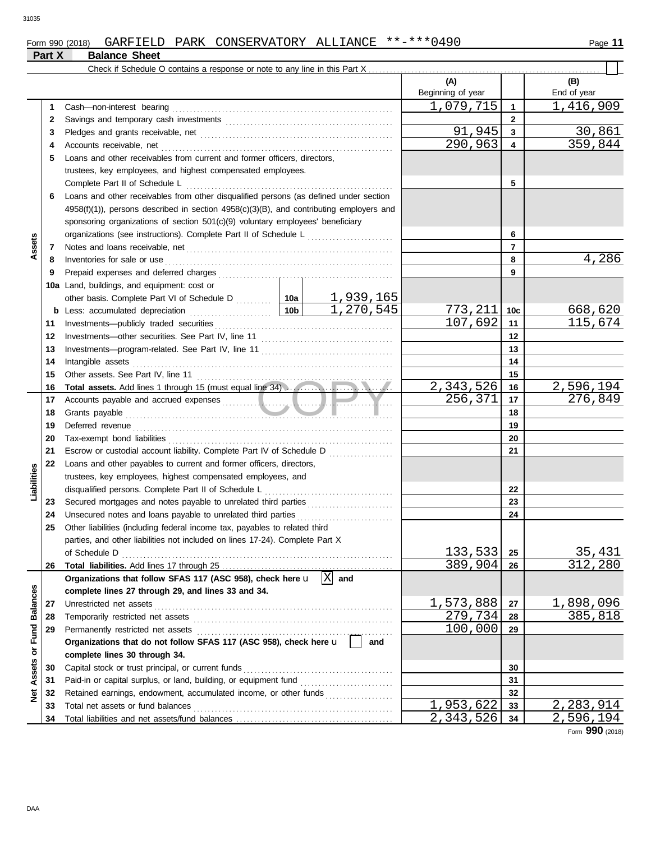|                              |          |                                                                                                                                                                                                                                     |         |                  | (A)<br>Beginning of year               |                         | (B)<br>End of year                       |
|------------------------------|----------|-------------------------------------------------------------------------------------------------------------------------------------------------------------------------------------------------------------------------------------|---------|------------------|----------------------------------------|-------------------------|------------------------------------------|
|                              | 1        |                                                                                                                                                                                                                                     |         |                  | 1,079,715                              | $\overline{1}$          | 1, 416, 909                              |
|                              | 2        |                                                                                                                                                                                                                                     |         |                  |                                        | $\mathbf{2}$            |                                          |
|                              | 3        |                                                                                                                                                                                                                                     |         |                  | 91,945                                 | 3                       | 30,861                                   |
|                              | 4        | Accounts receivable, net                                                                                                                                                                                                            |         |                  | 290,963                                | $\overline{\mathbf{4}}$ | 359,844                                  |
|                              | 5        | Loans and other receivables from current and former officers, directors,                                                                                                                                                            |         |                  |                                        |                         |                                          |
|                              |          | trustees, key employees, and highest compensated employees.                                                                                                                                                                         |         |                  |                                        |                         |                                          |
|                              |          | Complete Part II of Schedule L                                                                                                                                                                                                      |         | 5                |                                        |                         |                                          |
|                              | 6        | Loans and other receivables from other disqualified persons (as defined under section                                                                                                                                               |         |                  |                                        |                         |                                          |
|                              |          | 4958(f)(1)), persons described in section 4958(c)(3)(B), and contributing employers and                                                                                                                                             |         |                  |                                        |                         |                                          |
|                              |          | sponsoring organizations of section 501(c)(9) voluntary employees' beneficiary                                                                                                                                                      |         |                  |                                        |                         |                                          |
|                              |          | organizations (see instructions). Complete Part II of Schedule L                                                                                                                                                                    |         |                  |                                        | 6                       |                                          |
| Assets                       | 7        |                                                                                                                                                                                                                                     |         |                  |                                        | 7                       |                                          |
|                              | 8        | Inventories for sale or use <i>communication</i> and the state of the state or use of the state of the state of the state of the state of the state of the state of the state of the state of the state of the state of the state o |         | 8                | 4,286                                  |                         |                                          |
|                              | 9        |                                                                                                                                                                                                                                     |         |                  |                                        | 9                       |                                          |
|                              |          | 10a Land, buildings, and equipment: cost or                                                                                                                                                                                         |         |                  |                                        |                         |                                          |
|                              |          |                                                                                                                                                                                                                                     |         | <u>1,939,165</u> |                                        |                         |                                          |
|                              |          |                                                                                                                                                                                                                                     |         | 1,270,545        | <u>773,211</u>                         | 10c                     | 668,620                                  |
|                              | 11       |                                                                                                                                                                                                                                     |         |                  | 107,692                                | 11                      | 115,674                                  |
|                              | 12       |                                                                                                                                                                                                                                     |         |                  |                                        | 12                      |                                          |
|                              | 13       |                                                                                                                                                                                                                                     |         |                  |                                        | 13                      |                                          |
|                              | 14       |                                                                                                                                                                                                                                     |         |                  |                                        | 14                      |                                          |
|                              | 15       |                                                                                                                                                                                                                                     |         |                  |                                        | 15                      |                                          |
|                              | 16<br>17 | Total assets. Add lines 1 through 15 (must equal line 34)                                                                                                                                                                           |         |                  | 2,343,526<br>256, 371                  | 16<br>17                | 2,596,194<br>276,849                     |
|                              | 18       |                                                                                                                                                                                                                                     |         |                  |                                        | 18                      |                                          |
|                              | 19       | Grants payable <i>communication</i> and the contract of the contract of the contract of the contract of the contract of the contract of the contract of the contract of the contract of the contract of the contract of the contrac |         |                  |                                        | 19                      |                                          |
|                              | 20       |                                                                                                                                                                                                                                     |         | 20               |                                        |                         |                                          |
|                              | 21       | Escrow or custodial account liability. Complete Part IV of Schedule D                                                                                                                                                               |         |                  | 21                                     |                         |                                          |
|                              | 22       | Loans and other payables to current and former officers, directors,                                                                                                                                                                 |         |                  |                                        |                         |                                          |
| Liabilities                  |          | trustees, key employees, highest compensated employees, and                                                                                                                                                                         |         |                  |                                        |                         |                                          |
|                              |          |                                                                                                                                                                                                                                     |         |                  |                                        | 22                      |                                          |
|                              | 23       |                                                                                                                                                                                                                                     |         |                  |                                        | 23                      |                                          |
|                              | 24       |                                                                                                                                                                                                                                     |         |                  |                                        | 24                      |                                          |
|                              | 25       | Other liabilities (including federal income tax, payables to related third                                                                                                                                                          |         |                  |                                        |                         |                                          |
|                              |          | parties, and other liabilities not included on lines 17-24). Complete Part X                                                                                                                                                        |         |                  |                                        |                         |                                          |
|                              |          | of Schedule D                                                                                                                                                                                                                       |         |                  | 133,533                                | 25                      | 35,431                                   |
|                              | 26       |                                                                                                                                                                                                                                     |         |                  | 389,904                                | 26                      | 312,280                                  |
|                              |          | Organizations that follow SFAS 117 (ASC 958), check here $\mathbf{u}$ $\ \overline{\mathbf{X}}\ $ and                                                                                                                               |         |                  |                                        |                         |                                          |
| <b>Fund Balances</b>         |          | complete lines 27 through 29, and lines 33 and 34.                                                                                                                                                                                  |         |                  |                                        |                         |                                          |
|                              | 27       | Unrestricted net assets                                                                                                                                                                                                             |         |                  | 1,573,888                              | 27                      | 1,898,096                                |
|                              | 28       |                                                                                                                                                                                                                                     | 279,734 | 28               | 385,818                                |                         |                                          |
|                              | 29       |                                                                                                                                                                                                                                     | 100,000 | 29               |                                        |                         |                                          |
| $\overleftarrow{\mathbf{o}}$ |          | Organizations that do not follow SFAS 117 (ASC 958), check here $\mathbf{u}$                                                                                                                                                        |         |                  |                                        |                         |                                          |
|                              |          | complete lines 30 through 34.                                                                                                                                                                                                       |         |                  |                                        |                         |                                          |
| Assets                       | 30       | Capital stock or trust principal, or current funds                                                                                                                                                                                  |         |                  |                                        | 30                      |                                          |
|                              | 31       |                                                                                                                                                                                                                                     |         |                  |                                        | 31                      |                                          |
| ğ                            | 32       | Retained earnings, endowment, accumulated income, or other funds                                                                                                                                                                    |         |                  |                                        | 32                      |                                          |
|                              | 33       | Total net assets or fund balances                                                                                                                                                                                                   |         |                  | 1,953,622<br>$\overline{2}$ , 343, 526 | 33                      | 2, 283, 914<br>$\overline{2}$ , 596, 194 |
|                              | 34       |                                                                                                                                                                                                                                     |         |                  |                                        | 34                      |                                          |

Form **990** (2018)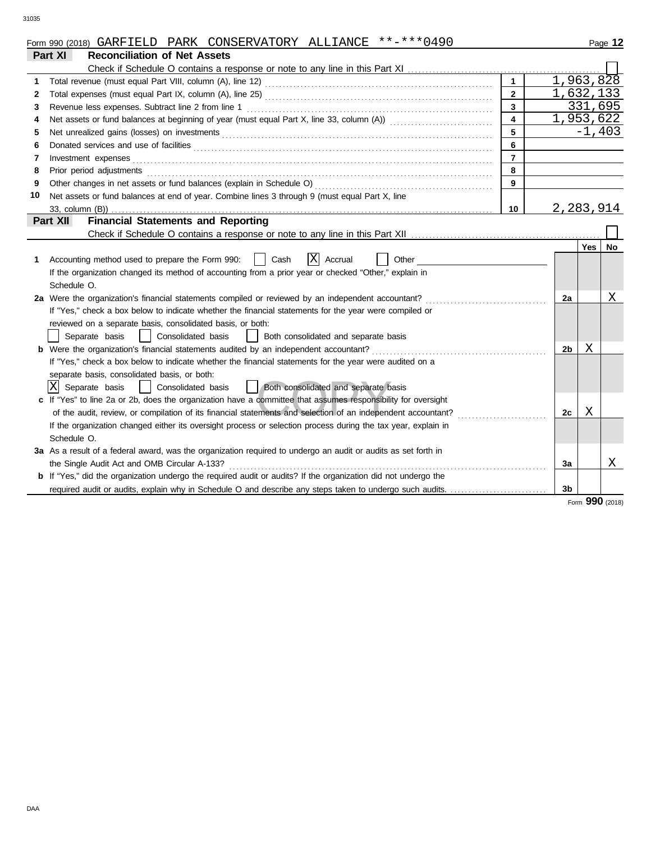| Form 990 (2018) | <b>GARFIELD</b> | <b>PARK</b> | CONSERVATORY | ALLIANCE | 0490<br>**_<br>$-***$ $\cap$ | Page |  |
|-----------------|-----------------|-------------|--------------|----------|------------------------------|------|--|
|                 |                 |             |              |          |                              |      |  |

|    | Part XI<br><b>Reconciliation of Net Assets</b>                                                                 |                         |                |                 |    |
|----|----------------------------------------------------------------------------------------------------------------|-------------------------|----------------|-----------------|----|
|    |                                                                                                                |                         |                |                 |    |
| 1  |                                                                                                                | $\mathbf{1}$            | 1,963,828      |                 |    |
| 2  |                                                                                                                | $\overline{2}$          | 1,632,133      |                 |    |
| 3  | Revenue less expenses. Subtract line 2 from line 1                                                             | $\mathbf{3}$            |                | 331,695         |    |
| 4  |                                                                                                                | $\overline{\mathbf{4}}$ | 1,953,622      |                 |    |
| 5  |                                                                                                                |                         |                | $-1,403$        |    |
| 6  |                                                                                                                | 6                       |                |                 |    |
| 7  |                                                                                                                | $\overline{7}$          |                |                 |    |
| 8  | Prior period adjustments                                                                                       | 8                       |                |                 |    |
| 9  |                                                                                                                | 9                       |                |                 |    |
| 10 | Net assets or fund balances at end of year. Combine lines 3 through 9 (must equal Part X, line                 |                         |                |                 |    |
|    |                                                                                                                | 10                      | 2,283,914      |                 |    |
|    | <b>Financial Statements and Reporting</b><br>Part XII                                                          |                         |                |                 |    |
|    |                                                                                                                |                         |                |                 |    |
|    |                                                                                                                |                         |                | Yes             | No |
| 1  | ΙX<br>Cash<br>Accrual<br>Accounting method used to prepare the Form 990:<br>Other                              |                         |                |                 |    |
|    | If the organization changed its method of accounting from a prior year or checked "Other," explain in          |                         |                |                 |    |
|    | Schedule O.                                                                                                    |                         |                |                 |    |
|    | 2a Were the organization's financial statements compiled or reviewed by an independent accountant?             |                         | 2a             |                 | Χ  |
|    | If "Yes," check a box below to indicate whether the financial statements for the year were compiled or         |                         |                |                 |    |
|    | reviewed on a separate basis, consolidated basis, or both:                                                     |                         |                |                 |    |
|    | Separate basis<br>Consolidated basis<br>Both consolidated and separate basis<br>$\perp$                        |                         |                |                 |    |
|    | <b>b</b> Were the organization's financial statements audited by an independent accountant?                    |                         | 2b             | Χ               |    |
|    | If "Yes," check a box below to indicate whether the financial statements for the year were audited on a        |                         |                |                 |    |
|    | separate basis, consolidated basis, or both:                                                                   |                         |                |                 |    |
|    | Ixl<br>Separate basis<br>Both consolidated and separate basis<br>Consolidated basis                            |                         |                |                 |    |
|    | c If "Yes" to line 2a or 2b, does the organization have a committee that assumes responsibility for oversight  |                         |                |                 |    |
|    |                                                                                                                |                         | 2c             | Χ               |    |
|    | If the organization changed either its oversight process or selection process during the tax year, explain in  |                         |                |                 |    |
|    | Schedule O.                                                                                                    |                         |                |                 |    |
|    | 3a As a result of a federal award, was the organization required to undergo an audit or audits as set forth in |                         |                |                 |    |
|    | the Single Audit Act and OMB Circular A-133?                                                                   |                         | За             |                 | Χ  |
|    | b If "Yes," did the organization undergo the required audit or audits? If the organization did not undergo the |                         |                |                 |    |
|    | required audit or audits, explain why in Schedule O and describe any steps taken to undergo such audits.       |                         | 3 <sub>b</sub> |                 |    |
|    |                                                                                                                |                         |                | Form 990 (2018) |    |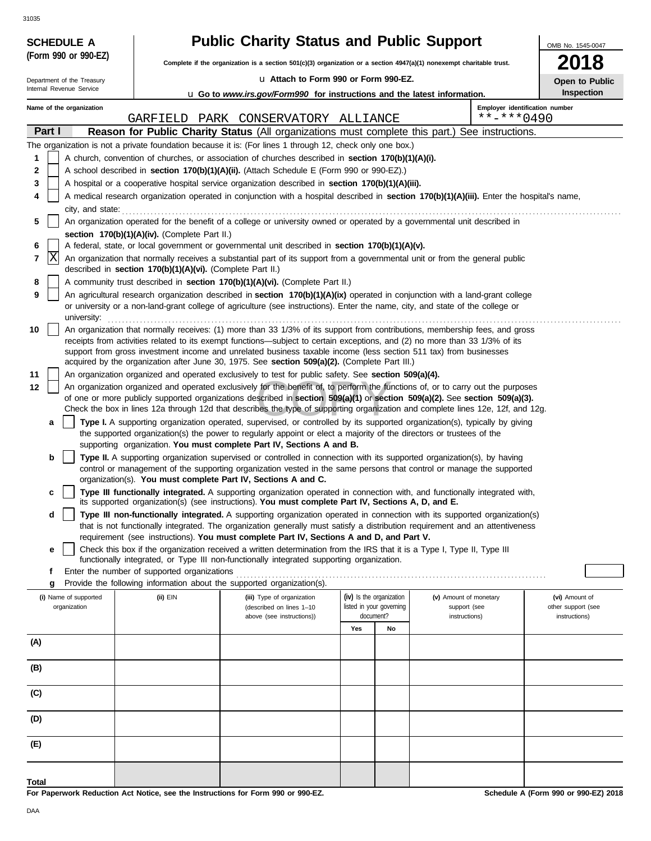| (Form 990 or 990-EZ)                                                                                                                                                                                                                                                                |                                                            | <b>Public Charity Status and Public Support</b><br>Complete if the organization is a section 501(c)(3) organization or a section 4947(a)(1) nonexempt charitable trust.                                                                                        |                                       |    |                                | OMB No. 1545-0047<br>8              |  |  |
|-------------------------------------------------------------------------------------------------------------------------------------------------------------------------------------------------------------------------------------------------------------------------------------|------------------------------------------------------------|----------------------------------------------------------------------------------------------------------------------------------------------------------------------------------------------------------------------------------------------------------------|---------------------------------------|----|--------------------------------|-------------------------------------|--|--|
|                                                                                                                                                                                                                                                                                     |                                                            | La Attach to Form 990 or Form 990-EZ.                                                                                                                                                                                                                          |                                       |    |                                |                                     |  |  |
| Department of the Treasury<br>Internal Revenue Service                                                                                                                                                                                                                              |                                                            | <b>u</b> Go to www.irs.gov/Form990 for instructions and the latest information.                                                                                                                                                                                |                                       |    |                                | Open to Public<br>Inspection        |  |  |
| Name of the organization                                                                                                                                                                                                                                                            |                                                            |                                                                                                                                                                                                                                                                |                                       |    | Employer identification number |                                     |  |  |
|                                                                                                                                                                                                                                                                                     |                                                            | GARFIELD PARK CONSERVATORY ALLIANCE                                                                                                                                                                                                                            |                                       |    | $***$ -*** 0490                |                                     |  |  |
| Part I                                                                                                                                                                                                                                                                              |                                                            | Reason for Public Charity Status (All organizations must complete this part.) See instructions.                                                                                                                                                                |                                       |    |                                |                                     |  |  |
|                                                                                                                                                                                                                                                                                     |                                                            | The organization is not a private foundation because it is: (For lines 1 through 12, check only one box.)                                                                                                                                                      |                                       |    |                                |                                     |  |  |
| 1                                                                                                                                                                                                                                                                                   |                                                            | A church, convention of churches, or association of churches described in section 170(b)(1)(A)(i).                                                                                                                                                             |                                       |    |                                |                                     |  |  |
| 2                                                                                                                                                                                                                                                                                   |                                                            | A school described in section 170(b)(1)(A)(ii). (Attach Schedule E (Form 990 or 990-EZ).)                                                                                                                                                                      |                                       |    |                                |                                     |  |  |
| 3                                                                                                                                                                                                                                                                                   |                                                            | A hospital or a cooperative hospital service organization described in section 170(b)(1)(A)(iii).                                                                                                                                                              |                                       |    |                                |                                     |  |  |
| 4                                                                                                                                                                                                                                                                                   |                                                            | A medical research organization operated in conjunction with a hospital described in section 170(b)(1)(A)(iii). Enter the hospital's name,                                                                                                                     |                                       |    |                                |                                     |  |  |
| city, and state:<br>5                                                                                                                                                                                                                                                               |                                                            | An organization operated for the benefit of a college or university owned or operated by a governmental unit described in                                                                                                                                      |                                       |    |                                |                                     |  |  |
|                                                                                                                                                                                                                                                                                     | section 170(b)(1)(A)(iv). (Complete Part II.)              |                                                                                                                                                                                                                                                                |                                       |    |                                |                                     |  |  |
| 6                                                                                                                                                                                                                                                                                   |                                                            | A federal, state, or local government or governmental unit described in section 170(b)(1)(A)(v).                                                                                                                                                               |                                       |    |                                |                                     |  |  |
| X<br>7                                                                                                                                                                                                                                                                              |                                                            | An organization that normally receives a substantial part of its support from a governmental unit or from the general public                                                                                                                                   |                                       |    |                                |                                     |  |  |
|                                                                                                                                                                                                                                                                                     | described in section 170(b)(1)(A)(vi). (Complete Part II.) |                                                                                                                                                                                                                                                                |                                       |    |                                |                                     |  |  |
| 8                                                                                                                                                                                                                                                                                   |                                                            | A community trust described in section 170(b)(1)(A)(vi). (Complete Part II.)                                                                                                                                                                                   |                                       |    |                                |                                     |  |  |
| 9<br>An agricultural research organization described in section 170(b)(1)(A)(ix) operated in conjunction with a land-grant college<br>or university or a non-land-grant college of agriculture (see instructions). Enter the name, city, and state of the college or<br>university: |                                                            |                                                                                                                                                                                                                                                                |                                       |    |                                |                                     |  |  |
| An organization that normally receives: (1) more than 33 1/3% of its support from contributions, membership fees, and gross<br>10<br>receipts from activities related to its exempt functions—subject to certain exceptions, and (2) no more than 33 1/3% of its                    |                                                            |                                                                                                                                                                                                                                                                |                                       |    |                                |                                     |  |  |
|                                                                                                                                                                                                                                                                                     |                                                            | support from gross investment income and unrelated business taxable income (less section 511 tax) from businesses                                                                                                                                              |                                       |    |                                |                                     |  |  |
|                                                                                                                                                                                                                                                                                     |                                                            | acquired by the organization after June 30, 1975. See section 509(a)(2). (Complete Part III.)                                                                                                                                                                  |                                       |    |                                |                                     |  |  |
| 11                                                                                                                                                                                                                                                                                  |                                                            | An organization organized and operated exclusively to test for public safety. See section 509(a)(4).                                                                                                                                                           |                                       |    |                                |                                     |  |  |
| 12                                                                                                                                                                                                                                                                                  |                                                            | An organization organized and operated exclusively for the benefit of, to perform the functions of, or to carry out the purposes                                                                                                                               |                                       |    |                                |                                     |  |  |
|                                                                                                                                                                                                                                                                                     |                                                            | of one or more publicly supported organizations described in section 509(a)(1) or section 509(a)(2). See section 509(a)(3).<br>Check the box in lines 12a through 12d that describes the type of supporting organization and complete lines 12e, 12f, and 12g. |                                       |    |                                |                                     |  |  |
| a                                                                                                                                                                                                                                                                                   |                                                            | Type I. A supporting organization operated, supervised, or controlled by its supported organization(s), typically by giving                                                                                                                                    |                                       |    |                                |                                     |  |  |
|                                                                                                                                                                                                                                                                                     |                                                            | the supported organization(s) the power to regularly appoint or elect a majority of the directors or trustees of the<br>supporting organization. You must complete Part IV, Sections A and B.                                                                  |                                       |    |                                |                                     |  |  |
| b                                                                                                                                                                                                                                                                                   |                                                            | Type II. A supporting organization supervised or controlled in connection with its supported organization(s), by having<br>control or management of the supporting organization vested in the same persons that control or manage the supported                |                                       |    |                                |                                     |  |  |
|                                                                                                                                                                                                                                                                                     |                                                            | organization(s). You must complete Part IV, Sections A and C.                                                                                                                                                                                                  |                                       |    |                                |                                     |  |  |
| c                                                                                                                                                                                                                                                                                   |                                                            | Type III functionally integrated. A supporting organization operated in connection with, and functionally integrated with,<br>its supported organization(s) (see instructions). You must complete Part IV, Sections A, D, and E.                               |                                       |    |                                |                                     |  |  |
| d                                                                                                                                                                                                                                                                                   |                                                            | Type III non-functionally integrated. A supporting organization operated in connection with its supported organization(s)                                                                                                                                      |                                       |    |                                |                                     |  |  |
|                                                                                                                                                                                                                                                                                     |                                                            | that is not functionally integrated. The organization generally must satisfy a distribution requirement and an attentiveness                                                                                                                                   |                                       |    |                                |                                     |  |  |
|                                                                                                                                                                                                                                                                                     |                                                            | requirement (see instructions). You must complete Part IV, Sections A and D, and Part V.                                                                                                                                                                       |                                       |    |                                |                                     |  |  |
| е                                                                                                                                                                                                                                                                                   |                                                            | Check this box if the organization received a written determination from the IRS that it is a Type I, Type II, Type III<br>functionally integrated, or Type III non-functionally integrated supporting organization.                                           |                                       |    |                                |                                     |  |  |
| f                                                                                                                                                                                                                                                                                   | Enter the number of supported organizations                |                                                                                                                                                                                                                                                                |                                       |    |                                |                                     |  |  |
| g                                                                                                                                                                                                                                                                                   |                                                            | Provide the following information about the supported organization(s).                                                                                                                                                                                         |                                       |    |                                |                                     |  |  |
| (i) Name of supported                                                                                                                                                                                                                                                               | $(ii)$ EIN                                                 | (iii) Type of organization                                                                                                                                                                                                                                     | (iv) Is the organization              |    | (v) Amount of monetary         | (vi) Amount of                      |  |  |
| organization                                                                                                                                                                                                                                                                        |                                                            | (described on lines 1-10<br>above (see instructions))                                                                                                                                                                                                          | listed in your governing<br>document? |    | support (see<br>instructions)  | other support (see<br>instructions) |  |  |
|                                                                                                                                                                                                                                                                                     |                                                            |                                                                                                                                                                                                                                                                | Yes                                   | No |                                |                                     |  |  |
| (A)                                                                                                                                                                                                                                                                                 |                                                            |                                                                                                                                                                                                                                                                |                                       |    |                                |                                     |  |  |
| (B)                                                                                                                                                                                                                                                                                 |                                                            |                                                                                                                                                                                                                                                                |                                       |    |                                |                                     |  |  |
|                                                                                                                                                                                                                                                                                     |                                                            |                                                                                                                                                                                                                                                                |                                       |    |                                |                                     |  |  |
| (C)                                                                                                                                                                                                                                                                                 |                                                            |                                                                                                                                                                                                                                                                |                                       |    |                                |                                     |  |  |
| (D)                                                                                                                                                                                                                                                                                 |                                                            |                                                                                                                                                                                                                                                                |                                       |    |                                |                                     |  |  |
| (E)                                                                                                                                                                                                                                                                                 |                                                            |                                                                                                                                                                                                                                                                |                                       |    |                                |                                     |  |  |
|                                                                                                                                                                                                                                                                                     |                                                            |                                                                                                                                                                                                                                                                |                                       |    |                                |                                     |  |  |
| Total                                                                                                                                                                                                                                                                               |                                                            |                                                                                                                                                                                                                                                                |                                       |    |                                |                                     |  |  |

**For Paperwork Reduction Act Notice, see the Instructions for Form 990 or 990-EZ.**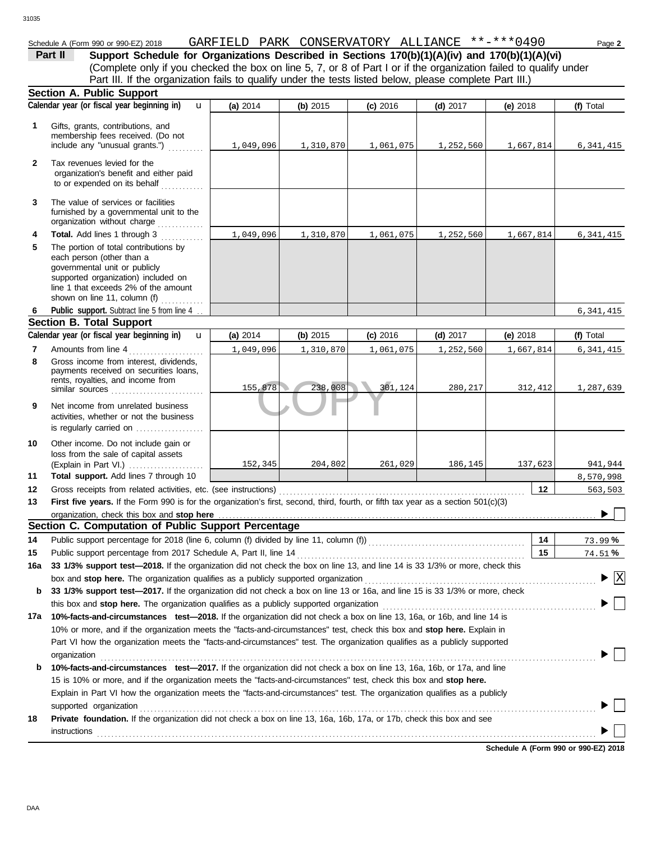## Schedule A (Form 990 or 990-EZ) 2018 GARFIELD PARK CONSERVATORY ALLIANCE \*\*-\*\*\*0490 Page **2**

| Part II | Support Schedule for Organizations Described in Sections 170(b)(1)(A)(iv) and 170(b)(1)(A)(vi)                    |  |  |  |  |
|---------|-------------------------------------------------------------------------------------------------------------------|--|--|--|--|
|         | (Complete only if you checked the box on line 5, 7, or 8 of Part I or if the organization failed to qualify under |  |  |  |  |
|         | Part III. If the organization fails to qualify under the tests listed below, please complete Part III.)           |  |  |  |  |
|         | Section A. Public Support                                                                                         |  |  |  |  |
|         |                                                                                                                   |  |  |  |  |

|              | Calendar year (or fiscal year beginning in)<br>$\mathbf{u}$                                                                                                                                                                    | (a) 2014  | (b) 2015  | $(c)$ 2016 | (d) $2017$ | (e) 2018                              | (f) Total                      |  |  |  |  |  |
|--------------|--------------------------------------------------------------------------------------------------------------------------------------------------------------------------------------------------------------------------------|-----------|-----------|------------|------------|---------------------------------------|--------------------------------|--|--|--|--|--|
| 1            | Gifts, grants, contributions, and<br>membership fees received. (Do not<br>include any "unusual grants.")                                                                                                                       | 1,049,096 | 1,310,870 | 1,061,075  | 1,252,560  | 1,667,814                             | 6,341,415                      |  |  |  |  |  |
| $\mathbf{2}$ | Tax revenues levied for the<br>organization's benefit and either paid<br>to or expended on its behalf                                                                                                                          |           |           |            |            |                                       |                                |  |  |  |  |  |
| 3            | The value of services or facilities<br>furnished by a governmental unit to the<br>organization without charge                                                                                                                  |           |           |            |            |                                       |                                |  |  |  |  |  |
| 4            | Total. Add lines 1 through 3                                                                                                                                                                                                   | 1,049,096 | 1,310,870 | 1,061,075  | 1,252,560  | 1,667,814                             | 6,341,415                      |  |  |  |  |  |
| 5            | The portion of total contributions by<br>each person (other than a<br>governmental unit or publicly<br>supported organization) included on<br>line 1 that exceeds 2% of the amount<br>shown on line 11, column $(f)$           |           |           |            |            |                                       |                                |  |  |  |  |  |
| 6            | Public support. Subtract line 5 from line 4.                                                                                                                                                                                   |           |           |            |            |                                       | 6, 341, 415                    |  |  |  |  |  |
|              | <b>Section B. Total Support</b>                                                                                                                                                                                                |           |           |            |            |                                       |                                |  |  |  |  |  |
|              | Calendar year (or fiscal year beginning in)<br>$\mathbf{u}$                                                                                                                                                                    | (a) 2014  | (b) 2015  | $(c)$ 2016 | (d) $2017$ | (e) 2018                              | (f) Total                      |  |  |  |  |  |
| 7            | Amounts from line 4                                                                                                                                                                                                            | 1,049,096 | 1,310,870 | 1,061,075  | 1,252,560  | 1,667,814                             | 6,341,415                      |  |  |  |  |  |
| 8            | Gross income from interest, dividends,<br>payments received on securities loans,<br>rents, royalties, and income from<br>similar sources                                                                                       | 155,878   | 238,008   | 301, 124   | 280,217    | 312,412                               | 1,287,639                      |  |  |  |  |  |
| 9            | Net income from unrelated business<br>activities, whether or not the business<br>is regularly carried on                                                                                                                       |           |           |            |            |                                       |                                |  |  |  |  |  |
| 10           | Other income. Do not include gain or<br>loss from the sale of capital assets                                                                                                                                                   | 152,345   | 204,802   | 261,029    | 186,145    | 137,623                               | 941,944                        |  |  |  |  |  |
| 11           | Total support. Add lines 7 through 10                                                                                                                                                                                          |           |           |            |            |                                       | 8,570,998                      |  |  |  |  |  |
| $12 \,$      |                                                                                                                                                                                                                                |           |           |            |            | 12                                    | 563,503                        |  |  |  |  |  |
| 13           | First five years. If the Form 990 is for the organization's first, second, third, fourth, or fifth tax year as a section 501(c)(3)                                                                                             |           |           |            |            |                                       |                                |  |  |  |  |  |
|              | organization, check this box and stop here<br>Section C. Computation of Public Support Percentage                                                                                                                              |           |           |            |            |                                       |                                |  |  |  |  |  |
|              |                                                                                                                                                                                                                                |           |           |            |            |                                       |                                |  |  |  |  |  |
| 14<br>15     | Public support percentage for 2018 (line 6, column (f) divided by line 11, column (f)) [[[[[[[[[[[[[[[[[[[[[[<br>Public support percentage from 2017 Schedule A, Part II, line 14                                              |           |           |            |            | 14<br>15                              | 73.99%<br>74.51%               |  |  |  |  |  |
| 16a          | 33 1/3% support test-2018. If the organization did not check the box on line 13, and line 14 is 33 1/3% or more, check this                                                                                                    |           |           |            |            |                                       |                                |  |  |  |  |  |
|              | box and stop here. The organization qualifies as a publicly supported organization [11] content content content content or and stop here. The organization content of the state of the state of the state of the state or and  |           |           |            |            |                                       | $\boldsymbol{\mathrm{X}}$<br>▶ |  |  |  |  |  |
| b            | 33 1/3% support test-2017. If the organization did not check a box on line 13 or 16a, and line 15 is 33 1/3% or more, check                                                                                                    |           |           |            |            |                                       |                                |  |  |  |  |  |
|              |                                                                                                                                                                                                                                |           |           |            |            |                                       |                                |  |  |  |  |  |
| 17a          | 10%-facts-and-circumstances test-2018. If the organization did not check a box on line 13, 16a, or 16b, and line 14 is                                                                                                         |           |           |            |            |                                       |                                |  |  |  |  |  |
|              | 10% or more, and if the organization meets the "facts-and-circumstances" test, check this box and stop here. Explain in                                                                                                        |           |           |            |            |                                       |                                |  |  |  |  |  |
|              | Part VI how the organization meets the "facts-and-circumstances" test. The organization qualifies as a publicly supported                                                                                                      |           |           |            |            |                                       |                                |  |  |  |  |  |
|              | organization                                                                                                                                                                                                                   |           |           |            |            |                                       |                                |  |  |  |  |  |
| b            | 10%-facts-and-circumstances test-2017. If the organization did not check a box on line 13, 16a, 16b, or 17a, and line                                                                                                          |           |           |            |            |                                       |                                |  |  |  |  |  |
|              | 15 is 10% or more, and if the organization meets the "facts-and-circumstances" test, check this box and stop here.                                                                                                             |           |           |            |            |                                       |                                |  |  |  |  |  |
|              | Explain in Part VI how the organization meets the "facts-and-circumstances" test. The organization qualifies as a publicly                                                                                                     |           |           |            |            |                                       |                                |  |  |  |  |  |
|              | supported organization with the contract of the contract of the contract of the contract of the contract of the contract of the contract of the contract of the contract of the contract of the contract of the contract of th |           |           |            |            |                                       |                                |  |  |  |  |  |
| 18           | Private foundation. If the organization did not check a box on line 13, 16a, 16b, 17a, or 17b, check this box and see                                                                                                          |           |           |            |            |                                       |                                |  |  |  |  |  |
|              | instructions                                                                                                                                                                                                                   |           |           |            |            |                                       |                                |  |  |  |  |  |
|              |                                                                                                                                                                                                                                |           |           |            |            | Calcelule A (Fenn 000 ex 000 F7) 0040 |                                |  |  |  |  |  |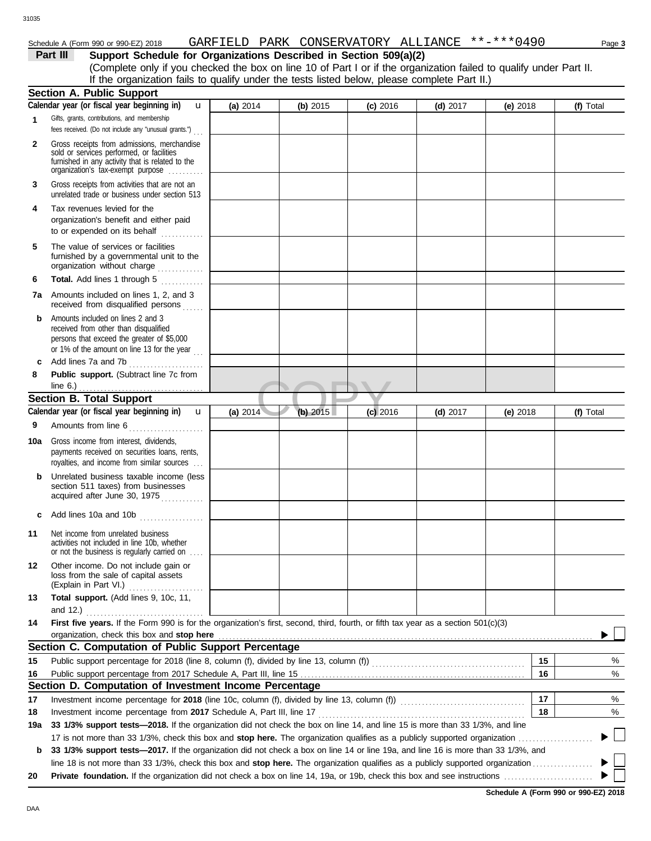## Schedule A (Form 990 or 990-EZ) 2018 Page **3** GARFIELD PARK CONSERVATORY ALLIANCE \*\*-\*\*\*0490

## **Part III Support Schedule for Organizations Described in Section 509(a)(2)**

(Complete only if you checked the box on line 10 of Part I or if the organization failed to qualify under Part II. If the organization fails to qualify under the tests listed below, please complete Part II.)

|              | <b>Section A. Public Support</b>                                                                                                                                                                     |            |          |            |            |            |          |           |
|--------------|------------------------------------------------------------------------------------------------------------------------------------------------------------------------------------------------------|------------|----------|------------|------------|------------|----------|-----------|
|              | Calendar year (or fiscal year beginning in)<br>u                                                                                                                                                     | (a) 2014   | (b) 2015 | $(c)$ 2016 | $(d)$ 2017 | $(e)$ 2018 |          | (f) Total |
| $\mathbf{1}$ | Gifts, grants, contributions, and membership<br>fees received. (Do not include any "unusual grants.")                                                                                                |            |          |            |            |            |          |           |
| 2            | Gross receipts from admissions, merchandise<br>sold or services performed, or facilities<br>furnished in any activity that is related to the<br>organization's tax-exempt purpose                    |            |          |            |            |            |          |           |
| 3            | Gross receipts from activities that are not an<br>unrelated trade or business under section 513                                                                                                      |            |          |            |            |            |          |           |
| 4            | Tax revenues levied for the<br>organization's benefit and either paid<br>to or expended on its behalf                                                                                                |            |          |            |            |            |          |           |
| 5            | The value of services or facilities<br>furnished by a governmental unit to the<br>organization without charge                                                                                        |            |          |            |            |            |          |           |
| 6            | Total. Add lines 1 through 5<br>.                                                                                                                                                                    |            |          |            |            |            |          |           |
|              | <b>7a</b> Amounts included on lines 1, 2, and 3<br>received from disqualified persons                                                                                                                |            |          |            |            |            |          |           |
| b            | Amounts included on lines 2 and 3<br>received from other than disqualified<br>persons that exceed the greater of \$5,000<br>or 1% of the amount on line 13 for the year $\ldots$                     |            |          |            |            |            |          |           |
| c            | Add lines 7a and 7b                                                                                                                                                                                  |            |          |            |            |            |          |           |
| 8            | Public support. (Subtract line 7c from                                                                                                                                                               |            |          |            |            |            |          |           |
|              | line $6.$ )                                                                                                                                                                                          |            |          |            |            |            |          |           |
|              | <b>Section B. Total Support</b>                                                                                                                                                                      |            |          |            |            |            |          |           |
|              | Calendar year (or fiscal year beginning in)<br>$\mathbf{u}$                                                                                                                                          | (a) $2014$ | (b) 2015 | $(c)$ 2016 | $(d)$ 2017 | (e) $2018$ |          | (f) Total |
| 9            | Amounts from line 6<br>.                                                                                                                                                                             |            |          |            |            |            |          |           |
| 10a          | Gross income from interest, dividends,<br>payments received on securities loans, rents,<br>royalties, and income from similar sources                                                                |            |          |            |            |            |          |           |
| b            | Unrelated business taxable income (less<br>section 511 taxes) from businesses<br>acquired after June 30, 1975                                                                                        |            |          |            |            |            |          |           |
| c            | Add lines 10a and 10b                                                                                                                                                                                |            |          |            |            |            |          |           |
| 11           | Net income from unrelated business<br>activities not included in line 10b, whether<br>or not the business is regularly carried on                                                                    |            |          |            |            |            |          |           |
| 12           | Other income. Do not include gain or<br>loss from the sale of capital assets<br>(Explain in Part VI.)                                                                                                |            |          |            |            |            |          |           |
| 13           | Total support. (Add lines 9, 10c, 11,<br>and 12.)                                                                                                                                                    |            |          |            |            |            |          |           |
| 14           | First five years. If the Form 990 is for the organization's first, second, third, fourth, or fifth tax year as a section 501(c)(3)                                                                   |            |          |            |            |            |          |           |
|              | organization, check this box and stop here                                                                                                                                                           |            |          |            |            |            |          |           |
|              | Section C. Computation of Public Support Percentage                                                                                                                                                  |            |          |            |            |            |          |           |
| 15           | Public support percentage for 2018 (line 8, column (f), divided by line 13, column (f)) [[[[[[[[[[[[[[[[[[[[[                                                                                        |            |          |            |            |            | 15       | %         |
| 16           |                                                                                                                                                                                                      |            |          |            |            |            | 16       | $\%$      |
|              | Section D. Computation of Investment Income Percentage                                                                                                                                               |            |          |            |            |            |          |           |
| 17           |                                                                                                                                                                                                      |            |          |            |            |            | 17<br>18 | $\%$      |
| 18           | Investment income percentage from 2017 Schedule A, Part III, line 17<br>33 1/3% support tests-2018. If the organization did not check the box on line 14, and line 15 is more than 33 1/3%, and line |            |          |            |            |            |          | %         |
| 19a          | 17 is not more than 33 1/3%, check this box and stop here. The organization qualifies as a publicly supported organization                                                                           |            |          |            |            |            |          |           |
| b            | 33 1/3% support tests-2017. If the organization did not check a box on line 14 or line 19a, and line 16 is more than 33 1/3%, and                                                                    |            |          |            |            |            |          |           |
|              | line 18 is not more than 33 1/3%, check this box and stop here. The organization qualifies as a publicly supported organization                                                                      |            |          |            |            |            |          |           |
| 20           |                                                                                                                                                                                                      |            |          |            |            |            |          |           |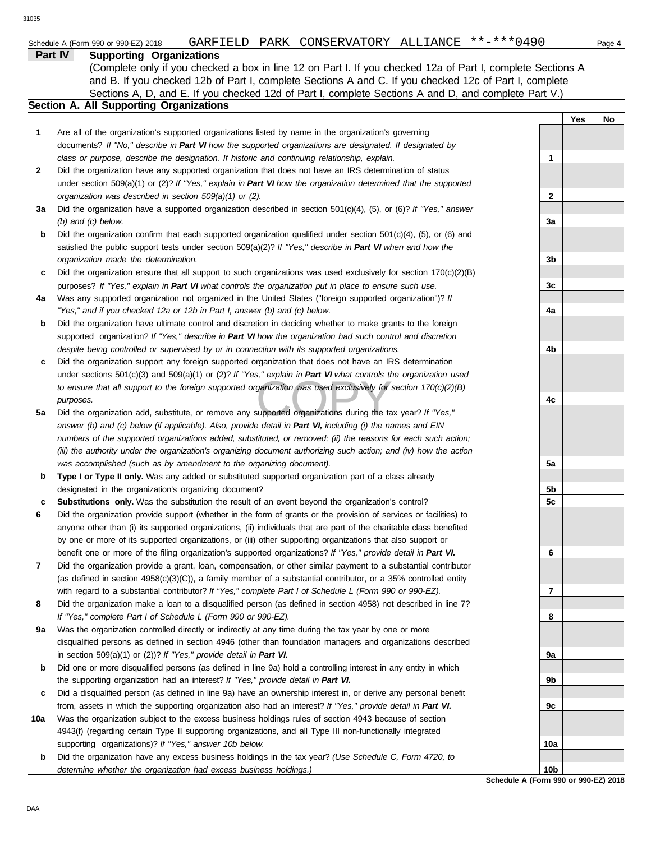## **Part IV Supporting Organizations**

Sections A, D, and E. If you checked 12d of Part I, complete Sections A and D, and complete Part V.) (Complete only if you checked a box in line 12 on Part I. If you checked 12a of Part I, complete Sections A and B. If you checked 12b of Part I, complete Sections A and C. If you checked 12c of Part I, complete

## **Section A. All Supporting Organizations**

- Are all of the organization's supported organizations listed by name in the organization's governing documents? *If "No," describe in Part VI how the supported organizations are designated. If designated by class or purpose, describe the designation. If historic and continuing relationship, explain.* **1**
- Did the organization have any supported organization that does not have an IRS determination of status under section 509(a)(1) or (2)? *If "Yes," explain in Part VI how the organization determined that the supported organization was described in section 509(a)(1) or (2).* **2**
- **3a** Did the organization have a supported organization described in section 501(c)(4), (5), or (6)? *If "Yes," answer (b) and (c) below.*
- **b** Did the organization confirm that each supported organization qualified under section 501(c)(4), (5), or (6) and satisfied the public support tests under section 509(a)(2)? *If "Yes," describe in Part VI when and how the organization made the determination.*
- **c** Did the organization ensure that all support to such organizations was used exclusively for section  $170(c)(2)(B)$ purposes? *If "Yes," explain in Part VI what controls the organization put in place to ensure such use.*
- **4a** Was any supported organization not organized in the United States ("foreign supported organization")? *If "Yes," and if you checked 12a or 12b in Part I, answer (b) and (c) below.*
- **b** Did the organization have ultimate control and discretion in deciding whether to make grants to the foreign supported organization? *If "Yes," describe in Part VI how the organization had such control and discretion despite being controlled or supervised by or in connection with its supported organizations.*
- *to ensure that all support to the foreign supported organization was used exclusively for section 170(c)(2)(B) purposes.*<br>Did the organization add, substitute, or remove any supported organizations during the tax year? **c** Did the organization support any foreign supported organization that does not have an IRS determination under sections 501(c)(3) and 509(a)(1) or (2)? *If "Yes," explain in Part VI what controls the organization used purposes.*
- **5a** Did the organization add, substitute, or remove any supported organizations during the tax year? *If "Yes," answer (b) and (c) below (if applicable). Also, provide detail in Part VI, including (i) the names and EIN numbers of the supported organizations added, substituted, or removed; (ii) the reasons for each such action; (iii) the authority under the organization's organizing document authorizing such action; and (iv) how the action was accomplished (such as by amendment to the organizing document).*
- **b Type I or Type II only.** Was any added or substituted supported organization part of a class already designated in the organization's organizing document?
- **c Substitutions only.** Was the substitution the result of an event beyond the organization's control?
- **6** Did the organization provide support (whether in the form of grants or the provision of services or facilities) to anyone other than (i) its supported organizations, (ii) individuals that are part of the charitable class benefited by one or more of its supported organizations, or (iii) other supporting organizations that also support or benefit one or more of the filing organization's supported organizations? *If "Yes," provide detail in Part VI.*
- **7** Did the organization provide a grant, loan, compensation, or other similar payment to a substantial contributor (as defined in section 4958(c)(3)(C)), a family member of a substantial contributor, or a 35% controlled entity with regard to a substantial contributor? *If "Yes," complete Part I of Schedule L (Form 990 or 990-EZ).*
- **8** Did the organization make a loan to a disqualified person (as defined in section 4958) not described in line 7? *If "Yes," complete Part I of Schedule L (Form 990 or 990-EZ).*
- **9a** Was the organization controlled directly or indirectly at any time during the tax year by one or more disqualified persons as defined in section 4946 (other than foundation managers and organizations described in section 509(a)(1) or (2))? *If "Yes," provide detail in Part VI.*
- **b** Did one or more disqualified persons (as defined in line 9a) hold a controlling interest in any entity in which the supporting organization had an interest? *If "Yes," provide detail in Part VI.*
- **c** Did a disqualified person (as defined in line 9a) have an ownership interest in, or derive any personal benefit from, assets in which the supporting organization also had an interest? *If "Yes," provide detail in Part VI.*
- **10a** Was the organization subject to the excess business holdings rules of section 4943 because of section 4943(f) (regarding certain Type II supporting organizations, and all Type III non-functionally integrated supporting organizations)? *If "Yes," answer 10b below.*
	- **b** Did the organization have any excess business holdings in the tax year? *(Use Schedule C, Form 4720, to determine whether the organization had excess business holdings.)*

**Yes No 1 2 3a 3b 3c 4a 4b 4c 5a 5b 5c 6 7 8 9a 9b 9c 10a 10b**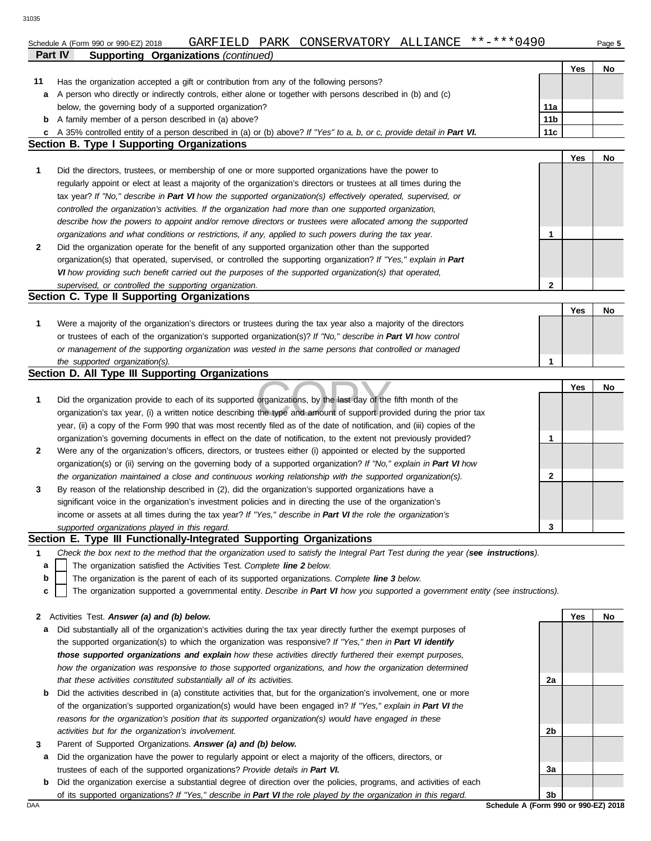|              |                                                                                                                                   |                                      | Yes        | No |
|--------------|-----------------------------------------------------------------------------------------------------------------------------------|--------------------------------------|------------|----|
| 11           | Has the organization accepted a gift or contribution from any of the following persons?                                           |                                      |            |    |
|              | a A person who directly or indirectly controls, either alone or together with persons described in (b) and (c)                    |                                      |            |    |
|              | below, the governing body of a supported organization?                                                                            | 11a                                  |            |    |
| b            | A family member of a person described in (a) above?                                                                               | 11 <sub>b</sub>                      |            |    |
|              | c A 35% controlled entity of a person described in (a) or (b) above? If "Yes" to a, b, or c, provide detail in Part VI.           | 11c                                  |            |    |
|              | <b>Section B. Type I Supporting Organizations</b>                                                                                 |                                      |            |    |
|              |                                                                                                                                   |                                      | Yes        | No |
| 1            | Did the directors, trustees, or membership of one or more supported organizations have the power to                               |                                      |            |    |
|              | regularly appoint or elect at least a majority of the organization's directors or trustees at all times during the                |                                      |            |    |
|              | tax year? If "No," describe in Part VI how the supported organization(s) effectively operated, supervised, or                     |                                      |            |    |
|              | controlled the organization's activities. If the organization had more than one supported organization,                           |                                      |            |    |
|              | describe how the powers to appoint and/or remove directors or trustees were allocated among the supported                         |                                      |            |    |
|              | organizations and what conditions or restrictions, if any, applied to such powers during the tax year.                            | 1                                    |            |    |
| 2            | Did the organization operate for the benefit of any supported organization other than the supported                               |                                      |            |    |
|              | organization(s) that operated, supervised, or controlled the supporting organization? If "Yes," explain in Part                   |                                      |            |    |
|              | VI how providing such benefit carried out the purposes of the supported organization(s) that operated,                            |                                      |            |    |
|              | supervised, or controlled the supporting organization.                                                                            | $\mathbf{2}$                         |            |    |
|              | Section C. Type II Supporting Organizations                                                                                       |                                      |            |    |
|              |                                                                                                                                   |                                      | Yes        | No |
| 1            | Were a majority of the organization's directors or trustees during the tax year also a majority of the directors                  |                                      |            |    |
|              | or trustees of each of the organization's supported organization(s)? If "No," describe in Part VI how control                     |                                      |            |    |
|              | or management of the supporting organization was vested in the same persons that controlled or managed                            |                                      |            |    |
|              | the supported organization(s).                                                                                                    | 1                                    |            |    |
|              | Section D. All Type III Supporting Organizations                                                                                  |                                      |            |    |
|              |                                                                                                                                   |                                      | <b>Yes</b> | No |
| 1            | Did the organization provide to each of its supported organizations, by the last day of the fifth month of the                    |                                      |            |    |
|              | organization's tax year, (i) a written notice describing the type and amount of support provided during the prior tax             |                                      |            |    |
|              | year, (ii) a copy of the Form 990 that was most recently filed as of the date of notification, and (iii) copies of the            |                                      |            |    |
|              | organization's governing documents in effect on the date of notification, to the extent not previously provided?                  | 1                                    |            |    |
| $\mathbf{2}$ | Were any of the organization's officers, directors, or trustees either (i) appointed or elected by the supported                  |                                      |            |    |
|              | organization(s) or (ii) serving on the governing body of a supported organization? If "No," explain in Part VI how                |                                      |            |    |
|              | the organization maintained a close and continuous working relationship with the supported organization(s).                       | 2                                    |            |    |
| 3            | By reason of the relationship described in (2), did the organization's supported organizations have a                             |                                      |            |    |
|              | significant voice in the organization's investment policies and in directing the use of the organization's                        |                                      |            |    |
|              | income or assets at all times during the tax year? If "Yes," describe in Part VI the role the organization's                      |                                      |            |    |
|              | supported organizations played in this regard.<br>Section E. Type III Functionally-Integrated Supporting Organizations            | 3                                    |            |    |
| 1            | Check the box next to the method that the organization used to satisfy the Integral Part Test during the year (see instructions). |                                      |            |    |
| a            | The organization satisfied the Activities Test. Complete line 2 below.                                                            |                                      |            |    |
| b            | The organization is the parent of each of its supported organizations. Complete line 3 below.                                     |                                      |            |    |
| c            | The organization supported a governmental entity. Describe in Part VI how you supported a government entity (see instructions).   |                                      |            |    |
|              |                                                                                                                                   |                                      |            |    |
|              | 2 Activities Test. Answer (a) and (b) below.                                                                                      |                                      | Yes        | No |
| a            | Did substantially all of the organization's activities during the tax year directly further the exempt purposes of                |                                      |            |    |
|              | the supported organization(s) to which the organization was responsive? If "Yes," then in Part VI identify                        |                                      |            |    |
|              | those supported organizations and explain how these activities directly furthered their exempt purposes,                          |                                      |            |    |
|              | how the organization was responsive to those supported organizations, and how the organization determined                         |                                      |            |    |
|              | that these activities constituted substantially all of its activities.                                                            | 2a                                   |            |    |
| b            | Did the activities described in (a) constitute activities that, but for the organization's involvement, one or more               |                                      |            |    |
|              | of the organization's supported organization(s) would have been engaged in? If "Yes," explain in Part VI the                      |                                      |            |    |
|              | reasons for the organization's position that its supported organization(s) would have engaged in these                            |                                      |            |    |
|              | activities but for the organization's involvement.                                                                                | 2b                                   |            |    |
| 3            | Parent of Supported Organizations. Answer (a) and (b) below.                                                                      |                                      |            |    |
| a            | Did the organization have the power to regularly appoint or elect a majority of the officers, directors, or                       |                                      |            |    |
|              | trustees of each of the supported organizations? Provide details in Part VI.                                                      | За                                   |            |    |
| b            | Did the organization exercise a substantial degree of direction over the policies, programs, and activities of each               |                                      |            |    |
|              | of its supported organizations? If "Yes," describe in Part VI the role played by the organization in this regard.                 | 3b                                   |            |    |
| DAA          |                                                                                                                                   | Schedule A (Form 990 or 990-EZ) 2018 |            |    |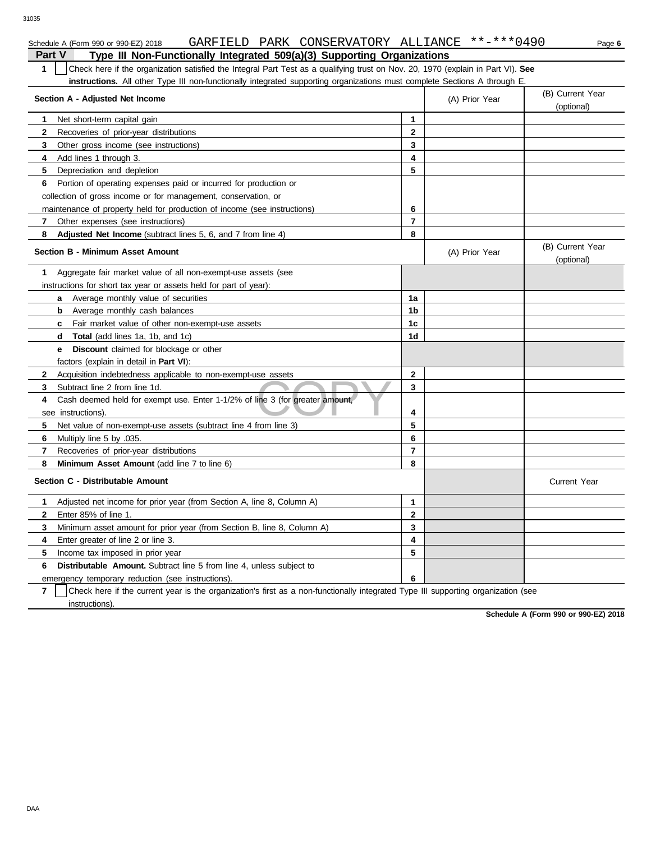|               | GARFIELD PARK CONSERVATORY ALLIANCE **-***0490<br>Schedule A (Form 990 or 990-EZ) 2018                                           |                |                | Page 6                         |
|---------------|----------------------------------------------------------------------------------------------------------------------------------|----------------|----------------|--------------------------------|
| <b>Part V</b> | Type III Non-Functionally Integrated 509(a)(3) Supporting Organizations                                                          |                |                |                                |
| $\mathbf{1}$  | Check here if the organization satisfied the Integral Part Test as a qualifying trust on Nov. 20, 1970 (explain in Part VI). See |                |                |                                |
|               | instructions. All other Type III non-functionally integrated supporting organizations must complete Sections A through E.        |                |                |                                |
|               | Section A - Adjusted Net Income                                                                                                  |                | (A) Prior Year | (B) Current Year<br>(optional) |
| 1             | Net short-term capital gain                                                                                                      | 1              |                |                                |
| 2             | Recoveries of prior-year distributions                                                                                           | $\mathbf{2}$   |                |                                |
| 3             | Other gross income (see instructions)                                                                                            | $\mathbf{3}$   |                |                                |
| 4             | Add lines 1 through 3.                                                                                                           | 4              |                |                                |
| 5             | Depreciation and depletion                                                                                                       | 5              |                |                                |
| 6             | Portion of operating expenses paid or incurred for production or                                                                 |                |                |                                |
|               | collection of gross income or for management, conservation, or                                                                   |                |                |                                |
|               | maintenance of property held for production of income (see instructions)                                                         | 6              |                |                                |
| 7             | Other expenses (see instructions)                                                                                                | 7              |                |                                |
| 8             | <b>Adjusted Net Income</b> (subtract lines 5, 6, and 7 from line 4)                                                              | 8              |                |                                |
|               | <b>Section B - Minimum Asset Amount</b>                                                                                          |                | (A) Prior Year | (B) Current Year<br>(optional) |
| 1             | Aggregate fair market value of all non-exempt-use assets (see                                                                    |                |                |                                |
|               | instructions for short tax year or assets held for part of year):                                                                |                |                |                                |
|               | <b>a</b> Average monthly value of securities                                                                                     | 1a             |                |                                |
|               | Average monthly cash balances<br>b                                                                                               | 1b             |                |                                |
|               | <b>c</b> Fair market value of other non-exempt-use assets                                                                        | 1c             |                |                                |
|               | <b>Total</b> (add lines 1a, 1b, and 1c)<br>d                                                                                     | 1d             |                |                                |
|               | <b>Discount</b> claimed for blockage or other<br>e                                                                               |                |                |                                |
|               | factors (explain in detail in <b>Part VI)</b> :                                                                                  |                |                |                                |
| $\mathbf{2}$  | Acquisition indebtedness applicable to non-exempt-use assets                                                                     | $\mathbf{2}$   |                |                                |
| 3             | Subtract line 2 from line 1d.                                                                                                    | 3              |                |                                |
| 4             | Cash deemed held for exempt use. Enter 1-1/2% of line 3 (for greater amount,                                                     |                |                |                                |
|               | see instructions).                                                                                                               | 4              |                |                                |
| 5             | Net value of non-exempt-use assets (subtract line 4 from line 3)                                                                 | 5              |                |                                |
| 6             | Multiply line 5 by .035.                                                                                                         | 6              |                |                                |
| 7             | Recoveries of prior-year distributions                                                                                           | $\overline{7}$ |                |                                |
| 8             | Minimum Asset Amount (add line 7 to line 6)                                                                                      | 8              |                |                                |
|               | Section C - Distributable Amount                                                                                                 |                |                | <b>Current Year</b>            |
| 1             | Adjusted net income for prior year (from Section A, line 8, Column A)                                                            | $\mathbf{1}$   |                |                                |
| $\mathbf{2}$  | Enter 85% of line 1.                                                                                                             | $\mathbf{2}$   |                |                                |
| 3             | Minimum asset amount for prior year (from Section B, line 8, Column A)                                                           | 3              |                |                                |
| 4             | Enter greater of line 2 or line 3.                                                                                               | 4              |                |                                |
| 5             | Income tax imposed in prior year                                                                                                 | 5              |                |                                |
| 6             | <b>Distributable Amount.</b> Subtract line 5 from line 4, unless subject to                                                      |                |                |                                |
|               | emergency temporary reduction (see instructions).                                                                                | 6              |                |                                |

**7** instructions). Check here if the current year is the organization's first as a non-functionally integrated Type III supporting organization (see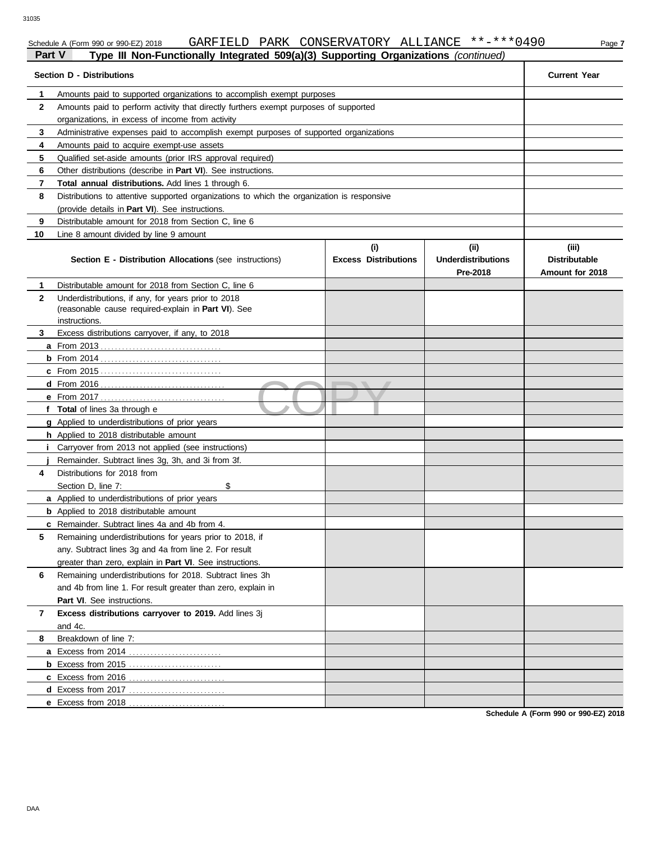|              | ган v<br>rype in Non-Functionally integrated bos(a)(5) Supporting Organizations (continued) |                             |                           |                      |  |
|--------------|---------------------------------------------------------------------------------------------|-----------------------------|---------------------------|----------------------|--|
|              | <b>Section D - Distributions</b>                                                            |                             |                           | <b>Current Year</b>  |  |
| 1            | Amounts paid to supported organizations to accomplish exempt purposes                       |                             |                           |                      |  |
| $\mathbf{2}$ | Amounts paid to perform activity that directly furthers exempt purposes of supported        |                             |                           |                      |  |
|              | organizations, in excess of income from activity                                            |                             |                           |                      |  |
| 3            | Administrative expenses paid to accomplish exempt purposes of supported organizations       |                             |                           |                      |  |
| 4            | Amounts paid to acquire exempt-use assets                                                   |                             |                           |                      |  |
| 5            | Qualified set-aside amounts (prior IRS approval required)                                   |                             |                           |                      |  |
| 6            | Other distributions (describe in <b>Part VI</b> ). See instructions.                        |                             |                           |                      |  |
| 7            | Total annual distributions. Add lines 1 through 6.                                          |                             |                           |                      |  |
| 8            | Distributions to attentive supported organizations to which the organization is responsive  |                             |                           |                      |  |
|              | (provide details in Part VI). See instructions.                                             |                             |                           |                      |  |
| 9            | Distributable amount for 2018 from Section C, line 6                                        |                             |                           |                      |  |
| 10           | Line 8 amount divided by line 9 amount                                                      |                             |                           |                      |  |
|              |                                                                                             | (i)                         | (ii)                      | (iii)                |  |
|              | <b>Section E - Distribution Allocations (see instructions)</b>                              | <b>Excess Distributions</b> | <b>Underdistributions</b> | <b>Distributable</b> |  |
|              |                                                                                             |                             | Pre-2018                  | Amount for 2018      |  |
| 1.           | Distributable amount for 2018 from Section C, line 6                                        |                             |                           |                      |  |
| $\mathbf{2}$ | Underdistributions, if any, for years prior to 2018                                         |                             |                           |                      |  |
|              | (reasonable cause required-explain in Part VI). See                                         |                             |                           |                      |  |
| 3            | instructions.<br>Excess distributions carryover, if any, to 2018                            |                             |                           |                      |  |
|              |                                                                                             |                             |                           |                      |  |
|              |                                                                                             |                             |                           |                      |  |
|              |                                                                                             |                             |                           |                      |  |
|              |                                                                                             |                             |                           |                      |  |
|              |                                                                                             |                             |                           |                      |  |
|              | f Total of lines 3a through e                                                               |                             |                           |                      |  |
|              | g Applied to underdistributions of prior years                                              |                             |                           |                      |  |
|              | h Applied to 2018 distributable amount                                                      |                             |                           |                      |  |
| Ť.           | Carryover from 2013 not applied (see instructions)                                          |                             |                           |                      |  |
|              | Remainder. Subtract lines 3g, 3h, and 3i from 3f.                                           |                             |                           |                      |  |
| 4            | Distributions for 2018 from                                                                 |                             |                           |                      |  |
|              | Section D, line 7:<br>\$                                                                    |                             |                           |                      |  |
|              | a Applied to underdistributions of prior years                                              |                             |                           |                      |  |
|              | <b>b</b> Applied to 2018 distributable amount                                               |                             |                           |                      |  |
|              | <b>c</b> Remainder. Subtract lines 4a and 4b from 4.                                        |                             |                           |                      |  |
| 5            | Remaining underdistributions for years prior to 2018, if                                    |                             |                           |                      |  |
|              | any. Subtract lines 3g and 4a from line 2. For result                                       |                             |                           |                      |  |
|              | greater than zero, explain in Part VI. See instructions.                                    |                             |                           |                      |  |
| 6            | Remaining underdistributions for 2018. Subtract lines 3h                                    |                             |                           |                      |  |
|              | and 4b from line 1. For result greater than zero, explain in                                |                             |                           |                      |  |
|              | Part VI. See instructions.                                                                  |                             |                           |                      |  |
| 7            | Excess distributions carryover to 2019. Add lines 3j                                        |                             |                           |                      |  |
|              | and 4c.                                                                                     |                             |                           |                      |  |
| 8            | Breakdown of line 7:                                                                        |                             |                           |                      |  |
|              |                                                                                             |                             |                           |                      |  |
|              |                                                                                             |                             |                           |                      |  |
|              |                                                                                             |                             |                           |                      |  |
|              |                                                                                             |                             |                           |                      |  |
|              | e Excess from 2018                                                                          |                             |                           |                      |  |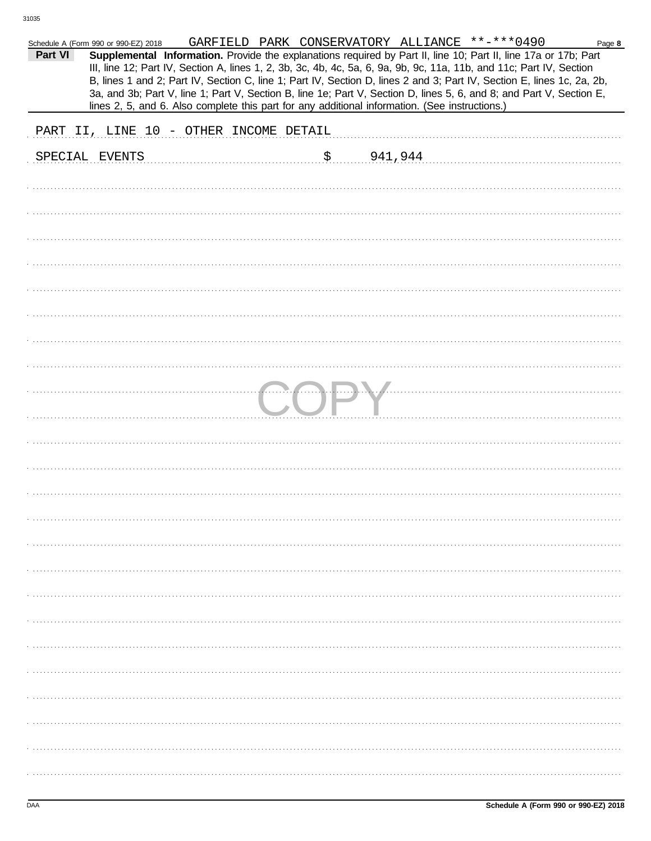|         | Schedule A (Form 990 or 990-EZ) 2018 |                                                                                                |    |                | GARFIELD PARK CONSERVATORY ALLIANCE **-***0490                                                                         | Page 8 |
|---------|--------------------------------------|------------------------------------------------------------------------------------------------|----|----------------|------------------------------------------------------------------------------------------------------------------------|--------|
| Part VI |                                      |                                                                                                |    |                | Supplemental Information. Provide the explanations required by Part II, line 10; Part II, line 17a or 17b; Part        |        |
|         |                                      |                                                                                                |    |                | III, line 12; Part IV, Section A, lines 1, 2, 3b, 3c, 4b, 4c, 5a, 6, 9a, 9b, 9c, 11a, 11b, and 11c; Part IV, Section   |        |
|         |                                      |                                                                                                |    |                | B, lines 1 and 2; Part IV, Section C, line 1; Part IV, Section D, lines 2 and 3; Part IV, Section E, lines 1c, 2a, 2b, |        |
|         |                                      |                                                                                                |    |                | 3a, and 3b; Part V, line 1; Part V, Section B, line 1e; Part V, Section D, lines 5, 6, and 8; and Part V, Section E,   |        |
|         |                                      |                                                                                                |    |                |                                                                                                                        |        |
|         |                                      | lines 2, 5, and 6. Also complete this part for any additional information. (See instructions.) |    |                |                                                                                                                        |        |
|         |                                      |                                                                                                |    |                |                                                                                                                        |        |
|         |                                      | PART II, LINE 10 - OTHER INCOME DETAIL                                                         |    |                |                                                                                                                        |        |
|         |                                      |                                                                                                |    |                |                                                                                                                        |        |
|         | SPECIAL EVENTS                       |                                                                                                | \$ | 941,944        |                                                                                                                        |        |
|         |                                      |                                                                                                |    |                |                                                                                                                        |        |
|         |                                      |                                                                                                |    |                |                                                                                                                        |        |
|         |                                      |                                                                                                |    |                |                                                                                                                        |        |
|         |                                      |                                                                                                |    |                |                                                                                                                        |        |
|         |                                      |                                                                                                |    |                |                                                                                                                        |        |
|         |                                      |                                                                                                |    |                |                                                                                                                        |        |
|         |                                      |                                                                                                |    |                |                                                                                                                        |        |
|         |                                      |                                                                                                |    |                |                                                                                                                        |        |
|         |                                      |                                                                                                |    |                |                                                                                                                        |        |
|         |                                      |                                                                                                |    |                |                                                                                                                        |        |
|         |                                      |                                                                                                |    |                |                                                                                                                        |        |
|         |                                      |                                                                                                |    |                |                                                                                                                        |        |
|         |                                      |                                                                                                |    |                |                                                                                                                        |        |
|         |                                      |                                                                                                |    |                |                                                                                                                        |        |
|         |                                      |                                                                                                |    |                |                                                                                                                        |        |
|         |                                      |                                                                                                |    |                |                                                                                                                        |        |
|         |                                      |                                                                                                |    |                |                                                                                                                        |        |
|         |                                      |                                                                                                |    |                |                                                                                                                        |        |
|         |                                      |                                                                                                |    |                |                                                                                                                        |        |
|         |                                      |                                                                                                |    | $\blacksquare$ |                                                                                                                        |        |
|         |                                      |                                                                                                |    |                |                                                                                                                        |        |
|         |                                      |                                                                                                |    |                |                                                                                                                        |        |
|         |                                      |                                                                                                |    |                |                                                                                                                        |        |
|         |                                      |                                                                                                |    |                |                                                                                                                        |        |
|         |                                      |                                                                                                |    |                |                                                                                                                        |        |
|         |                                      |                                                                                                |    |                |                                                                                                                        |        |
|         |                                      |                                                                                                |    |                |                                                                                                                        |        |
|         |                                      |                                                                                                |    |                |                                                                                                                        |        |
|         |                                      |                                                                                                |    |                |                                                                                                                        |        |
|         |                                      |                                                                                                |    |                |                                                                                                                        |        |
|         |                                      |                                                                                                |    |                |                                                                                                                        |        |
|         |                                      |                                                                                                |    |                |                                                                                                                        |        |
|         |                                      |                                                                                                |    |                |                                                                                                                        |        |
|         |                                      |                                                                                                |    |                |                                                                                                                        |        |
|         |                                      |                                                                                                |    |                |                                                                                                                        |        |
|         |                                      |                                                                                                |    |                |                                                                                                                        |        |
|         |                                      |                                                                                                |    |                |                                                                                                                        |        |
|         |                                      |                                                                                                |    |                |                                                                                                                        |        |
|         |                                      |                                                                                                |    |                |                                                                                                                        |        |
|         |                                      |                                                                                                |    |                |                                                                                                                        |        |
|         |                                      |                                                                                                |    |                |                                                                                                                        |        |
|         |                                      |                                                                                                |    |                |                                                                                                                        |        |
|         |                                      |                                                                                                |    |                |                                                                                                                        |        |
|         |                                      |                                                                                                |    |                |                                                                                                                        |        |
|         |                                      |                                                                                                |    |                |                                                                                                                        |        |
|         |                                      |                                                                                                |    |                |                                                                                                                        |        |
|         |                                      |                                                                                                |    |                |                                                                                                                        |        |
|         |                                      |                                                                                                |    |                |                                                                                                                        |        |
|         |                                      |                                                                                                |    |                |                                                                                                                        |        |
|         |                                      |                                                                                                |    |                |                                                                                                                        |        |
|         |                                      |                                                                                                |    |                |                                                                                                                        |        |
|         |                                      |                                                                                                |    |                |                                                                                                                        |        |
|         |                                      |                                                                                                |    |                |                                                                                                                        |        |
|         |                                      |                                                                                                |    |                |                                                                                                                        |        |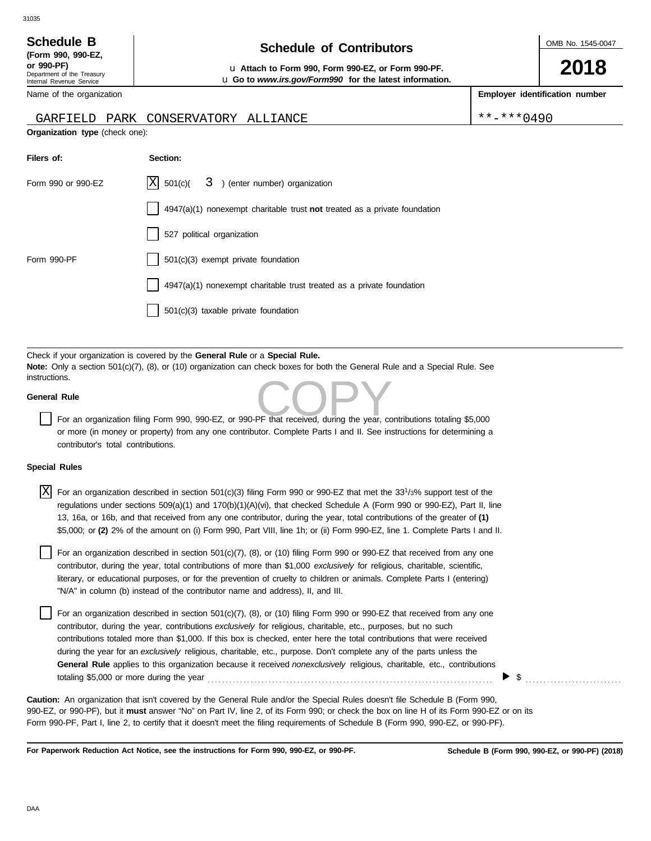| <b>Schedule B</b>                                      | <b>Schedule of Contributors</b>                                       | OMB No. 1545-0047 |
|--------------------------------------------------------|-----------------------------------------------------------------------|-------------------|
| (Form 990, 990-EZ.                                     |                                                                       |                   |
| or 990-PF)                                             | Lu Attach to Form 990, Form 990-EZ, or Form 990-PF.                   | 2018              |
| Department of the Treasury<br>Internal Revenue Service | <b>u</b> Go to <i>www.irs.gov/Form990</i> for the latest information. |                   |

**Employer identification number**

| Name of the organization |  |
|--------------------------|--|
|--------------------------|--|

## GARFIELD PARK CONSERVATORY ALLIANCE \*\*\*\*\*0490

**Organization type** (check one):

| Filers of:         | Section:                                                                           |
|--------------------|------------------------------------------------------------------------------------|
| Form 990 or 990-EZ | $ X $ 501(c)( $3$ ) (enter number) organization                                    |
|                    | $4947(a)(1)$ nonexempt charitable trust <b>not</b> treated as a private foundation |
|                    | 527 political organization                                                         |
| Form 990-PF        | 501(c)(3) exempt private foundation                                                |
|                    | $4947(a)(1)$ nonexempt charitable trust treated as a private foundation            |
|                    | $501(c)(3)$ taxable private foundation                                             |

Check if your organization is covered by the **General Rule** or a **Special Rule. Note:** Only a section 501(c)(7), (8), or (10) organization can check boxes for both the General Rule and a Special Rule. See instructions.

## **General Rule**

This.<br>For an organization filing Form 990, 990-EZ, or 990-PF that received, during the year, contributions totaling \$5,000 or more (in money or property) from any one contributor. Complete Parts I and II. See instructions for determining a contributor's total contributions.

## **Special Rules**

| X | For an organization described in section $501(c)(3)$ filing Form 990 or 990-EZ that met the 33 <sup>1</sup> /3% support test of the<br>regulations under sections 509(a)(1) and 170(b)(1)(A)(vi), that checked Schedule A (Form 990 or 990-EZ), Part II, line<br>13, 16a, or 16b, and that received from any one contributor, during the year, total contributions of the greater of (1)<br>\$5,000; or (2) 2% of the amount on (i) Form 990, Part VIII, line 1h; or (ii) Form 990-EZ, line 1. Complete Parts I and II. |
|---|-------------------------------------------------------------------------------------------------------------------------------------------------------------------------------------------------------------------------------------------------------------------------------------------------------------------------------------------------------------------------------------------------------------------------------------------------------------------------------------------------------------------------|
|   | For an organization described in section 501(c)(7), (8), or (10) filing Form 990 or 990-EZ that received from any one<br>contributor, during the year, total contributions of more than \$1,000 exclusively for religious, charitable, scientific,<br>literary, or educational purposes, or for the prevention of cruelty to children or animals. Complete Parts I (entering)<br>"N/A" in column (b) instead of the contributor name and address), II, and III.                                                         |

For an organization described in section 501(c)(7), (8), or (10) filing Form 990 or 990-EZ that received from any one contributor, during the year, contributions *exclusively* for religious, charitable, etc., purposes, but no such contributions totaled more than \$1,000. If this box is checked, enter here the total contributions that were received during the year for an *exclusively* religious, charitable, etc., purpose. Don't complete any of the parts unless the **General Rule** applies to this organization because it received *nonexclusively* religious, charitable, etc., contributions totaling \$5,000 or more during the year . . . . . . . . . . . . . . . . . . . . . . . . . . . . . . . . . . . . . . . . . . . . . . . . . . . . . . . . . . . . . . . . . . . . . . . . . . . . . . . .

990-EZ, or 990-PF), but it **must** answer "No" on Part IV, line 2, of its Form 990; or check the box on line H of its Form 990-EZ or on its Form 990-PF, Part I, line 2, to certify that it doesn't meet the filing requirements of Schedule B (Form 990, 990-EZ, or 990-PF). **Caution:** An organization that isn't covered by the General Rule and/or the Special Rules doesn't file Schedule B (Form 990,

**For Paperwork Reduction Act Notice, see the instructions for Form 990, 990-EZ, or 990-PF.**

\$ . . . . . . . . . . . . . . . . . . . . . . . . . . .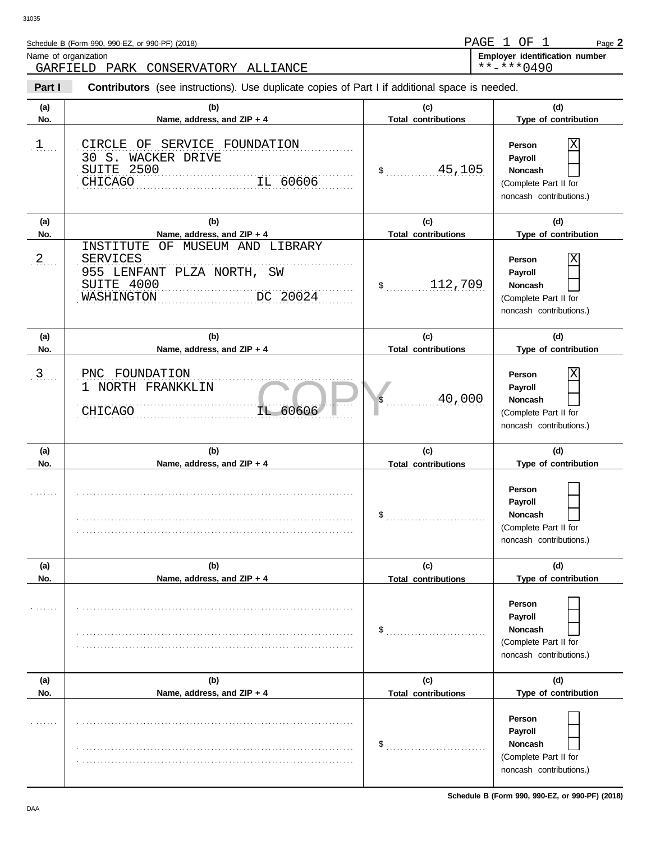| Schedule B (Form 990, 990-EZ, or 990-PF) (2018) | PAGE 1 OF  |  | Page 2                                |
|-------------------------------------------------|------------|--|---------------------------------------|
| Name of organization                            |            |  | <b>Employer identification number</b> |
| GARFIELD PARK CONSERVATORY ALLIANCE             | **_***0490 |  |                                       |

IL 60606 **Part I Type of contribution Person Payroll Noncash (a) (b) (c) (d) No. Name, address, and ZIP + 4 Type of contribution Person Payroll Noncash (a) (b) (c) (d)** No. No. Name, address, and ZIP + 4 **Total contributions** Type of contribution **Person Payroll Noncash (a) (b) (c) (d) No. Name, address, and ZIP + 4 Type of contribution Person Payroll Noncash** \$ . . . . . . . . . . . . . . . . . . . . . . . . . . . . 45,105 (Complete Part II for noncash contributions.)  $$\dots \dots \dots 112,709$ (Complete Part II for noncash contributions.) \$ . . . . . . . . . . . . . . . . . . . . . . . . . . . . 40,000 (Complete Part II for noncash contributions.)  $\frac{1}{2}$ (Complete Part II for noncash contributions.)  $\mathbb{S}$ (Complete Part II for noncash contributions.)  $\frac{1}{2}$ (Complete Part II for noncash contributions.) **Contributors** (see instructions). Use duplicate copies of Part I if additional space is needed. **(a) (b) (c) (d) No. Name, address, and ZIP + 4 Total contributions Type of contribution Person Payroll Noncash (a) (b) (c) (d) No. Name, address, and ZIP + 4 Type of contribution Person Payroll Noncash (a) (b) (c) (d) No. Name, address, and ZIP + 4**  $1$ .... . . . . . . . 2  $3$ ... . . . . . . . . . . . . . . . . . . . . . . . . . . . . . . . . . . . . . . . . . . . . . . . . . . . . . . . . . . . . . . . . . . . . . . . . . . . . . . . . . . . . . . . . . . . . . . . . . . . . . . . . . . . . . . . . . . . . . . . . . . . . . . . . . . . . . . . . . . . . . . . . . . . . . . . . . . . . . . . . . . . . . . . . . . . . . . . . . . . . . . . . . . . . . . . . . . . . . . . . . . . . . . . . . . . . . . . . . . . . . . . . . . . . . . . . . . . . . . . . . . . . . . . . . . . . . . . . . . . . . . . . . . . . . . . . . . . . . . . . . . . . . . . . . . . . . . . . . . . . . . . . . . . . . . . . . . . . . . . . . . . . . . . . . . . . . . . . . . . . . . . . . . . . . . . . . . . . . . . . . . . . . . . . . . . . . . . . . . . . . . . . . . . . . . . . . . . . . . . . . . . . . . . . . . . . . . . . . . . . . . . . . . . . . . . . . . . . . . . . . . . . . . . . . . . . . . . . . . . . . . . . . . . . . . . . . . . . . . . . . . . . . . . . . . . . . . . . . . . . . . . . . . . . . . . . . . . . . . . . . . . . . . . . . . . . . . . . . . . . . . . . . . . . . . . . . . . . . . . . . . . . . . . . . . . . . . . . . . . . . . . . . . . . . . . . . . . . . . . . . . . . . . . . . . . . . . . . . . . . . . . . . . . . . . . . . . . . . . . . . . . . . . . . . . . . . . . . . . . . . . . . . . . . . . . . . . . . . . . . . . . . . . . . . . . . . . . . . . . . . . . . . . . . . . . . . . 3 PNC FOUNDATION . . . . . . . . . . . . . . . . . . . . . . . . . . . . . . . . . . . . . . . . . . . . . . . . . . . . . . . . . . . . . . . . . . . . . . . . . . . . . . . . . . . . . . . . . . . . . . . . . . . . . . . . . . . . . . . . . . . . . . . . . . . . . . . . . . . . . . . . . . . . . . . . . . . . . . . . . . NASHINGTON DC 20024 . . . . . . . . . . . . . . . . . . . . . . . . . . . . . . . . . . . . . . . . . . . . . . . . . . . . . . . . . . . . . . . . . . . . . . . . . . . . . SUITE 4000 1 ... CIRCLE OF SERVICE FOUNDATION . . . . . . . . . . . . . . . . . . . . . . . . . . . . . . . . . . . . . . . . . . . . . . . . . . . . . . . . . . . . . . . . . . . . . . . . . . . . . SUITE 2500 . . . . . . . . . . . . . . . . . . . . . . . . . . . . . . . . . . . . . . . . . . . . . . . . . . . . . . . . . . . . . . . . . . . . . . . . . . . . . **Total contributions Total contributions Total contributions Total contributions Total contributions** 30 S. WACKER DRIVE CHICAGO IL 60606 X INSTITUTE OF MUSEUM AND LIBRARY SERVICES 955 LENFANT PLZA NORTH, SW X 1 NORTH FRANKKLIN CHICAGO IL 60606 X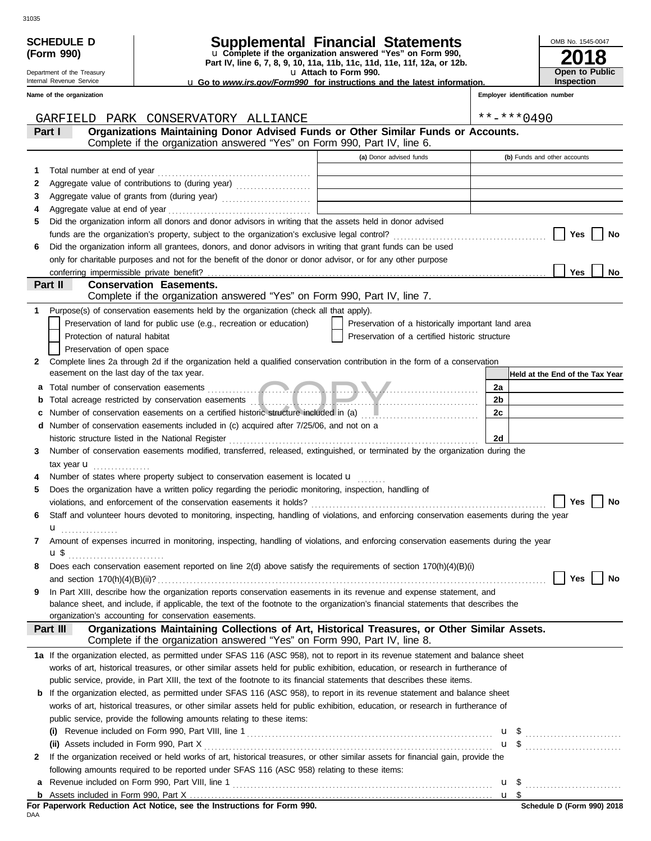| <b>SCHEDULE D</b>                                    | Supplemental Financial Statements                                                                                                                                                                          |                       |                                                                                           |    | OMB No. 1545-0047                            |
|------------------------------------------------------|------------------------------------------------------------------------------------------------------------------------------------------------------------------------------------------------------------|-----------------------|-------------------------------------------------------------------------------------------|----|----------------------------------------------|
| (Form 990)                                           | u Complete if the organization answered "Yes" on Form 990,<br>Part IV, line 6, 7, 8, 9, 10, 11a, 11b, 11c, 11d, 11e, 11f, 12a, or 12b.                                                                     |                       |                                                                                           |    |                                              |
| Department of the Treasury                           |                                                                                                                                                                                                            | u Attach to Form 990. |                                                                                           |    | Open to Public                               |
| Internal Revenue Service<br>Name of the organization | <b>u</b> Go to www.irs.gov/Form990 for instructions and the latest information.                                                                                                                            |                       |                                                                                           |    | Inspection<br>Employer identification number |
|                                                      |                                                                                                                                                                                                            |                       |                                                                                           |    |                                              |
|                                                      | GARFIELD PARK CONSERVATORY ALLIANCE                                                                                                                                                                        |                       |                                                                                           |    | $***$ -*** 0490                              |
| Part I                                               | Organizations Maintaining Donor Advised Funds or Other Similar Funds or Accounts.                                                                                                                          |                       |                                                                                           |    |                                              |
|                                                      | Complete if the organization answered "Yes" on Form 990, Part IV, line 6.                                                                                                                                  |                       |                                                                                           |    |                                              |
|                                                      |                                                                                                                                                                                                            |                       | (a) Donor advised funds                                                                   |    | (b) Funds and other accounts                 |
| 1                                                    |                                                                                                                                                                                                            |                       |                                                                                           |    |                                              |
| 2                                                    |                                                                                                                                                                                                            |                       |                                                                                           |    |                                              |
| 3                                                    | Aggregate value of grants from (during year)                                                                                                                                                               |                       | the control of the control of the control of the control of the control of the control of |    |                                              |
| 4                                                    |                                                                                                                                                                                                            |                       |                                                                                           |    |                                              |
| 5.                                                   | Did the organization inform all donors and donor advisors in writing that the assets held in donor advised                                                                                                 |                       |                                                                                           |    | Yes<br>No                                    |
| 6                                                    | Did the organization inform all grantees, donors, and donor advisors in writing that grant funds can be used                                                                                               |                       |                                                                                           |    |                                              |
|                                                      | only for charitable purposes and not for the benefit of the donor or donor advisor, or for any other purpose                                                                                               |                       |                                                                                           |    |                                              |
|                                                      |                                                                                                                                                                                                            |                       |                                                                                           |    | Yes<br>No                                    |
| Part II                                              | <b>Conservation Easements.</b>                                                                                                                                                                             |                       |                                                                                           |    |                                              |
|                                                      | Complete if the organization answered "Yes" on Form 990, Part IV, line 7.                                                                                                                                  |                       |                                                                                           |    |                                              |
| 1                                                    | Purpose(s) of conservation easements held by the organization (check all that apply).                                                                                                                      |                       |                                                                                           |    |                                              |
|                                                      | Preservation of land for public use (e.g., recreation or education)                                                                                                                                        |                       | Preservation of a historically important land area                                        |    |                                              |
| Protection of natural habitat                        |                                                                                                                                                                                                            |                       | Preservation of a certified historic structure                                            |    |                                              |
| Preservation of open space                           |                                                                                                                                                                                                            |                       |                                                                                           |    |                                              |
| 2<br>easement on the last day of the tax year.       | Complete lines 2a through 2d if the organization held a qualified conservation contribution in the form of a conservation                                                                                  |                       |                                                                                           |    | Held at the End of the Tax Year              |
| а                                                    |                                                                                                                                                                                                            |                       |                                                                                           | 2a |                                              |
| b                                                    |                                                                                                                                                                                                            |                       |                                                                                           | 2b |                                              |
| c                                                    | Number of conservation easements on a certified historic structure included in (a) [11] [12] Number of conservation easements on a certified historic structure included in (a)                            |                       |                                                                                           | 2c |                                              |
| d                                                    | Number of conservation easements included in (c) acquired after 7/25/06, and not on a                                                                                                                      |                       |                                                                                           |    |                                              |
|                                                      | historic structure listed in the National Register [11] Martin Martin Martin Martin Martin Martin Martin Marti                                                                                             |                       |                                                                                           | 2d |                                              |
| 3.                                                   | Number of conservation easements modified, transferred, released, extinguished, or terminated by the organization during the                                                                               |                       |                                                                                           |    |                                              |
| tax year <b>u</b>                                    |                                                                                                                                                                                                            |                       |                                                                                           |    |                                              |
|                                                      | Number of states where property subject to conservation easement is located <b>u</b>                                                                                                                       |                       |                                                                                           |    |                                              |
| 5                                                    | Does the organization have a written policy regarding the periodic monitoring, inspection, handling of                                                                                                     |                       |                                                                                           |    |                                              |
|                                                      |                                                                                                                                                                                                            |                       |                                                                                           |    | No<br>Yes                                    |
| 6                                                    | Staff and volunteer hours devoted to monitoring, inspecting, handling of violations, and enforcing conservation easements during the year                                                                  |                       |                                                                                           |    |                                              |
| <b>u</b><br>7                                        | Amount of expenses incurred in monitoring, inspecting, handling of violations, and enforcing conservation easements during the year                                                                        |                       |                                                                                           |    |                                              |
|                                                      |                                                                                                                                                                                                            |                       |                                                                                           |    |                                              |
| 8                                                    | Does each conservation easement reported on line 2(d) above satisfy the requirements of section 170(h)(4)(B)(i)                                                                                            |                       |                                                                                           |    |                                              |
|                                                      |                                                                                                                                                                                                            |                       |                                                                                           |    | Yes<br>No                                    |
| 9                                                    | In Part XIII, describe how the organization reports conservation easements in its revenue and expense statement, and                                                                                       |                       |                                                                                           |    |                                              |
|                                                      | balance sheet, and include, if applicable, the text of the footnote to the organization's financial statements that describes the                                                                          |                       |                                                                                           |    |                                              |
|                                                      | organization's accounting for conservation easements.                                                                                                                                                      |                       |                                                                                           |    |                                              |
| Part III                                             | Organizations Maintaining Collections of Art, Historical Treasures, or Other Similar Assets.<br>Complete if the organization answered "Yes" on Form 990, Part IV, line 8.                                  |                       |                                                                                           |    |                                              |
|                                                      | 1a If the organization elected, as permitted under SFAS 116 (ASC 958), not to report in its revenue statement and balance sheet                                                                            |                       |                                                                                           |    |                                              |
|                                                      | works of art, historical treasures, or other similar assets held for public exhibition, education, or research in furtherance of                                                                           |                       |                                                                                           |    |                                              |
|                                                      | public service, provide, in Part XIII, the text of the footnote to its financial statements that describes these items.                                                                                    |                       |                                                                                           |    |                                              |
|                                                      | <b>b</b> If the organization elected, as permitted under SFAS 116 (ASC 958), to report in its revenue statement and balance sheet                                                                          |                       |                                                                                           |    |                                              |
|                                                      | works of art, historical treasures, or other similar assets held for public exhibition, education, or research in furtherance of<br>public service, provide the following amounts relating to these items: |                       |                                                                                           |    |                                              |
|                                                      |                                                                                                                                                                                                            |                       |                                                                                           |    |                                              |
|                                                      |                                                                                                                                                                                                            |                       |                                                                                           |    | $\mathbf{u}$ \$ $\ldots$                     |
| 2                                                    | If the organization received or held works of art, historical treasures, or other similar assets for financial gain, provide the                                                                           |                       |                                                                                           |    |                                              |
|                                                      | following amounts required to be reported under SFAS 116 (ASC 958) relating to these items:                                                                                                                |                       |                                                                                           |    |                                              |
| а                                                    |                                                                                                                                                                                                            |                       |                                                                                           |    |                                              |
|                                                      |                                                                                                                                                                                                            |                       |                                                                                           |    |                                              |

| For Paperwork Reduction Act Notice, see the Instructions for Form 990. |  |  |  |
|------------------------------------------------------------------------|--|--|--|
| DAA                                                                    |  |  |  |

| <b>SCHEDULE D</b> | <b>Supplemental Financial Statements</b> |  |
|-------------------|------------------------------------------|--|
|                   |                                          |  |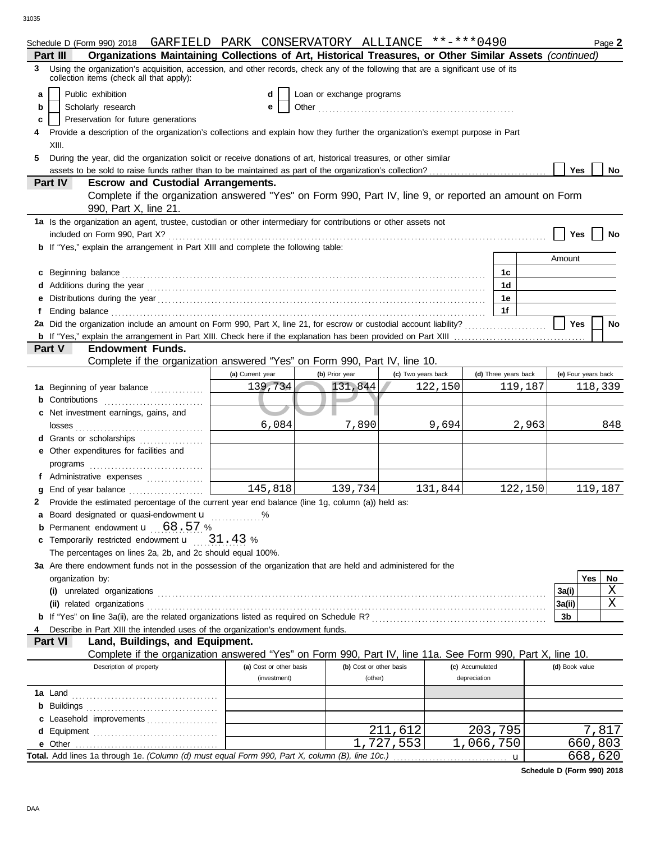|   | Schedule D (Form 990) 2018 GARFIELD PARK CONSERVATORY ALLIANCE **-***0490                                                                                                    |                         |                         |                    |         |                      | Page 2              |  |  |  |
|---|------------------------------------------------------------------------------------------------------------------------------------------------------------------------------|-------------------------|-------------------------|--------------------|---------|----------------------|---------------------|--|--|--|
|   | Organizations Maintaining Collections of Art, Historical Treasures, or Other Similar Assets (continued)<br>Part III                                                          |                         |                         |                    |         |                      |                     |  |  |  |
| 3 | Using the organization's acquisition, accession, and other records, check any of the following that are a significant use of its<br>collection items (check all that apply): |                         |                         |                    |         |                      |                     |  |  |  |
| a | Public exhibition<br>d<br>Loan or exchange programs                                                                                                                          |                         |                         |                    |         |                      |                     |  |  |  |
| b | Scholarly research                                                                                                                                                           | е                       |                         |                    |         |                      |                     |  |  |  |
| c | Preservation for future generations                                                                                                                                          |                         |                         |                    |         |                      |                     |  |  |  |
|   | Provide a description of the organization's collections and explain how they further the organization's exempt purpose in Part                                               |                         |                         |                    |         |                      |                     |  |  |  |
|   | XIII.                                                                                                                                                                        |                         |                         |                    |         |                      |                     |  |  |  |
| 5 | During the year, did the organization solicit or receive donations of art, historical treasures, or other similar                                                            |                         |                         |                    |         |                      |                     |  |  |  |
|   |                                                                                                                                                                              |                         |                         |                    |         |                      | <b>Yes</b><br>No    |  |  |  |
|   | <b>Escrow and Custodial Arrangements.</b><br>Part IV                                                                                                                         |                         |                         |                    |         |                      |                     |  |  |  |
|   | Complete if the organization answered "Yes" on Form 990, Part IV, line 9, or reported an amount on Form                                                                      |                         |                         |                    |         |                      |                     |  |  |  |
|   | 990, Part X, line 21.                                                                                                                                                        |                         |                         |                    |         |                      |                     |  |  |  |
|   | 1a Is the organization an agent, trustee, custodian or other intermediary for contributions or other assets not                                                              |                         |                         |                    |         |                      |                     |  |  |  |
|   | included on Form 990, Part X?                                                                                                                                                |                         |                         |                    |         |                      | Yes<br>No           |  |  |  |
|   | <b>b</b> If "Yes," explain the arrangement in Part XIII and complete the following table:                                                                                    |                         |                         |                    |         |                      |                     |  |  |  |
|   |                                                                                                                                                                              |                         |                         |                    |         |                      | Amount              |  |  |  |
|   | c Beginning balance                                                                                                                                                          |                         |                         |                    |         | 1c                   |                     |  |  |  |
|   |                                                                                                                                                                              |                         |                         |                    |         | 1d                   |                     |  |  |  |
|   |                                                                                                                                                                              |                         |                         |                    |         | 1e                   |                     |  |  |  |
|   |                                                                                                                                                                              |                         |                         |                    |         | 1f                   |                     |  |  |  |
|   |                                                                                                                                                                              |                         |                         |                    |         |                      | <b>Yes</b><br>No    |  |  |  |
|   |                                                                                                                                                                              |                         |                         |                    |         |                      |                     |  |  |  |
|   | <b>Endowment Funds.</b><br>Part V                                                                                                                                            |                         |                         |                    |         |                      |                     |  |  |  |
|   | Complete if the organization answered "Yes" on Form 990, Part IV, line 10.                                                                                                   |                         |                         |                    |         |                      |                     |  |  |  |
|   |                                                                                                                                                                              | (a) Current year        | (b) Prior year          | (c) Two years back |         | (d) Three years back | (e) Four years back |  |  |  |
|   | 1a Beginning of year balance                                                                                                                                                 | 139,734                 | 131,844                 |                    | 122,150 | 119,187              | 118,339             |  |  |  |
|   | <b>b</b> Contributions <b>contributions</b>                                                                                                                                  |                         |                         |                    |         |                      |                     |  |  |  |
|   | c Net investment earnings, gains, and                                                                                                                                        |                         |                         |                    |         |                      |                     |  |  |  |
|   | losses                                                                                                                                                                       | 6,084                   | 7,890                   |                    | 9,694   | 2,963                | 848                 |  |  |  |
|   | d Grants or scholarships<br>.                                                                                                                                                |                         |                         |                    |         |                      |                     |  |  |  |
|   | e Other expenditures for facilities and                                                                                                                                      |                         |                         |                    |         |                      |                     |  |  |  |
|   | programs                                                                                                                                                                     |                         |                         |                    |         |                      |                     |  |  |  |
|   | f Administrative expenses                                                                                                                                                    |                         |                         |                    |         |                      |                     |  |  |  |
|   | g End of year balance                                                                                                                                                        | 145,818                 | 139,734                 |                    | 131,844 | 122,150              | 119,187             |  |  |  |
|   | 2 Provide the estimated percentage of the current year end balance (line 1g, column (a)) held as:                                                                            |                         |                         |                    |         |                      |                     |  |  |  |
|   | Board designated or quasi-endowment <b>u</b> %                                                                                                                               |                         |                         |                    |         |                      |                     |  |  |  |
|   | <b>b</b> Permanent endowment <b>u</b> 68.57 %                                                                                                                                |                         |                         |                    |         |                      |                     |  |  |  |
|   | c Temporarily restricted endowment $\mathbf{u} = 31.43$ %                                                                                                                    |                         |                         |                    |         |                      |                     |  |  |  |
|   |                                                                                                                                                                              |                         |                         |                    |         |                      |                     |  |  |  |
|   | The percentages on lines 2a, 2b, and 2c should equal 100%.                                                                                                                   |                         |                         |                    |         |                      |                     |  |  |  |
|   | 3a Are there endowment funds not in the possession of the organization that are held and administered for the                                                                |                         |                         |                    |         |                      |                     |  |  |  |
|   | organization by:                                                                                                                                                             |                         |                         |                    |         |                      | Yes<br>No           |  |  |  |
|   |                                                                                                                                                                              |                         |                         |                    |         |                      | Χ<br>3a(i)          |  |  |  |
|   | (ii) related organizations                                                                                                                                                   |                         |                         |                    |         |                      | X<br>3a(ii)         |  |  |  |
|   |                                                                                                                                                                              |                         |                         |                    |         |                      | 3b                  |  |  |  |
| 4 | Describe in Part XIII the intended uses of the organization's endowment funds.                                                                                               |                         |                         |                    |         |                      |                     |  |  |  |
|   | Part VI<br>Land, Buildings, and Equipment.                                                                                                                                   |                         |                         |                    |         |                      |                     |  |  |  |
|   | Complete if the organization answered "Yes" on Form 990, Part IV, line 11a. See Form 990, Part X, line 10.                                                                   |                         |                         |                    |         |                      |                     |  |  |  |
|   | Description of property                                                                                                                                                      | (a) Cost or other basis | (b) Cost or other basis |                    |         | (c) Accumulated      | (d) Book value      |  |  |  |
|   |                                                                                                                                                                              | (investment)            | (other)                 |                    |         | depreciation         |                     |  |  |  |
|   | <b>1a</b> Land                                                                                                                                                               |                         |                         |                    |         |                      |                     |  |  |  |
|   |                                                                                                                                                                              |                         |                         |                    |         |                      |                     |  |  |  |
|   | c Leasehold improvements                                                                                                                                                     |                         |                         |                    |         |                      |                     |  |  |  |
|   |                                                                                                                                                                              |                         |                         | 211<br>,612        |         | 203,795              | 7,817               |  |  |  |
|   |                                                                                                                                                                              |                         |                         | 1,727,553          |         | 1,066,750            | 660,803             |  |  |  |
|   |                                                                                                                                                                              |                         |                         |                    |         |                      | 668,620             |  |  |  |

**Schedule D (Form 990) 2018**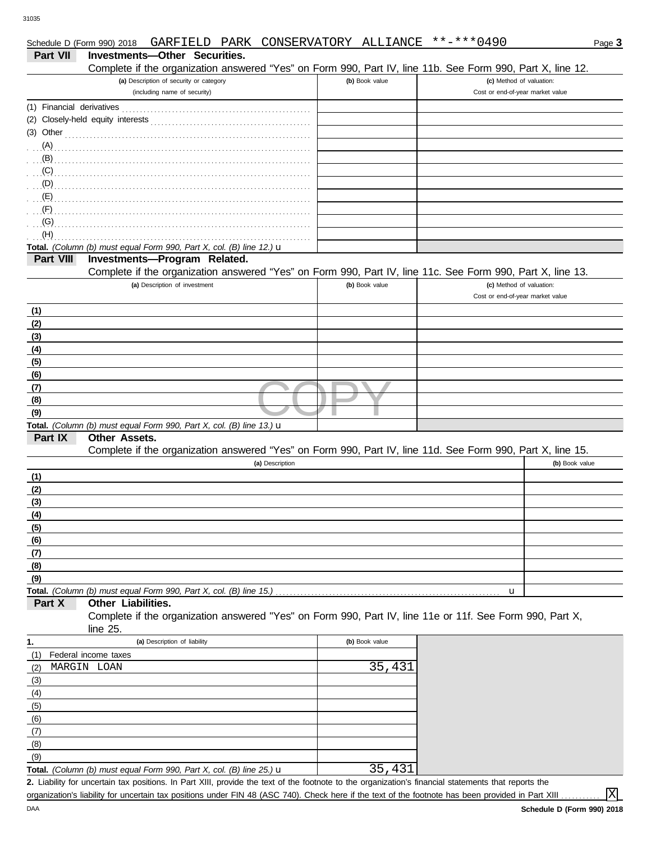| Part VII   | Investments-Other Securities.<br>Complete if the organization answered "Yes" on Form 990, Part IV, line 11b. See Form 990, Part X, line 12. |                |                                  |                |
|------------|---------------------------------------------------------------------------------------------------------------------------------------------|----------------|----------------------------------|----------------|
|            | (a) Description of security or category                                                                                                     | (b) Book value | (c) Method of valuation:         |                |
|            | (including name of security)                                                                                                                |                | Cost or end-of-year market value |                |
|            |                                                                                                                                             |                |                                  |                |
|            |                                                                                                                                             |                |                                  |                |
|            | $(3)$ Other                                                                                                                                 |                |                                  |                |
|            |                                                                                                                                             |                |                                  |                |
|            |                                                                                                                                             |                |                                  |                |
|            |                                                                                                                                             |                |                                  |                |
| $(D)$ .    |                                                                                                                                             |                |                                  |                |
|            |                                                                                                                                             |                |                                  |                |
| (F)<br>(G) |                                                                                                                                             |                |                                  |                |
| (H)        |                                                                                                                                             |                |                                  |                |
|            | Total. (Column (b) must equal Form 990, Part X, col. (B) line 12.) u                                                                        |                |                                  |                |
| Part VIII  | Investments-Program Related.                                                                                                                |                |                                  |                |
|            | Complete if the organization answered "Yes" on Form 990, Part IV, line 11c. See Form 990, Part X, line 13.                                  |                |                                  |                |
|            | (a) Description of investment                                                                                                               | (b) Book value | (c) Method of valuation:         |                |
|            |                                                                                                                                             |                | Cost or end-of-year market value |                |
| (1)        |                                                                                                                                             |                |                                  |                |
| (2)        |                                                                                                                                             |                |                                  |                |
| (3)        |                                                                                                                                             |                |                                  |                |
| (4)        |                                                                                                                                             |                |                                  |                |
| (5)        |                                                                                                                                             |                |                                  |                |
| (6)        |                                                                                                                                             |                |                                  |                |
| (7)        |                                                                                                                                             |                |                                  |                |
| (8)        |                                                                                                                                             |                |                                  |                |
| (9)        | Total. (Column (b) must equal Form 990, Part X, col. (B) line 13.) $\mathbf u$                                                              |                |                                  |                |
| Part IX    | <b>Other Assets.</b>                                                                                                                        |                |                                  |                |
|            | Complete if the organization answered "Yes" on Form 990, Part IV, line 11d. See Form 990, Part X, line 15.                                  |                |                                  |                |
|            | (a) Description                                                                                                                             |                |                                  | (b) Book value |
| (1)        |                                                                                                                                             |                |                                  |                |
| (2)        |                                                                                                                                             |                |                                  |                |
| (3)        |                                                                                                                                             |                |                                  |                |
| (4)        |                                                                                                                                             |                |                                  |                |
| (5)        |                                                                                                                                             |                |                                  |                |
| (6)        |                                                                                                                                             |                |                                  |                |
| (7)        |                                                                                                                                             |                |                                  |                |
| (8)        |                                                                                                                                             |                |                                  |                |
| (9)        |                                                                                                                                             |                |                                  |                |
| Part X     | Other Liabilities.                                                                                                                          |                | u                                |                |
|            | Complete if the organization answered "Yes" on Form 990, Part IV, line 11e or 11f. See Form 990, Part X,                                    |                |                                  |                |
|            | line $25$ .                                                                                                                                 |                |                                  |                |
| 1.         | (a) Description of liability                                                                                                                | (b) Book value |                                  |                |
| (1)        | Federal income taxes                                                                                                                        |                |                                  |                |
| (2)        | MARGIN LOAN                                                                                                                                 | 35,431         |                                  |                |
| (3)        |                                                                                                                                             |                |                                  |                |
| (4)        |                                                                                                                                             |                |                                  |                |
| (5)        |                                                                                                                                             |                |                                  |                |
| (6)        |                                                                                                                                             |                |                                  |                |
| (7)        |                                                                                                                                             |                |                                  |                |
| (8)        |                                                                                                                                             |                |                                  |                |
| (9)        |                                                                                                                                             |                |                                  |                |
|            | Total. (Column (b) must equal Form 990, Part X, col. (B) line 25.) u                                                                        | 35,431         |                                  |                |

Liability for uncertain tax positions. In Part XIII, provide the text of the footnote to the organization's financial statements that reports the **2.** organization's liability for uncertain tax positions under FIN 48 (ASC 740). Check here if the text of the footnote has been provided in Part XIII

 $\overline{\text{X}}$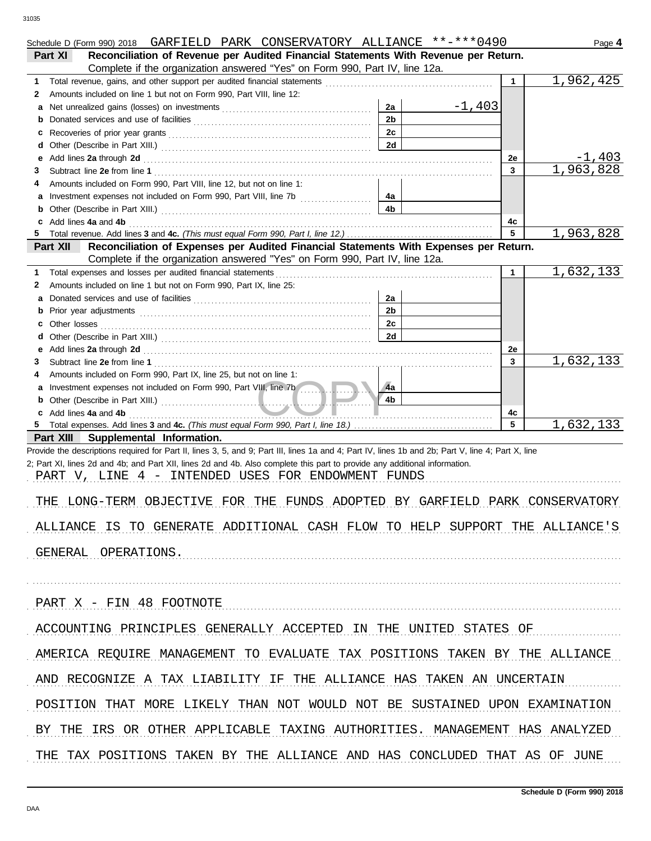| Schedule D (Form 990) 2018 GARFIELD PARK CONSERVATORY ALLIANCE **-***0490                                                                                                                                                           |                |              | Page 4    |
|-------------------------------------------------------------------------------------------------------------------------------------------------------------------------------------------------------------------------------------|----------------|--------------|-----------|
| Reconciliation of Revenue per Audited Financial Statements With Revenue per Return.<br>Part XI                                                                                                                                      |                |              |           |
| Complete if the organization answered "Yes" on Form 990, Part IV, line 12a.                                                                                                                                                         |                |              |           |
| 1                                                                                                                                                                                                                                   |                | $\mathbf{1}$ | 1,962,425 |
| Amounts included on line 1 but not on Form 990, Part VIII, line 12:<br>2                                                                                                                                                            |                |              |           |
| а                                                                                                                                                                                                                                   | $-1,403$<br>2a |              |           |
| b                                                                                                                                                                                                                                   | 2 <sub>b</sub> |              |           |
| c                                                                                                                                                                                                                                   | 2c             |              |           |
| d                                                                                                                                                                                                                                   | 2d             |              |           |
| Add lines 2a through 2d [11] All and the contract of the contract of the contract of the contract of the contract of the contract of the contract of the contract of the contract of the contract of the contract of the contr<br>е |                | 2e           | $-1,403$  |
| 3                                                                                                                                                                                                                                   |                | 3            | 1,963,828 |
| Amounts included on Form 990, Part VIII, line 12, but not on line 1:<br>4                                                                                                                                                           |                |              |           |
| а                                                                                                                                                                                                                                   | 4a             |              |           |
|                                                                                                                                                                                                                                     | 4 <sub>b</sub> |              |           |
| Add lines 4a and 4b<br>c                                                                                                                                                                                                            |                | 4c           |           |
| 5.                                                                                                                                                                                                                                  |                | 5            | 1,963,828 |
| Reconciliation of Expenses per Audited Financial Statements With Expenses per Return.<br>Part XII                                                                                                                                   |                |              |           |
| Complete if the organization answered "Yes" on Form 990, Part IV, line 12a.                                                                                                                                                         |                |              |           |
| Total expenses and losses per audited financial statements<br>1                                                                                                                                                                     |                | 1            | 1,632,133 |
| Amounts included on line 1 but not on Form 990, Part IX, line 25:<br>2                                                                                                                                                              |                |              |           |
| а                                                                                                                                                                                                                                   | 2a             |              |           |
| b                                                                                                                                                                                                                                   | 2 <sub>b</sub> |              |           |
| Other losses<br>c                                                                                                                                                                                                                   | 2c             |              |           |
| d                                                                                                                                                                                                                                   | 2d             |              |           |
| Add lines 2a through 2d [11] All and the contract of the contract of the contract of the contract of the contract of the contract of the contract of the contract of the contract of the contract of the contract of the contr<br>е |                | 2e           | 1,632,133 |
| 3                                                                                                                                                                                                                                   |                | 3            |           |
| Amounts included on Form 990, Part IX, line 25, but not on line 1:<br>4                                                                                                                                                             |                |              |           |
| Investment expenses not included on Form 990, Part VIII, line 7b<br>а                                                                                                                                                               | ∕4a<br>4b      |              |           |
| Add lines 4a and 4b<br>c                                                                                                                                                                                                            |                | 4c           |           |
|                                                                                                                                                                                                                                     |                | 5            | 1,632,133 |
| Part XIII Supplemental Information.                                                                                                                                                                                                 |                |              |           |
| Provide the descriptions required for Part II, lines 3, 5, and 9; Part III, lines 1a and 4; Part IV, lines 1b and 2b; Part V, line 4; Part X, line                                                                                  |                |              |           |
| 2; Part XI, lines 2d and 4b; and Part XII, lines 2d and 4b. Also complete this part to provide any additional information.                                                                                                          |                |              |           |
| PART V, LINE 4 - INTENDED USES FOR ENDOWMENT FUNDS                                                                                                                                                                                  |                |              |           |
|                                                                                                                                                                                                                                     |                |              |           |
| LONG-TERM OBJECTIVE FOR THE FUNDS ADOPTED BY GARFIELD PARK CONSERVATORY<br>THE                                                                                                                                                      |                |              |           |
|                                                                                                                                                                                                                                     |                |              |           |
| ALLIANCE IS TO GENERATE ADDITIONAL CASH FLOW TO HELP SUPPORT THE ALLIANCE'S                                                                                                                                                         |                |              |           |
|                                                                                                                                                                                                                                     |                |              |           |
| GENERAL OPERATIONS.                                                                                                                                                                                                                 |                |              |           |
|                                                                                                                                                                                                                                     |                |              |           |
|                                                                                                                                                                                                                                     |                |              |           |
|                                                                                                                                                                                                                                     |                |              |           |
| PART X - FIN 48 FOOTNOTE                                                                                                                                                                                                            |                |              |           |
|                                                                                                                                                                                                                                     |                |              |           |
| ACCOUNTING PRINCIPLES GENERALLY ACCEPTED IN THE UNITED STATES OF                                                                                                                                                                    |                |              |           |
|                                                                                                                                                                                                                                     |                |              |           |
| AMERICA REQUIRE MANAGEMENT TO EVALUATE TAX POSITIONS TAKEN BY THE ALLIANCE                                                                                                                                                          |                |              |           |
|                                                                                                                                                                                                                                     |                |              |           |
| AND RECOGNIZE A TAX LIABILITY IF THE ALLIANCE HAS TAKEN AN UNCERTAIN                                                                                                                                                                |                |              |           |
|                                                                                                                                                                                                                                     |                |              |           |
| POSITION THAT MORE LIKELY THAN NOT WOULD NOT BE SUSTAINED UPON EXAMINATION                                                                                                                                                          |                |              |           |
|                                                                                                                                                                                                                                     |                |              |           |
| BY THE IRS OR OTHER APPLICABLE TAXING AUTHORITIES. MANAGEMENT HAS ANALYZED                                                                                                                                                          |                |              |           |
|                                                                                                                                                                                                                                     |                |              |           |
| THE TAX POSITIONS TAKEN BY THE ALLIANCE AND HAS CONCLUDED THAT AS OF JUNE                                                                                                                                                           |                |              |           |
|                                                                                                                                                                                                                                     |                |              |           |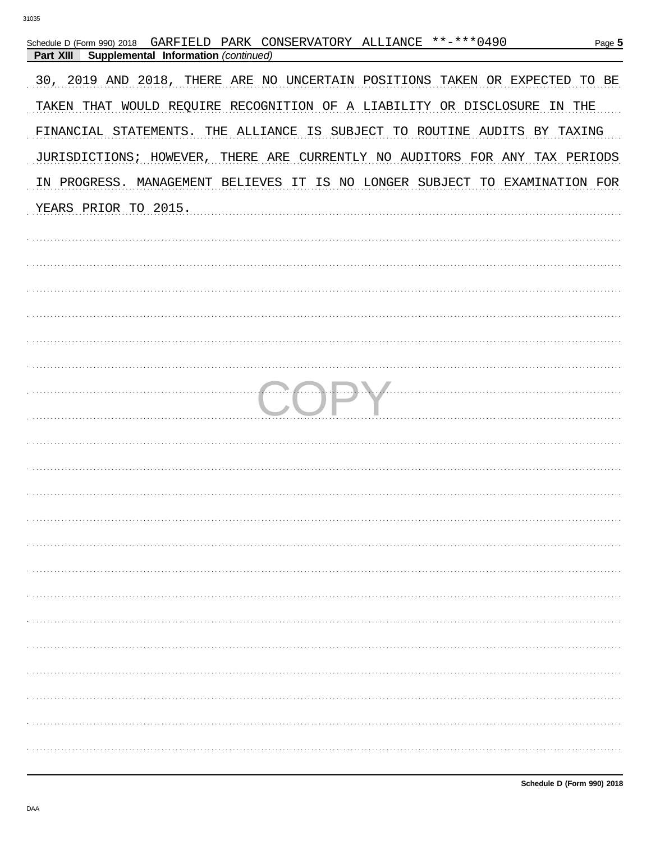| Schedule D (Form 990) 2018 GARFIELD PARK CONSERVATORY ALLIANCE **-*** 0490<br>Page 5<br>Part XIII<br>Supplemental Information (continued) |
|-------------------------------------------------------------------------------------------------------------------------------------------|
| 30, 2019 AND 2018, THERE ARE NO UNCERTAIN POSITIONS TAKEN OR EXPECTED TO BE                                                               |
| TAKEN THAT WOULD REQUIRE RECOGNITION OF A LIABILITY OR DISCLOSURE IN THE                                                                  |
| FINANCIAL STATEMENTS. THE ALLIANCE IS SUBJECT TO ROUTINE AUDITS BY TAXING                                                                 |
| JURISDICTIONS; HOWEVER,<br>THERE ARE CURRENTLY NO AUDITORS FOR ANY TAX PERIODS                                                            |
| IN PROGRESS. MANAGEMENT BELIEVES IT IS NO LONGER SUBJECT TO EXAMINATION FOR                                                               |
| YEARS PRIOR TO 2015.                                                                                                                      |
|                                                                                                                                           |
|                                                                                                                                           |
|                                                                                                                                           |
|                                                                                                                                           |
|                                                                                                                                           |
|                                                                                                                                           |
|                                                                                                                                           |
|                                                                                                                                           |
|                                                                                                                                           |
|                                                                                                                                           |
|                                                                                                                                           |
|                                                                                                                                           |
|                                                                                                                                           |
|                                                                                                                                           |
|                                                                                                                                           |
|                                                                                                                                           |
|                                                                                                                                           |
|                                                                                                                                           |
|                                                                                                                                           |
|                                                                                                                                           |
|                                                                                                                                           |
|                                                                                                                                           |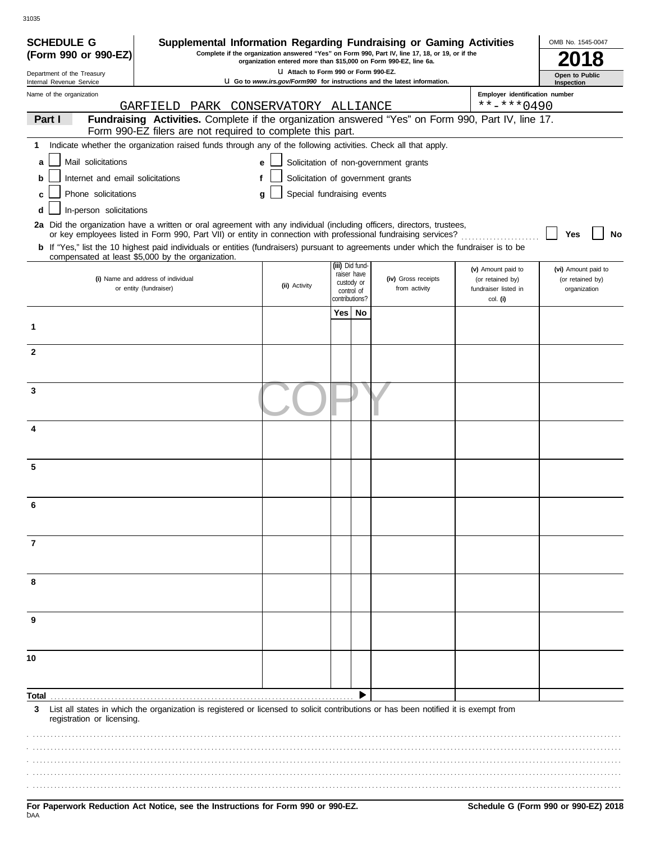| <b>SCHEDULE G</b>                                      |                                                                                                                                                                                                                                          |                            |                                       |     |                                | Supplemental Information Regarding Fundraising or Gaming Activities      |                                          | OMB No. 1545-0047                   |
|--------------------------------------------------------|------------------------------------------------------------------------------------------------------------------------------------------------------------------------------------------------------------------------------------------|----------------------------|---------------------------------------|-----|--------------------------------|--------------------------------------------------------------------------|------------------------------------------|-------------------------------------|
| (Form 990 or 990-EZ)                                   | Complete if the organization answered "Yes" on Form 990, Part IV, line 17, 18, or 19, or if the<br>organization entered more than \$15,000 on Form 990-EZ, line 6a.                                                                      |                            |                                       |     |                                |                                                                          |                                          |                                     |
| Department of the Treasury<br>Internal Revenue Service |                                                                                                                                                                                                                                          |                            | LI Attach to Form 990 or Form 990-EZ. |     |                                | U Go to www.irs.gov/Form990 for instructions and the latest information. |                                          | <b>Open to Public</b><br>Inspection |
| Name of the organization                               |                                                                                                                                                                                                                                          |                            |                                       |     |                                |                                                                          | Employer identification number           |                                     |
| Part I                                                 | GARFIELD<br>Fundraising Activities. Complete if the organization answered "Yes" on Form 990, Part IV, line 17.                                                                                                                           | PARK CONSERVATORY ALLIANCE |                                       |     |                                |                                                                          | $***$ $***$ 0490                         |                                     |
|                                                        | Form 990-EZ filers are not required to complete this part.                                                                                                                                                                               |                            |                                       |     |                                |                                                                          |                                          |                                     |
| 1                                                      | Indicate whether the organization raised funds through any of the following activities. Check all that apply.                                                                                                                            |                            |                                       |     |                                |                                                                          |                                          |                                     |
| Mail solicitations<br>a                                |                                                                                                                                                                                                                                          | e                          |                                       |     |                                | Solicitation of non-government grants                                    |                                          |                                     |
| Internet and email solicitations<br>b                  |                                                                                                                                                                                                                                          | f                          |                                       |     |                                | Solicitation of government grants                                        |                                          |                                     |
| Phone solicitations<br>c                               |                                                                                                                                                                                                                                          | a                          | Special fundraising events            |     |                                |                                                                          |                                          |                                     |
| In-person solicitations<br>d                           |                                                                                                                                                                                                                                          |                            |                                       |     |                                |                                                                          |                                          |                                     |
|                                                        | 2a Did the organization have a written or oral agreement with any individual (including officers, directors, trustees,<br>or key employees listed in Form 990, Part VII) or entity in connection with professional fundraising services? |                            |                                       |     |                                |                                                                          |                                          | No<br>Yes                           |
|                                                        | b If "Yes," list the 10 highest paid individuals or entities (fundraisers) pursuant to agreements under which the fundraiser is to be<br>compensated at least \$5,000 by the organization.                                               |                            |                                       |     |                                |                                                                          |                                          |                                     |
|                                                        |                                                                                                                                                                                                                                          |                            |                                       |     | (iii) Did fund-<br>raiser have |                                                                          | (v) Amount paid to                       | (vi) Amount paid to                 |
|                                                        | (i) Name and address of individual<br>or entity (fundraiser)                                                                                                                                                                             |                            | (ii) Activity                         |     | custody or<br>control of       | (iv) Gross receipts<br>from activity                                     | (or retained by)<br>fundraiser listed in | (or retained by)<br>organization    |
|                                                        |                                                                                                                                                                                                                                          |                            |                                       |     | contributions?                 |                                                                          | col. (i)                                 |                                     |
|                                                        |                                                                                                                                                                                                                                          |                            |                                       | Yes | No                             |                                                                          |                                          |                                     |
| 1                                                      |                                                                                                                                                                                                                                          |                            |                                       |     |                                |                                                                          |                                          |                                     |
| $\mathbf{2}$                                           |                                                                                                                                                                                                                                          |                            |                                       |     |                                |                                                                          |                                          |                                     |
|                                                        |                                                                                                                                                                                                                                          |                            |                                       |     |                                |                                                                          |                                          |                                     |
| 3                                                      |                                                                                                                                                                                                                                          |                            |                                       |     |                                |                                                                          |                                          |                                     |
|                                                        |                                                                                                                                                                                                                                          |                            |                                       |     |                                |                                                                          |                                          |                                     |
| 4                                                      |                                                                                                                                                                                                                                          |                            |                                       |     |                                |                                                                          |                                          |                                     |
|                                                        |                                                                                                                                                                                                                                          |                            |                                       |     |                                |                                                                          |                                          |                                     |
| 5                                                      |                                                                                                                                                                                                                                          |                            |                                       |     |                                |                                                                          |                                          |                                     |
|                                                        |                                                                                                                                                                                                                                          |                            |                                       |     |                                |                                                                          |                                          |                                     |
|                                                        |                                                                                                                                                                                                                                          |                            |                                       |     |                                |                                                                          |                                          |                                     |
|                                                        |                                                                                                                                                                                                                                          |                            |                                       |     |                                |                                                                          |                                          |                                     |
|                                                        |                                                                                                                                                                                                                                          |                            |                                       |     |                                |                                                                          |                                          |                                     |
| 7                                                      |                                                                                                                                                                                                                                          |                            |                                       |     |                                |                                                                          |                                          |                                     |
|                                                        |                                                                                                                                                                                                                                          |                            |                                       |     |                                |                                                                          |                                          |                                     |
| 8                                                      |                                                                                                                                                                                                                                          |                            |                                       |     |                                |                                                                          |                                          |                                     |
|                                                        |                                                                                                                                                                                                                                          |                            |                                       |     |                                |                                                                          |                                          |                                     |
|                                                        |                                                                                                                                                                                                                                          |                            |                                       |     |                                |                                                                          |                                          |                                     |
| 9                                                      |                                                                                                                                                                                                                                          |                            |                                       |     |                                |                                                                          |                                          |                                     |
|                                                        |                                                                                                                                                                                                                                          |                            |                                       |     |                                |                                                                          |                                          |                                     |
| 10                                                     |                                                                                                                                                                                                                                          |                            |                                       |     |                                |                                                                          |                                          |                                     |
|                                                        |                                                                                                                                                                                                                                          |                            |                                       |     |                                |                                                                          |                                          |                                     |
| Total                                                  |                                                                                                                                                                                                                                          |                            |                                       |     |                                |                                                                          |                                          |                                     |
| 3<br>registration or licensing.                        | List all states in which the organization is registered or licensed to solicit contributions or has been notified it is exempt from                                                                                                      |                            |                                       |     |                                |                                                                          |                                          |                                     |
|                                                        |                                                                                                                                                                                                                                          |                            |                                       |     |                                |                                                                          |                                          |                                     |
|                                                        |                                                                                                                                                                                                                                          |                            |                                       |     |                                |                                                                          |                                          |                                     |
|                                                        |                                                                                                                                                                                                                                          |                            |                                       |     |                                |                                                                          |                                          |                                     |
|                                                        |                                                                                                                                                                                                                                          |                            |                                       |     |                                |                                                                          |                                          |                                     |
|                                                        |                                                                                                                                                                                                                                          |                            |                                       |     |                                |                                                                          |                                          |                                     |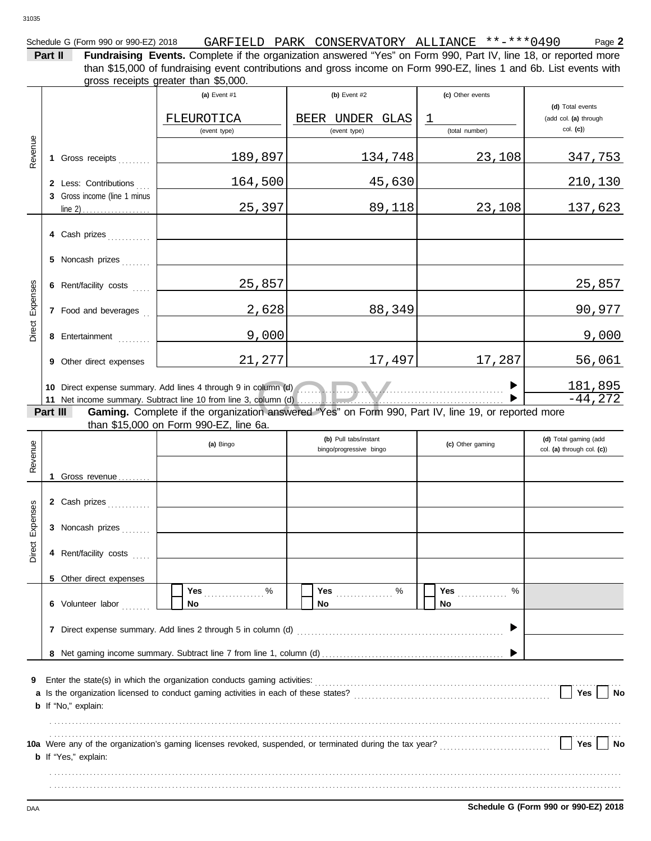| Schedule G (Form 990 or 990-EZ) 2018 | GARFIELD | PARK | . CONSERVATORY | . ALLIANCE | -***0490<br>**_ | $P$ aqe $\blacktriangle$ |
|--------------------------------------|----------|------|----------------|------------|-----------------|--------------------------|
|                                      |          |      |                |            |                 |                          |

**Part II Fundraising Events.** Complete if the organization answered "Yes" on Form 990, Part IV, line 18, or reported more gross receipts greater than \$5,000. than \$15,000 of fundraising event contributions and gross income on Form 990-EZ, lines 1 and 6b. List events with

|          |                       |                              | (a) Event $#1$                                                                                      | $(b)$ Event #2        | (c) Other events |                            |  |  |  |
|----------|-----------------------|------------------------------|-----------------------------------------------------------------------------------------------------|-----------------------|------------------|----------------------------|--|--|--|
|          |                       |                              |                                                                                                     |                       |                  | (d) Total events           |  |  |  |
|          |                       |                              | FLEUROTICA                                                                                          | BEER UNDER GLAS       | T                | (add col. (a) through      |  |  |  |
|          |                       |                              | (event type)                                                                                        | (event type)          | (total number)   | $col.$ (c))                |  |  |  |
|          |                       |                              |                                                                                                     |                       |                  |                            |  |  |  |
| Revenue  |                       | 1 Gross receipts             | 189,897                                                                                             | 134,748               | 23,108           | 347,753                    |  |  |  |
|          |                       |                              |                                                                                                     |                       |                  |                            |  |  |  |
|          |                       | 2 Less: Contributions        | 164,500                                                                                             | 45,630                |                  | 210,130                    |  |  |  |
|          |                       | 3 Gross income (line 1 minus |                                                                                                     |                       |                  |                            |  |  |  |
|          |                       |                              | 25,397                                                                                              | 89,118                | 23,108           | 137,623                    |  |  |  |
|          |                       |                              |                                                                                                     |                       |                  |                            |  |  |  |
|          |                       | 4 Cash prizes                |                                                                                                     |                       |                  |                            |  |  |  |
|          |                       |                              |                                                                                                     |                       |                  |                            |  |  |  |
|          |                       | 5 Noncash prizes             |                                                                                                     |                       |                  |                            |  |  |  |
|          | 6 Rent/facility costs |                              |                                                                                                     |                       |                  |                            |  |  |  |
|          |                       |                              | 25,857                                                                                              |                       |                  | <u>25,857</u>              |  |  |  |
| Expenses |                       | 7 Food and beverages         | 2,628                                                                                               | 88,349                |                  | 90,977                     |  |  |  |
|          |                       |                              |                                                                                                     |                       |                  |                            |  |  |  |
| Direct   |                       | 8 Entertainment              | 9,000                                                                                               |                       |                  | 9,000                      |  |  |  |
|          |                       |                              |                                                                                                     |                       |                  |                            |  |  |  |
|          |                       | 9 Other direct expenses      | 21,277                                                                                              | 17,497                | 17,287           | 56,061                     |  |  |  |
|          |                       |                              |                                                                                                     |                       |                  |                            |  |  |  |
|          |                       |                              |                                                                                                     |                       |                  | 181,895                    |  |  |  |
|          |                       |                              | 10 Direct expense summary. Add lines 4 through 9 in column (d)                                      |                       |                  |                            |  |  |  |
|          | Part III              |                              | Gaming. Complete if the organization answered "Yes" on Form 990, Part IV, line 19, or reported more |                       |                  |                            |  |  |  |
|          |                       |                              | than \$15,000 on Form 990-EZ, line 6a.                                                              |                       |                  |                            |  |  |  |
|          |                       |                              |                                                                                                     | (b) Pull tabs/instant |                  | (d) Total gaming (add      |  |  |  |
|          |                       |                              | (a) Bingo<br>(c) Other gaming<br>bingo/progressive bingo                                            |                       |                  | col. (a) through col. (c)) |  |  |  |
| Revenue  |                       |                              |                                                                                                     |                       |                  |                            |  |  |  |
|          |                       | Gross revenue                |                                                                                                     |                       |                  |                            |  |  |  |
|          |                       |                              |                                                                                                     |                       |                  |                            |  |  |  |

|          |                            | (a) Bingo                                                                            | bingo/progressive bingo  | (c) Other gaming      | col. (a) through col. (c)) |
|----------|----------------------------|--------------------------------------------------------------------------------------|--------------------------|-----------------------|----------------------------|
| Revenue  | Gross revenue              |                                                                                      |                          |                       |                            |
|          | 2 Cash prizes              |                                                                                      |                          |                       |                            |
| Expenses | 3 Noncash prizes           |                                                                                      |                          |                       |                            |
| Direct   | 4 Rent/facility costs      |                                                                                      |                          |                       |                            |
|          | 5 Other direct expenses    |                                                                                      |                          |                       |                            |
|          | 6 Volunteer labor          | $\%$<br>Yes<br>No.                                                                   | <b>Yes</b><br>$\%$<br>No | Yes<br>%<br><b>No</b> |                            |
|          | 7                          |                                                                                      |                          |                       |                            |
|          |                            |                                                                                      |                          |                       |                            |
| 9        |                            |                                                                                      |                          |                       |                            |
|          |                            | a Is the organization licensed to conduct gaming activities in each of these states? |                          |                       | <b>Yes</b><br>No           |
|          | <b>b</b> If "No," explain: |                                                                                      |                          |                       |                            |

| 10a Were any of the organization's gaming licenses revoked, suspended, or terminated during the tax year? | No<br>Yes |
|-----------------------------------------------------------------------------------------------------------|-----------|
| <b>b</b> If "Yes," explain:                                                                               |           |
|                                                                                                           |           |
|                                                                                                           |           |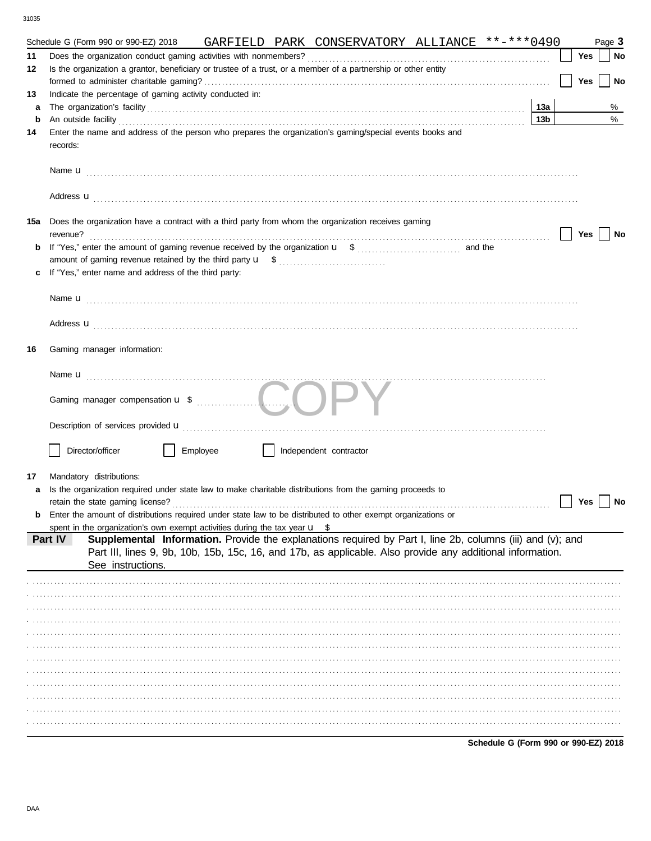|          | GARFIELD PARK CONSERVATORY ALLIANCE **-***0490<br>Schedule G (Form 990 or 990-EZ) 2018                                                                                                                                                                                                                                                           |                 |     | Page 3 |
|----------|--------------------------------------------------------------------------------------------------------------------------------------------------------------------------------------------------------------------------------------------------------------------------------------------------------------------------------------------------|-----------------|-----|--------|
| 11<br>12 | Is the organization a grantor, beneficiary or trustee of a trust, or a member of a partnership or other entity                                                                                                                                                                                                                                   |                 | Yes | No     |
|          |                                                                                                                                                                                                                                                                                                                                                  |                 | Yes | No     |
| 13       | Indicate the percentage of gaming activity conducted in:                                                                                                                                                                                                                                                                                         |                 |     |        |
| a        |                                                                                                                                                                                                                                                                                                                                                  | 13a             |     | %<br>% |
| b<br>14  | An outside facility <b>contract and the contract of the contract of the contract of the contract of the contract of the contract of the contract of the contract of the contract of the contract of the contract of the contract</b><br>Enter the name and address of the person who prepares the organization's gaming/special events books and | 13 <sub>b</sub> |     |        |
|          | records:                                                                                                                                                                                                                                                                                                                                         |                 |     |        |
|          |                                                                                                                                                                                                                                                                                                                                                  |                 |     |        |
|          |                                                                                                                                                                                                                                                                                                                                                  |                 |     |        |
|          | 15a Does the organization have a contract with a third party from whom the organization receives gaming<br>revenue?                                                                                                                                                                                                                              |                 | Yes | No     |
| b        |                                                                                                                                                                                                                                                                                                                                                  |                 |     |        |
|          |                                                                                                                                                                                                                                                                                                                                                  |                 |     |        |
|          | If "Yes," enter name and address of the third party:                                                                                                                                                                                                                                                                                             |                 |     |        |
|          |                                                                                                                                                                                                                                                                                                                                                  |                 |     |        |
|          |                                                                                                                                                                                                                                                                                                                                                  |                 |     |        |
| 16       | Gaming manager information:                                                                                                                                                                                                                                                                                                                      |                 |     |        |
|          |                                                                                                                                                                                                                                                                                                                                                  |                 |     |        |
|          |                                                                                                                                                                                                                                                                                                                                                  |                 |     |        |
|          |                                                                                                                                                                                                                                                                                                                                                  |                 |     |        |
|          | Director/officer<br>Employee<br>Independent contractor                                                                                                                                                                                                                                                                                           |                 |     |        |
| 17       | Mandatory distributions:                                                                                                                                                                                                                                                                                                                         |                 |     |        |
| a        | Is the organization required under state law to make charitable distributions from the gaming proceeds to                                                                                                                                                                                                                                        |                 |     |        |
|          | retain the state gaming license?                                                                                                                                                                                                                                                                                                                 |                 | Yes | No     |
|          | Enter the amount of distributions required under state law to be distributed to other exempt organizations or                                                                                                                                                                                                                                    |                 |     |        |
|          | spent in the organization's own exempt activities during the tax year $\mathbf{u}$ \$                                                                                                                                                                                                                                                            |                 |     |        |
|          | Supplemental Information. Provide the explanations required by Part I, line 2b, columns (iii) and (v); and<br>Part IV<br>Part III, lines 9, 9b, 10b, 15b, 15c, 16, and 17b, as applicable. Also provide any additional information.                                                                                                              |                 |     |        |
|          | See instructions.                                                                                                                                                                                                                                                                                                                                |                 |     |        |
|          |                                                                                                                                                                                                                                                                                                                                                  |                 |     |        |
|          |                                                                                                                                                                                                                                                                                                                                                  |                 |     |        |
|          |                                                                                                                                                                                                                                                                                                                                                  |                 |     |        |
|          |                                                                                                                                                                                                                                                                                                                                                  |                 |     |        |
|          |                                                                                                                                                                                                                                                                                                                                                  |                 |     |        |
|          |                                                                                                                                                                                                                                                                                                                                                  |                 |     |        |
|          |                                                                                                                                                                                                                                                                                                                                                  |                 |     |        |
|          |                                                                                                                                                                                                                                                                                                                                                  |                 |     |        |
|          |                                                                                                                                                                                                                                                                                                                                                  |                 |     |        |
|          |                                                                                                                                                                                                                                                                                                                                                  |                 |     |        |
|          |                                                                                                                                                                                                                                                                                                                                                  |                 |     |        |
|          |                                                                                                                                                                                                                                                                                                                                                  |                 |     |        |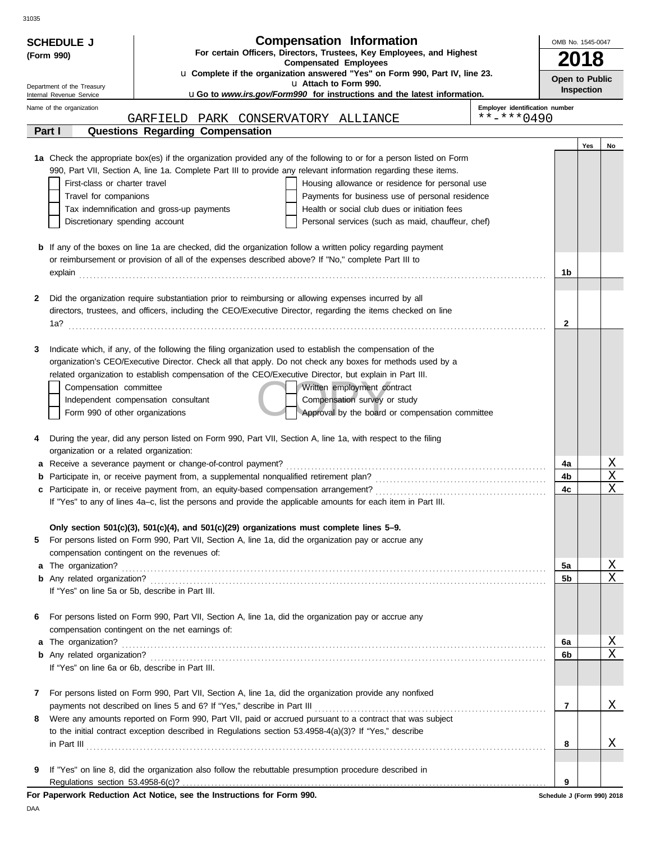| <b>Compensation Information</b><br><b>SCHEDULE J</b>   |                                                                                                                                                                                                                                | OMB No. 1545-0047 |                   |    |  |  |
|--------------------------------------------------------|--------------------------------------------------------------------------------------------------------------------------------------------------------------------------------------------------------------------------------|-------------------|-------------------|----|--|--|
| (Form 990)                                             | For certain Officers, Directors, Trustees, Key Employees, and Highest<br><b>Compensated Employees</b>                                                                                                                          |                   |                   |    |  |  |
|                                                        | u Complete if the organization answered "Yes" on Form 990, Part IV, line 23.                                                                                                                                                   | Open to Public    |                   |    |  |  |
| Department of the Treasury<br>Internal Revenue Service | u Attach to Form 990.<br><b>uGo to www.irs.gov/Form990 for instructions and the latest information.</b>                                                                                                                        |                   | <b>Inspection</b> |    |  |  |
| Name of the organization                               | Employer identification number                                                                                                                                                                                                 |                   |                   |    |  |  |
| Part I                                                 | $***$ $***$ 0490<br>GARFIELD<br>PARK CONSERVATORY ALLIANCE<br>Questions Regarding Compensation                                                                                                                                 |                   |                   |    |  |  |
|                                                        |                                                                                                                                                                                                                                |                   | Yes               | No |  |  |
|                                                        | 1a Check the appropriate box(es) if the organization provided any of the following to or for a person listed on Form                                                                                                           |                   |                   |    |  |  |
|                                                        | 990, Part VII, Section A, line 1a. Complete Part III to provide any relevant information regarding these items.                                                                                                                |                   |                   |    |  |  |
| First-class or charter travel                          | Housing allowance or residence for personal use                                                                                                                                                                                |                   |                   |    |  |  |
| Travel for companions                                  | Payments for business use of personal residence                                                                                                                                                                                |                   |                   |    |  |  |
|                                                        | Tax indemnification and gross-up payments<br>Health or social club dues or initiation fees                                                                                                                                     |                   |                   |    |  |  |
| Discretionary spending account                         | Personal services (such as maid, chauffeur, chef)                                                                                                                                                                              |                   |                   |    |  |  |
|                                                        | <b>b</b> If any of the boxes on line 1a are checked, did the organization follow a written policy regarding payment                                                                                                            |                   |                   |    |  |  |
|                                                        | or reimbursement or provision of all of the expenses described above? If "No," complete Part III to                                                                                                                            |                   |                   |    |  |  |
|                                                        | explain continuous contract and the contract of the contract of the contract of the contract of the contract of the contract of the contract of the contract of the contract of the contract of the contract of the contract o | 1b                |                   |    |  |  |
|                                                        |                                                                                                                                                                                                                                |                   |                   |    |  |  |
| 2                                                      | Did the organization require substantiation prior to reimbursing or allowing expenses incurred by all                                                                                                                          |                   |                   |    |  |  |
|                                                        | directors, trustees, and officers, including the CEO/Executive Director, regarding the items checked on line                                                                                                                   | $\mathbf{2}$      |                   |    |  |  |
|                                                        |                                                                                                                                                                                                                                |                   |                   |    |  |  |
| 3                                                      | Indicate which, if any, of the following the filing organization used to establish the compensation of the                                                                                                                     |                   |                   |    |  |  |
|                                                        | organization's CEO/Executive Director. Check all that apply. Do not check any boxes for methods used by a                                                                                                                      |                   |                   |    |  |  |
|                                                        | related organization to establish compensation of the CEO/Executive Director, but explain in Part III.                                                                                                                         |                   |                   |    |  |  |
| Compensation committee                                 | Written employment contract                                                                                                                                                                                                    |                   |                   |    |  |  |
|                                                        | Compensation survey or study<br>Independent compensation consultant                                                                                                                                                            |                   |                   |    |  |  |
| Form 990 of other organizations                        | Approval by the board or compensation committee                                                                                                                                                                                |                   |                   |    |  |  |
| 4                                                      | During the year, did any person listed on Form 990, Part VII, Section A, line 1a, with respect to the filing                                                                                                                   |                   |                   |    |  |  |
| organization or a related organization:                |                                                                                                                                                                                                                                |                   |                   |    |  |  |
|                                                        | a Receive a severance payment or change-of-control payment?                                                                                                                                                                    | 4a                |                   | Χ  |  |  |
| b                                                      |                                                                                                                                                                                                                                | 4b                |                   | Χ  |  |  |
|                                                        |                                                                                                                                                                                                                                | 4c                |                   | X  |  |  |
|                                                        | If "Yes" to any of lines 4a-c, list the persons and provide the applicable amounts for each item in Part III.                                                                                                                  |                   |                   |    |  |  |
|                                                        | Only section 501(c)(3), 501(c)(4), and 501(c)(29) organizations must complete lines 5-9.                                                                                                                                       |                   |                   |    |  |  |
| 5                                                      | For persons listed on Form 990, Part VII, Section A, line 1a, did the organization pay or accrue any                                                                                                                           |                   |                   |    |  |  |
|                                                        | compensation contingent on the revenues of:                                                                                                                                                                                    |                   |                   |    |  |  |
|                                                        |                                                                                                                                                                                                                                | 5a                |                   | Χ  |  |  |
|                                                        |                                                                                                                                                                                                                                | 5b                |                   | Χ  |  |  |
| If "Yes" on line 5a or 5b, describe in Part III.       |                                                                                                                                                                                                                                |                   |                   |    |  |  |
| 6                                                      | For persons listed on Form 990, Part VII, Section A, line 1a, did the organization pay or accrue any                                                                                                                           |                   |                   |    |  |  |
|                                                        | compensation contingent on the net earnings of:                                                                                                                                                                                |                   |                   |    |  |  |
| a The organization?                                    |                                                                                                                                                                                                                                | 6a                |                   | Χ  |  |  |
|                                                        |                                                                                                                                                                                                                                | 6b                |                   | Χ  |  |  |
| If "Yes" on line 6a or 6b, describe in Part III.       |                                                                                                                                                                                                                                |                   |                   |    |  |  |
|                                                        |                                                                                                                                                                                                                                |                   |                   |    |  |  |
| 7                                                      | For persons listed on Form 990, Part VII, Section A, line 1a, did the organization provide any nonfixed                                                                                                                        | 7                 |                   | Χ  |  |  |
| 8                                                      | Were any amounts reported on Form 990, Part VII, paid or accrued pursuant to a contract that was subject                                                                                                                       |                   |                   |    |  |  |
|                                                        | to the initial contract exception described in Regulations section 53.4958-4(a)(3)? If "Yes," describe                                                                                                                         |                   |                   |    |  |  |
|                                                        |                                                                                                                                                                                                                                | 8                 |                   | Χ  |  |  |
|                                                        |                                                                                                                                                                                                                                |                   |                   |    |  |  |
| 9                                                      | If "Yes" on line 8, did the organization also follow the rebuttable presumption procedure described in                                                                                                                         |                   |                   |    |  |  |
|                                                        |                                                                                                                                                                                                                                | 9                 |                   |    |  |  |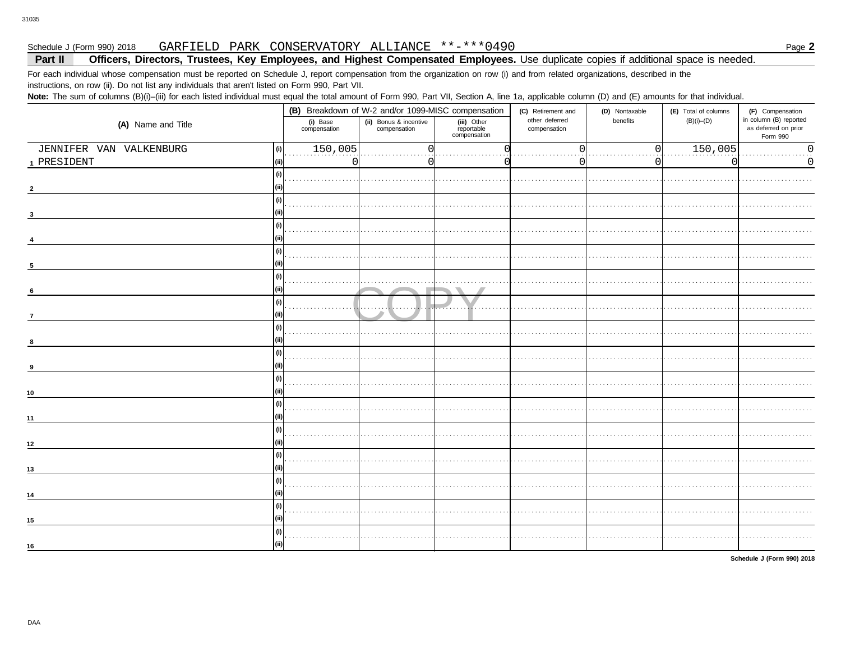#### GARFIELD PARK CONSERVATORY ALLIANCE \*\*-\*\*\*0490 Schedule J (Form 990) 2018

#### Officers, Directors, Trustees, Key Employees, and Highest Compensated Employees. Use duplicate copies if additional space is needed. Part II

For each individual whose compensation must be reported on Schedule J, report compensation from the organization on row (i) and from related organizations, described in the instructions, on row (ii). Do not list any individuals that aren't listed on Form 990, Part VII.

Note: The sum of columns (B)(i)-(iii) for each listed individual must equal the total amount of Form 990, Part VII, Section A, line 1a, applicable column (D) and (E) amounts for that individual.

|                         |               |                          | (B) Breakdown of W-2 and/or 1099-MISC compensation |                                           | (C) Retirement and             | (D) Nontaxable | (E) Total of columns | (F) Compensation                                           |
|-------------------------|---------------|--------------------------|----------------------------------------------------|-------------------------------------------|--------------------------------|----------------|----------------------|------------------------------------------------------------|
| (A) Name and Title      |               | (i) Base<br>compensation | (ii) Bonus & incentive<br>compensation             | (iii) Other<br>reportable<br>compensation | other deferred<br>compensation | benefits       | $(B)(i)$ – $(D)$     | in column (B) reported<br>as deferred on prior<br>Form 990 |
| JENNIFER VAN VALKENBURG | (i)           | 150,005                  | 0                                                  |                                           |                                | $\Omega$       | 150,005              | $\Omega$                                                   |
| 1 PRESIDENT             | (ii)          | U                        |                                                    |                                           |                                | 0              | C                    | 0                                                          |
|                         | (i)           |                          |                                                    |                                           |                                |                |                      |                                                            |
|                         |               |                          |                                                    |                                           |                                |                |                      |                                                            |
|                         | (i)           |                          |                                                    |                                           |                                |                |                      |                                                            |
|                         |               |                          |                                                    |                                           |                                |                |                      |                                                            |
|                         | (i)           |                          |                                                    |                                           |                                |                |                      |                                                            |
|                         |               |                          |                                                    |                                           |                                |                |                      |                                                            |
|                         | (i)           |                          |                                                    |                                           |                                |                |                      |                                                            |
| 5                       |               |                          |                                                    |                                           |                                |                |                      |                                                            |
|                         | $\frac{1}{2}$ |                          |                                                    |                                           |                                |                |                      |                                                            |
| 6                       |               |                          |                                                    |                                           |                                |                |                      |                                                            |
|                         | (i)           |                          |                                                    |                                           |                                |                |                      |                                                            |
| $\overline{7}$          |               |                          |                                                    |                                           |                                |                |                      |                                                            |
|                         | (i)           |                          |                                                    |                                           |                                |                |                      |                                                            |
| 8                       |               |                          |                                                    |                                           |                                |                |                      |                                                            |
|                         | (i)           |                          |                                                    |                                           |                                |                |                      |                                                            |
| 9                       |               |                          |                                                    |                                           |                                |                |                      |                                                            |
|                         | (i)           |                          |                                                    |                                           |                                |                |                      |                                                            |
| 10                      |               |                          |                                                    |                                           |                                |                |                      |                                                            |
|                         | (i)           |                          |                                                    |                                           |                                |                |                      |                                                            |
| 11                      |               |                          |                                                    |                                           |                                |                |                      |                                                            |
|                         | (i)           |                          |                                                    |                                           |                                |                |                      |                                                            |
| $12$                    |               |                          |                                                    |                                           |                                |                |                      |                                                            |
|                         | (i)           |                          |                                                    |                                           |                                |                |                      |                                                            |
| 13                      |               |                          |                                                    |                                           |                                |                |                      |                                                            |
|                         | (i)           |                          |                                                    |                                           |                                |                |                      |                                                            |
| 14                      |               |                          |                                                    |                                           |                                |                |                      |                                                            |
|                         | (i)           |                          |                                                    |                                           |                                |                |                      |                                                            |
| 15                      |               |                          |                                                    |                                           |                                |                |                      |                                                            |
|                         | (i)           |                          |                                                    |                                           |                                |                |                      |                                                            |
| 16                      |               |                          |                                                    |                                           |                                |                |                      |                                                            |
|                         |               |                          |                                                    |                                           |                                |                |                      |                                                            |

Schedule J (Form 990) 2018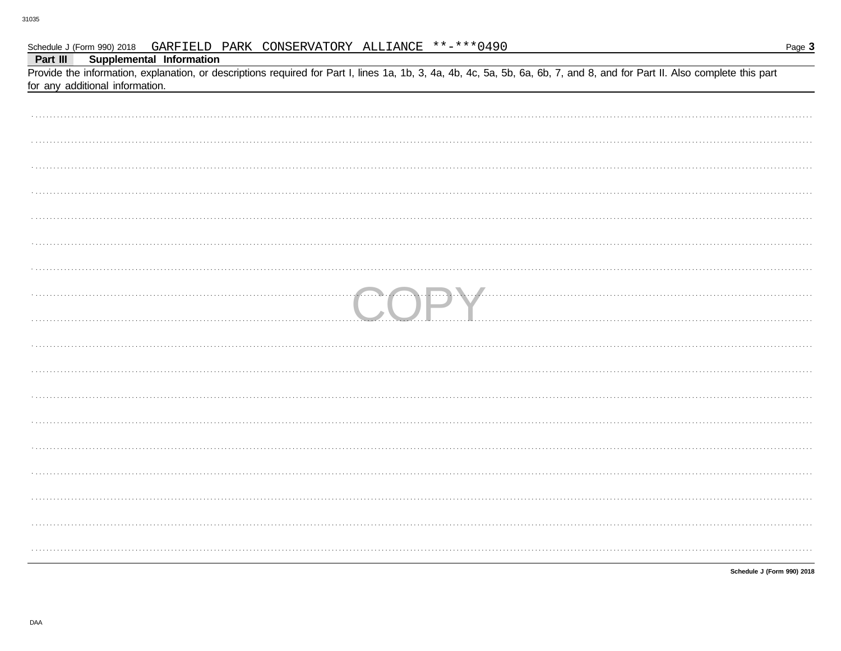| Provide the information, explanation, or descriptions required for Part I, lines 1a, 1b, 3, 4a, 4b, 4c, 5a, 5b, 6a, 6b, 7, and 8, and for Part II. Also complete this part<br>for any additional information. |
|---------------------------------------------------------------------------------------------------------------------------------------------------------------------------------------------------------------|
|                                                                                                                                                                                                               |
|                                                                                                                                                                                                               |
|                                                                                                                                                                                                               |
|                                                                                                                                                                                                               |
|                                                                                                                                                                                                               |
|                                                                                                                                                                                                               |
|                                                                                                                                                                                                               |
|                                                                                                                                                                                                               |
| <b>DEL MARIE DE LA CALENDRE DE LA CALENDRE DE LA CALENDRE DE LA CALENDRE DE LA CALENDRE DE LA CALENDRE DE LA CAL</b>                                                                                          |
|                                                                                                                                                                                                               |
|                                                                                                                                                                                                               |
|                                                                                                                                                                                                               |
|                                                                                                                                                                                                               |
|                                                                                                                                                                                                               |
|                                                                                                                                                                                                               |
|                                                                                                                                                                                                               |
|                                                                                                                                                                                                               |
|                                                                                                                                                                                                               |
|                                                                                                                                                                                                               |

Schedule J (Form 990) 2018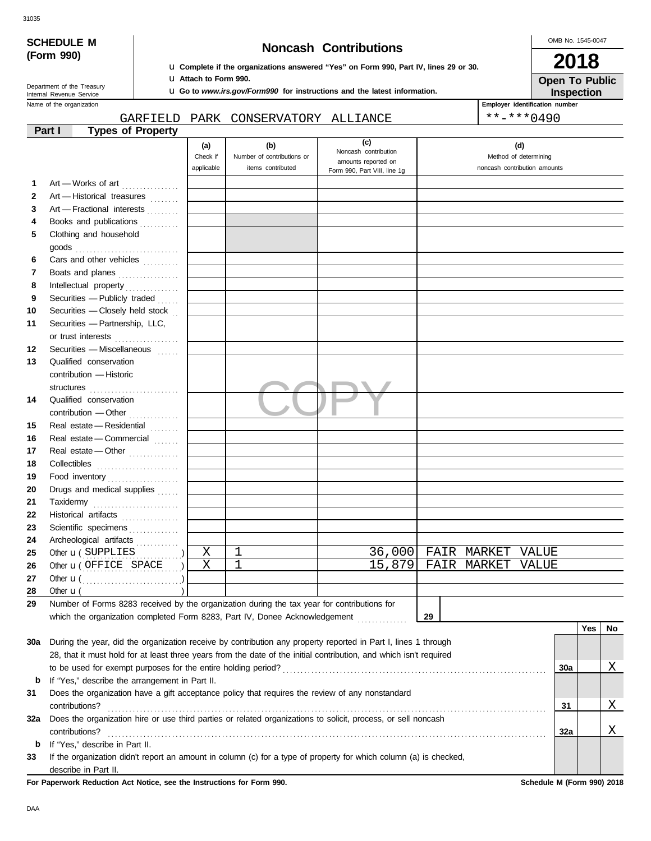| v<br>۰. | ٧<br>×<br>×<br>۰,<br>٠<br>× |
|---------|-----------------------------|

| SCHEDULE M |  |
|------------|--|
| (Form 990) |  |

## **Noncash Contributions**

OMB No. 1545-0047

| NUIICASII VUIIUIDUUUIIS<br>(Form 990) |                                                               |          |                         |                                                                                                                             |                                                                                                                    |                                                       | 2018                                |     |    |  |
|---------------------------------------|---------------------------------------------------------------|----------|-------------------------|-----------------------------------------------------------------------------------------------------------------------------|--------------------------------------------------------------------------------------------------------------------|-------------------------------------------------------|-------------------------------------|-----|----|--|
|                                       |                                                               |          |                         | <b>u</b> Complete if the organizations answered "Yes" on Form 990, Part IV, lines 29 or 30.<br><b>u</b> Attach to Form 990. |                                                                                                                    |                                                       |                                     |     |    |  |
|                                       | Department of the Treasury<br>Internal Revenue Service        |          |                         |                                                                                                                             | <b>u</b> Go to www.irs.gov/Form990 for instructions and the latest information.                                    |                                                       | <b>Open To Public</b><br>Inspection |     |    |  |
|                                       | Name of the organization                                      |          |                         |                                                                                                                             |                                                                                                                    |                                                       | Employer identification number      |     |    |  |
|                                       |                                                               | GARFIELD |                         | PARK CONSERVATORY ALLIANCE                                                                                                  |                                                                                                                    |                                                       | $***$ $***$ 0490                    |     |    |  |
|                                       | <b>Types of Property</b><br>Part I                            |          |                         |                                                                                                                             | (c)                                                                                                                |                                                       |                                     |     |    |  |
|                                       |                                                               |          | (a)                     | (b)                                                                                                                         | Noncash contribution                                                                                               | (d)                                                   |                                     |     |    |  |
|                                       |                                                               |          | Check if<br>applicable  | Number of contributions or<br>items contributed                                                                             | amounts reported on                                                                                                | Method of determining<br>noncash contribution amounts |                                     |     |    |  |
|                                       |                                                               |          |                         |                                                                                                                             | Form 990, Part VIII, line 1g                                                                                       |                                                       |                                     |     |    |  |
| 1                                     | Art - Works of art                                            |          |                         |                                                                                                                             |                                                                                                                    |                                                       |                                     |     |    |  |
| 2                                     | Art - Historical treasures                                    |          |                         |                                                                                                                             |                                                                                                                    |                                                       |                                     |     |    |  |
| 3                                     | Art - Fractional interests                                    |          |                         |                                                                                                                             |                                                                                                                    |                                                       |                                     |     |    |  |
| 4                                     | Books and publications                                        |          |                         |                                                                                                                             |                                                                                                                    |                                                       |                                     |     |    |  |
| 5                                     | Clothing and household                                        |          |                         |                                                                                                                             |                                                                                                                    |                                                       |                                     |     |    |  |
|                                       | $\mathsf{goods}\xrightarrow{\hspace{0.5cm}}$                  |          |                         |                                                                                                                             |                                                                                                                    |                                                       |                                     |     |    |  |
| 6                                     | Cars and other vehicles                                       |          |                         |                                                                                                                             |                                                                                                                    |                                                       |                                     |     |    |  |
| 7<br>8                                | Boats and planes                                              |          |                         |                                                                                                                             |                                                                                                                    |                                                       |                                     |     |    |  |
| 9                                     | Securities - Publicly traded                                  |          |                         |                                                                                                                             |                                                                                                                    |                                                       |                                     |     |    |  |
| 10                                    | Securities - Closely held stock                               |          |                         |                                                                                                                             |                                                                                                                    |                                                       |                                     |     |    |  |
| 11                                    | Securities - Partnership, LLC,                                |          |                         |                                                                                                                             |                                                                                                                    |                                                       |                                     |     |    |  |
|                                       |                                                               |          |                         |                                                                                                                             |                                                                                                                    |                                                       |                                     |     |    |  |
| 12                                    | or trust interests<br>Securities - Miscellaneous              |          |                         |                                                                                                                             |                                                                                                                    |                                                       |                                     |     |    |  |
| 13                                    | Qualified conservation                                        |          |                         |                                                                                                                             |                                                                                                                    |                                                       |                                     |     |    |  |
|                                       | contribution - Historic                                       |          |                         |                                                                                                                             |                                                                                                                    |                                                       |                                     |     |    |  |
|                                       |                                                               |          |                         |                                                                                                                             |                                                                                                                    |                                                       |                                     |     |    |  |
| 14                                    | Qualified conservation                                        |          |                         |                                                                                                                             |                                                                                                                    |                                                       |                                     |     |    |  |
|                                       |                                                               |          |                         |                                                                                                                             |                                                                                                                    |                                                       |                                     |     |    |  |
| 15                                    | Real estate - Residential                                     |          |                         |                                                                                                                             |                                                                                                                    |                                                       |                                     |     |    |  |
| 16                                    | Real estate - Commercial                                      |          |                         |                                                                                                                             |                                                                                                                    |                                                       |                                     |     |    |  |
| 17                                    | Real estate - Other                                           |          |                         |                                                                                                                             |                                                                                                                    |                                                       |                                     |     |    |  |
| 18                                    |                                                               |          |                         |                                                                                                                             |                                                                                                                    |                                                       |                                     |     |    |  |
| 19                                    | Food inventory                                                |          |                         |                                                                                                                             |                                                                                                                    |                                                       |                                     |     |    |  |
| 20                                    | Drugs and medical supplies                                    |          |                         |                                                                                                                             |                                                                                                                    |                                                       |                                     |     |    |  |
| 21                                    |                                                               |          |                         |                                                                                                                             |                                                                                                                    |                                                       |                                     |     |    |  |
| 22                                    | Historical artifacts                                          |          |                         |                                                                                                                             |                                                                                                                    |                                                       |                                     |     |    |  |
| 23                                    | Scientific specimens                                          |          |                         |                                                                                                                             |                                                                                                                    |                                                       |                                     |     |    |  |
| 24                                    | Archeological artifacts                                       | .        |                         |                                                                                                                             |                                                                                                                    |                                                       |                                     |     |    |  |
| 25                                    | Other <b>u</b> (SUPPLIES                                      |          | X                       | 1                                                                                                                           | 36,000                                                                                                             | FAIR MARKET                                           | VALUE                               |     |    |  |
| 26                                    | Other <b>u</b> (OFFICE SPACE                                  |          | $\overline{\mathrm{x}}$ | $\mathbf 1$                                                                                                                 | 15,879                                                                                                             | FAIR MARKET                                           | VALUE                               |     |    |  |
| 27                                    |                                                               |          |                         |                                                                                                                             |                                                                                                                    |                                                       |                                     |     |    |  |
| 28                                    | Other $\mathbf{u}$ (                                          |          |                         |                                                                                                                             |                                                                                                                    |                                                       |                                     |     |    |  |
| 29                                    |                                                               |          |                         | Number of Forms 8283 received by the organization during the tax year for contributions for                                 |                                                                                                                    |                                                       |                                     |     |    |  |
|                                       |                                                               |          |                         | which the organization completed Form 8283, Part IV, Donee Acknowledgement                                                  |                                                                                                                    | 29                                                    |                                     |     |    |  |
|                                       |                                                               |          |                         |                                                                                                                             |                                                                                                                    |                                                       |                                     | Yes | No |  |
| 30a                                   |                                                               |          |                         |                                                                                                                             | During the year, did the organization receive by contribution any property reported in Part I, lines 1 through     |                                                       |                                     |     |    |  |
|                                       |                                                               |          |                         |                                                                                                                             | 28, that it must hold for at least three years from the date of the initial contribution, and which isn't required |                                                       |                                     |     |    |  |
|                                       | to be used for exempt purposes for the entire holding period? |          |                         |                                                                                                                             |                                                                                                                    |                                                       | 30a                                 |     | Χ  |  |
| b                                     | If "Yes," describe the arrangement in Part II.                |          |                         |                                                                                                                             |                                                                                                                    |                                                       |                                     |     |    |  |
| 31                                    |                                                               |          |                         |                                                                                                                             | Does the organization have a gift acceptance policy that requires the review of any nonstandard                    |                                                       |                                     |     |    |  |
|                                       | contributions?                                                |          |                         |                                                                                                                             |                                                                                                                    |                                                       | 31                                  |     | Χ  |  |
| 32a                                   |                                                               |          |                         |                                                                                                                             | Does the organization hire or use third parties or related organizations to solicit, process, or sell noncash      |                                                       |                                     |     |    |  |
|                                       | contributions?                                                |          |                         |                                                                                                                             |                                                                                                                    |                                                       | 32a                                 |     | Χ  |  |
| b                                     | If "Yes," describe in Part II.                                |          |                         |                                                                                                                             |                                                                                                                    |                                                       |                                     |     |    |  |
| 33                                    |                                                               |          |                         |                                                                                                                             | If the organization didn't report an amount in column (c) for a type of property for which column (a) is checked,  |                                                       |                                     |     |    |  |
|                                       | describe in Part II.                                          |          |                         |                                                                                                                             |                                                                                                                    |                                                       |                                     |     |    |  |

**For Paperwork Reduction Act Notice, see the Instructions for Form 990. Schedule M (Form 990) 2018**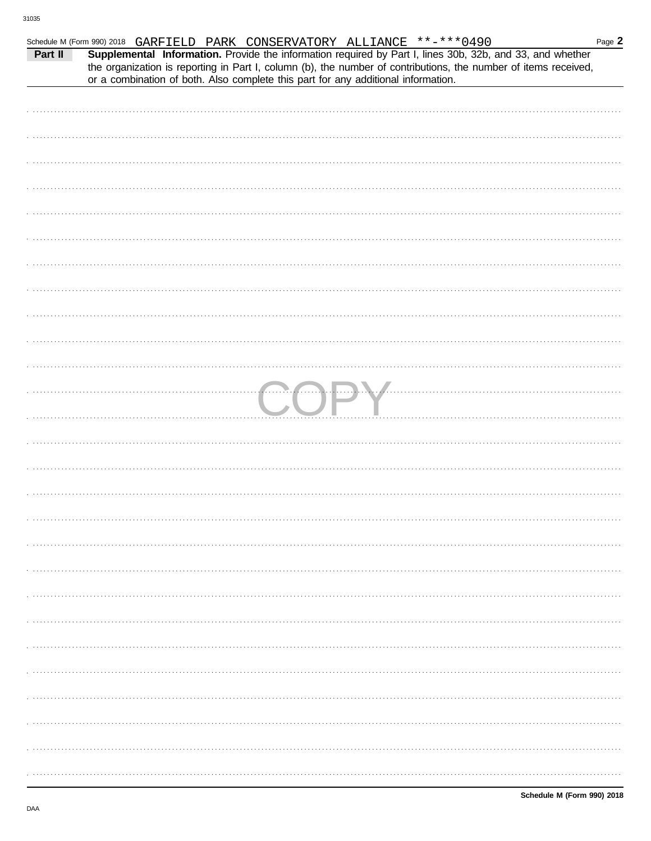| Schedule M (Form 990) 2018 GARFIELD PARK CONSERVATORY ALLIANCE **-*** 0490 |                                                                                                                                                                                                                                                                                                                   |  |  |  |  |           | Page 2 |
|----------------------------------------------------------------------------|-------------------------------------------------------------------------------------------------------------------------------------------------------------------------------------------------------------------------------------------------------------------------------------------------------------------|--|--|--|--|-----------|--------|
| Part II                                                                    | Supplemental Information. Provide the information required by Part I, lines 30b, 32b, and 33, and whether<br>the organization is reporting in Part I, column (b), the number of contributions, the number of items received,<br>or a combination of both. Also complete this part for any additional information. |  |  |  |  |           |        |
|                                                                            |                                                                                                                                                                                                                                                                                                                   |  |  |  |  |           |        |
|                                                                            |                                                                                                                                                                                                                                                                                                                   |  |  |  |  |           |        |
|                                                                            |                                                                                                                                                                                                                                                                                                                   |  |  |  |  |           |        |
|                                                                            |                                                                                                                                                                                                                                                                                                                   |  |  |  |  |           |        |
|                                                                            |                                                                                                                                                                                                                                                                                                                   |  |  |  |  |           |        |
|                                                                            |                                                                                                                                                                                                                                                                                                                   |  |  |  |  |           |        |
|                                                                            |                                                                                                                                                                                                                                                                                                                   |  |  |  |  |           |        |
|                                                                            |                                                                                                                                                                                                                                                                                                                   |  |  |  |  |           |        |
|                                                                            |                                                                                                                                                                                                                                                                                                                   |  |  |  |  |           |        |
|                                                                            |                                                                                                                                                                                                                                                                                                                   |  |  |  |  |           |        |
|                                                                            |                                                                                                                                                                                                                                                                                                                   |  |  |  |  |           |        |
|                                                                            |                                                                                                                                                                                                                                                                                                                   |  |  |  |  |           |        |
|                                                                            |                                                                                                                                                                                                                                                                                                                   |  |  |  |  |           |        |
|                                                                            |                                                                                                                                                                                                                                                                                                                   |  |  |  |  |           |        |
|                                                                            |                                                                                                                                                                                                                                                                                                                   |  |  |  |  |           |        |
|                                                                            |                                                                                                                                                                                                                                                                                                                   |  |  |  |  | <b>DV</b> |        |
|                                                                            |                                                                                                                                                                                                                                                                                                                   |  |  |  |  |           |        |
|                                                                            |                                                                                                                                                                                                                                                                                                                   |  |  |  |  |           |        |
|                                                                            |                                                                                                                                                                                                                                                                                                                   |  |  |  |  |           |        |
|                                                                            |                                                                                                                                                                                                                                                                                                                   |  |  |  |  |           |        |
|                                                                            |                                                                                                                                                                                                                                                                                                                   |  |  |  |  |           |        |
|                                                                            |                                                                                                                                                                                                                                                                                                                   |  |  |  |  |           |        |
|                                                                            |                                                                                                                                                                                                                                                                                                                   |  |  |  |  |           |        |
|                                                                            |                                                                                                                                                                                                                                                                                                                   |  |  |  |  |           |        |
|                                                                            |                                                                                                                                                                                                                                                                                                                   |  |  |  |  |           |        |
|                                                                            |                                                                                                                                                                                                                                                                                                                   |  |  |  |  |           |        |
|                                                                            |                                                                                                                                                                                                                                                                                                                   |  |  |  |  |           |        |
|                                                                            |                                                                                                                                                                                                                                                                                                                   |  |  |  |  |           |        |
|                                                                            |                                                                                                                                                                                                                                                                                                                   |  |  |  |  |           |        |
|                                                                            |                                                                                                                                                                                                                                                                                                                   |  |  |  |  |           |        |
|                                                                            |                                                                                                                                                                                                                                                                                                                   |  |  |  |  |           |        |
|                                                                            |                                                                                                                                                                                                                                                                                                                   |  |  |  |  |           |        |
|                                                                            |                                                                                                                                                                                                                                                                                                                   |  |  |  |  |           |        |
|                                                                            |                                                                                                                                                                                                                                                                                                                   |  |  |  |  |           |        |
|                                                                            |                                                                                                                                                                                                                                                                                                                   |  |  |  |  |           |        |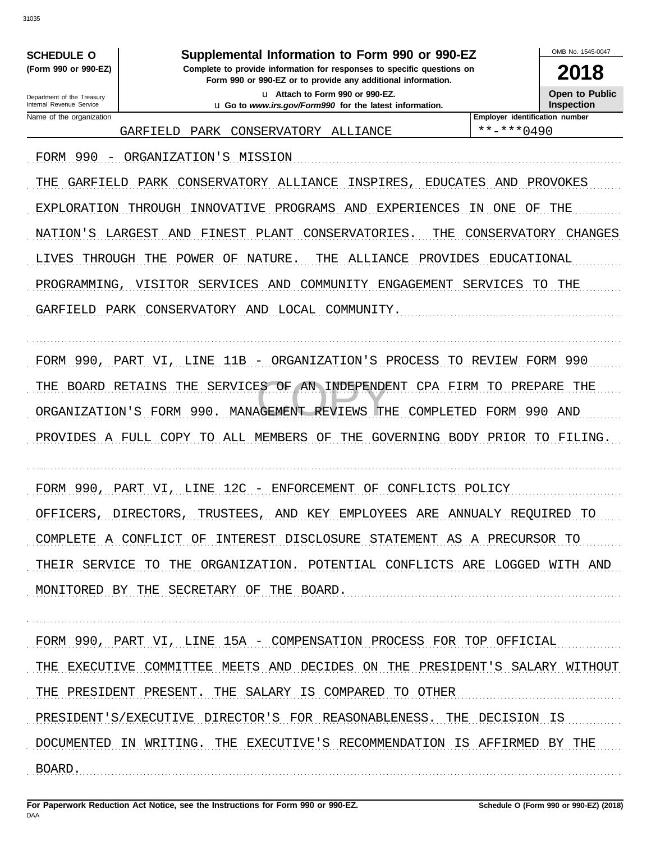**SCHEDULE O** (Form 990 or 990-EZ)

## Supplemental Information to Form 990 or 990-EZ

Complete to provide information for responses to specific questions on Form 990 or 990-EZ or to provide any additional information.

u Attach to Form 990 or 990-EZ. u Go to www.irs.gov/Form990 for the latest information. OMB No 1545-0047

2018 **Open to Public** 

Inspection

Department of the Treasury Internal Revenue Service Name of the organization

Employer identification number GARFIELD PARK CONSERVATORY ALLIANCE

 $***$   $***$  0490

FORM 990 - ORGANIZATION'S MISSION THE GARFIELD PARK CONSERVATORY ALLIANCE INSPIRES, EDUCATES AND PROVOKES EXPLORATION THROUGH INNOVATIVE PROGRAMS AND EXPERIENCES IN ONE OF THE NATION'S LARGEST AND FINEST PLANT CONSERVATORIES. THE CONSERVATORY CHANGES LIVES THROUGH THE POWER OF NATURE. THE ALLIANCE PROVIDES EDUCATIONAL PROGRAMMING, VISITOR SERVICES AND COMMUNITY ENGAGEMENT SERVICES TO THE GARFIELD PARK CONSERVATORY AND LOCAL COMMUNITY. FORM 990, PART VI, LINE 11B - ORGANIZATION'S PROCESS TO REVIEW FORM 990 THE BOARD RETAINS THE SERVICES OF AN INDEPENDENT CPA FIRM TO PREPARE THE ORGANIZATION'S FORM 990. MANAGEMENT REVIEWS THE COMPLETED FORM 990 AND PROVIDES A FULL COPY TO ALL MEMBERS OF THE GOVERNING BODY PRIOR TO FILING. FORM 990, PART VI, LINE 12C - ENFORCEMENT OF CONFLICTS POLICY OFFICERS, DIRECTORS, TRUSTEES, AND KEY EMPLOYEES ARE ANNUALY REQUIRED TO COMPLETE A CONFLICT OF INTEREST DISCLOSURE STATEMENT AS A PRECURSOR TO

THEIR SERVICE TO THE ORGANIZATION. POTENTIAL CONFLICTS ARE LOGGED WITH AND MONITORED BY THE SECRETARY OF THE BOARD.

FORM 990, PART VI, LINE 15A - COMPENSATION PROCESS FOR TOP OFFICIAL THE EXECUTIVE COMMITTEE MEETS AND DECIDES ON THE PRESIDENT'S SALARY WITHOUT THE PRESIDENT PRESENT. THE SALARY IS COMPARED TO OTHER PRESIDENT'S/EXECUTIVE DIRECTOR'S FOR REASONABLENESS. THE DECISION IS DOCUMENTED IN WRITING. THE EXECUTIVE'S RECOMMENDATION IS AFFIRMED BY THE BOARD.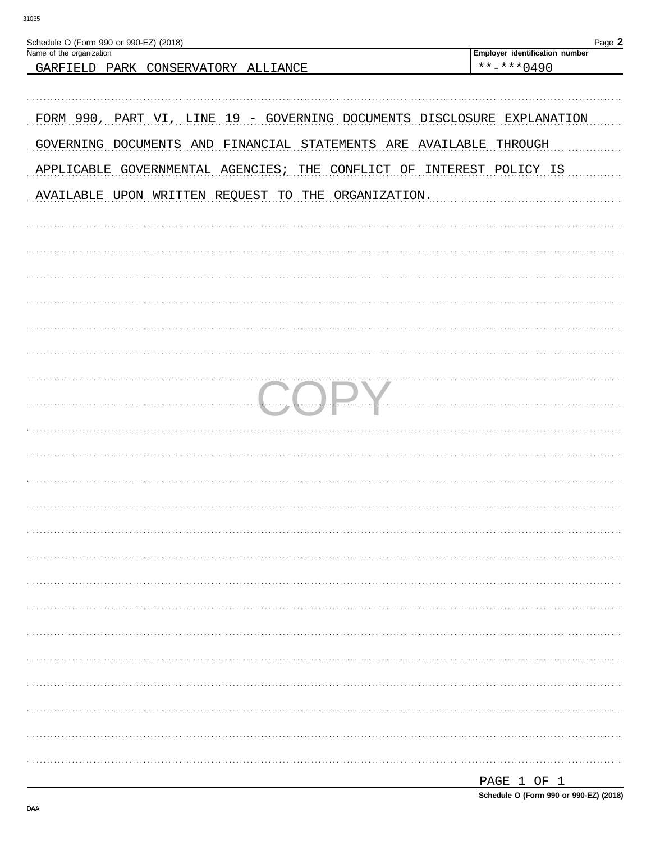| Schedule O (Form 990 or 990-EZ) (2018)<br>Name of the organization      | Page 2<br>Employer identification number |
|-------------------------------------------------------------------------|------------------------------------------|
| GARFIELD PARK CONSERVATORY ALLIANCE                                     | $***$ $***$ 0490                         |
| FORM 990, PART VI, LINE 19 - GOVERNING DOCUMENTS DISCLOSURE EXPLANATION |                                          |
| GOVERNING DOCUMENTS AND FINANCIAL STATEMENTS ARE AVAILABLE              | THROUGH                                  |
| APPLICABLE GOVERNMENTAL AGENCIES; THE                                   | CONFLICT OF INTEREST POLICY IS           |
| AVAILABLE UPON WRITTEN REQUEST TO THE ORGANIZATION.                     |                                          |
|                                                                         |                                          |
|                                                                         |                                          |
|                                                                         |                                          |
|                                                                         |                                          |
|                                                                         |                                          |
|                                                                         |                                          |
|                                                                         |                                          |
|                                                                         |                                          |
|                                                                         |                                          |
|                                                                         |                                          |
|                                                                         |                                          |
|                                                                         |                                          |
|                                                                         |                                          |
|                                                                         |                                          |
|                                                                         |                                          |
|                                                                         |                                          |
|                                                                         |                                          |
|                                                                         |                                          |
|                                                                         |                                          |
|                                                                         |                                          |
|                                                                         |                                          |
|                                                                         |                                          |
|                                                                         |                                          |
|                                                                         |                                          |
|                                                                         | PAGE 1 OF 1                              |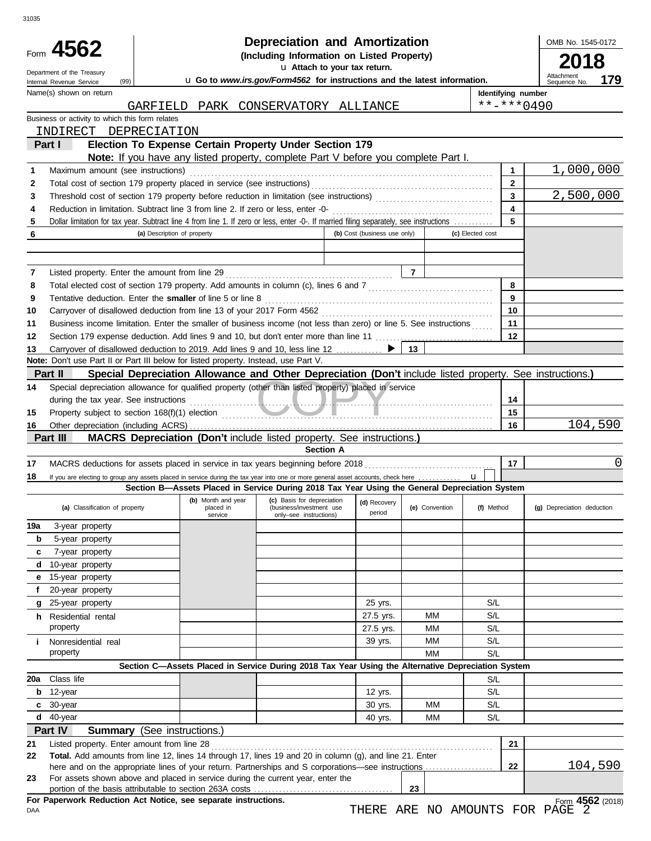|        | Form 4562<br>Department of the Treasury<br>(99)<br>Internal Revenue Service                                                             |                             | <b>Depreciation and Amortization</b><br>(Including Information on Listed Property)<br>u Go to www.irs.gov/Form4562 for instructions and the latest information. |                                                    | OMB No. 1545-0172<br>2018<br>Attachment<br>179<br>Sequence No.       |                |                  |                    |                            |
|--------|-----------------------------------------------------------------------------------------------------------------------------------------|-----------------------------|-----------------------------------------------------------------------------------------------------------------------------------------------------------------|----------------------------------------------------|----------------------------------------------------------------------|----------------|------------------|--------------------|----------------------------|
|        | Name(s) shown on return                                                                                                                 |                             |                                                                                                                                                                 |                                                    |                                                                      |                |                  | Identifying number |                            |
|        |                                                                                                                                         |                             | GARFIELD PARK CONSERVATORY ALLIANCE                                                                                                                             |                                                    |                                                                      |                |                  | $***$ $***$ 0490   |                            |
|        | Business or activity to which this form relates                                                                                         |                             |                                                                                                                                                                 |                                                    |                                                                      |                |                  |                    |                            |
|        | INDIRECT DEPRECIATION                                                                                                                   |                             |                                                                                                                                                                 |                                                    |                                                                      |                |                  |                    |                            |
|        | Part I                                                                                                                                  |                             | Election To Expense Certain Property Under Section 179<br>Note: If you have any listed property, complete Part V before you complete Part I.                    |                                                    |                                                                      |                |                  |                    |                            |
| 1      | Maximum amount (see instructions)                                                                                                       |                             |                                                                                                                                                                 |                                                    |                                                                      |                |                  | 1                  | 1,000,000                  |
| 2      | Total cost of section 179 property placed in service (see instructions)                                                                 |                             |                                                                                                                                                                 |                                                    |                                                                      |                |                  | 2                  |                            |
| 3      |                                                                                                                                         |                             |                                                                                                                                                                 |                                                    |                                                                      |                |                  | 3                  | 2,500,000                  |
| 4      | Reduction in limitation. Subtract line 3 from line 2. If zero or less, enter -0-                                                        |                             |                                                                                                                                                                 |                                                    |                                                                      |                |                  | 4                  |                            |
| 5      | Dollar limitation for tax year. Subtract line 4 from line 1. If zero or less, enter -0-. If married filing separately, see instructions |                             |                                                                                                                                                                 |                                                    |                                                                      |                |                  | 5                  |                            |
| 6      |                                                                                                                                         | (a) Description of property |                                                                                                                                                                 |                                                    | (b) Cost (business use only)                                         |                | (c) Elected cost |                    |                            |
|        |                                                                                                                                         |                             |                                                                                                                                                                 |                                                    |                                                                      |                |                  |                    |                            |
|        |                                                                                                                                         |                             |                                                                                                                                                                 |                                                    |                                                                      |                |                  |                    |                            |
| 7      | Listed property. Enter the amount from line 29                                                                                          |                             |                                                                                                                                                                 |                                                    |                                                                      | $\mathbf{7}$   |                  | 8                  |                            |
| 8<br>9 | Tentative deduction. Enter the smaller of line 5 or line 8                                                                              |                             |                                                                                                                                                                 |                                                    |                                                                      |                |                  | 9                  |                            |
| 10     |                                                                                                                                         |                             |                                                                                                                                                                 |                                                    |                                                                      |                |                  | 10                 |                            |
| 11     | Business income limitation. Enter the smaller of business income (not less than zero) or line 5. See instructions                       |                             |                                                                                                                                                                 |                                                    |                                                                      |                |                  | 11                 |                            |
| 12     | Section 179 expense deduction. Add lines 9 and 10, but don't enter more than line 11                                                    |                             |                                                                                                                                                                 |                                                    |                                                                      |                |                  | $12 \,$            |                            |
| 13     | Carryover of disallowed deduction to 2019. Add lines 9 and 10, less line 12                                                             |                             |                                                                                                                                                                 |                                                    |                                                                      | 13             |                  |                    |                            |
|        | Note: Don't use Part II or Part III below for listed property. Instead, use Part V.                                                     |                             |                                                                                                                                                                 |                                                    |                                                                      |                |                  |                    |                            |
|        | Part II                                                                                                                                 |                             | Special Depreciation Allowance and Other Depreciation (Don't include listed property. See instructions.)                                                        |                                                    |                                                                      |                |                  |                    |                            |
| 14     | Special depreciation allowance for qualified property (other than listed property) placed in service                                    |                             |                                                                                                                                                                 |                                                    |                                                                      |                |                  |                    |                            |
|        | during the tax year. See instructions                                                                                                   |                             |                                                                                                                                                                 |                                                    |                                                                      |                |                  | 14                 |                            |
| 15     | Property subject to section 168(f)(1) election <i>contract to the contract of the section</i> 168(f)(1) election                        |                             |                                                                                                                                                                 |                                                    |                                                                      |                |                  | 15                 |                            |
| 16     |                                                                                                                                         |                             |                                                                                                                                                                 |                                                    |                                                                      |                |                  | 16                 | 104,590                    |
|        | Part III                                                                                                                                |                             | <b>MACRS Depreciation (Don't include listed property. See instructions.)</b>                                                                                    |                                                    |                                                                      |                |                  |                    |                            |
|        |                                                                                                                                         |                             |                                                                                                                                                                 | <b>Section A</b>                                   |                                                                      |                |                  |                    |                            |
| 17     | MACRS deductions for assets placed in service in tax years beginning before 2018                                                        |                             |                                                                                                                                                                 |                                                    |                                                                      |                |                  | 17                 | O                          |
| 18     | If you are electing to group any assets placed in service during the tax year into one or more general asset accounts, check here       |                             |                                                                                                                                                                 |                                                    |                                                                      |                | u                |                    |                            |
|        |                                                                                                                                         |                             | Section B-Assets Placed in Service During 2018 Tax Year Using the General Depreciation System                                                                   |                                                    |                                                                      |                |                  |                    |                            |
|        | (a) Classification of property                                                                                                          |                             | placed in<br>service                                                                                                                                            | (business/investment use<br>only-see instructions) | (b) Month and year (c) Basis for depreciation (d) Recovery<br>period | (e) Convention | (f) Method       |                    | (g) Depreciation deduction |
| 19a    | 3-year property                                                                                                                         |                             |                                                                                                                                                                 |                                                    |                                                                      |                |                  |                    |                            |
| b      | 5-year property                                                                                                                         |                             |                                                                                                                                                                 |                                                    |                                                                      |                |                  |                    |                            |
| c      | 7-year property                                                                                                                         |                             |                                                                                                                                                                 |                                                    |                                                                      |                |                  |                    |                            |
| d      | 10-year property                                                                                                                        |                             |                                                                                                                                                                 |                                                    |                                                                      |                |                  |                    |                            |
| е      | 15-year property                                                                                                                        |                             |                                                                                                                                                                 |                                                    |                                                                      |                |                  |                    |                            |
| f      | 20-year property                                                                                                                        |                             |                                                                                                                                                                 |                                                    |                                                                      |                |                  |                    |                            |
| g      | 25-year property                                                                                                                        |                             |                                                                                                                                                                 |                                                    | 25 yrs.                                                              |                | S/L              |                    |                            |
|        | <b>h</b> Residential rental                                                                                                             |                             |                                                                                                                                                                 |                                                    | 27.5 yrs.                                                            | MМ             | S/L              |                    |                            |
|        | property                                                                                                                                |                             |                                                                                                                                                                 |                                                    | 27.5 yrs.                                                            | MМ             | S/L              |                    |                            |
| i.     | Nonresidential real<br>property                                                                                                         |                             |                                                                                                                                                                 |                                                    | 39 yrs.                                                              | MМ             | S/L              |                    |                            |
|        |                                                                                                                                         |                             |                                                                                                                                                                 |                                                    |                                                                      | MМ             | S/L              |                    |                            |
|        |                                                                                                                                         |                             | Section C-Assets Placed in Service During 2018 Tax Year Using the Alternative Depreciation System                                                               |                                                    |                                                                      |                |                  |                    |                            |
| 20a    | Class life                                                                                                                              |                             |                                                                                                                                                                 |                                                    |                                                                      |                | S/L              |                    |                            |
| b<br>c | 12-year<br>30-year                                                                                                                      |                             |                                                                                                                                                                 |                                                    | 12 yrs.<br>30 yrs.                                                   | МM             | S/L<br>S/L       |                    |                            |
| d      | 40-year                                                                                                                                 |                             |                                                                                                                                                                 |                                                    | 40 yrs.                                                              | мм             | S/L              |                    |                            |
|        | Part IV<br><b>Summary</b> (See instructions.)                                                                                           |                             |                                                                                                                                                                 |                                                    |                                                                      |                |                  |                    |                            |
| 21     | Listed property. Enter amount from line 28                                                                                              |                             |                                                                                                                                                                 |                                                    |                                                                      |                |                  | 21                 |                            |
| 22     | Total. Add amounts from line 12, lines 14 through 17, lines 19 and 20 in column (g), and line 21. Enter                                 |                             |                                                                                                                                                                 |                                                    |                                                                      |                |                  |                    |                            |
|        | here and on the appropriate lines of your return. Partnerships and S corporations—see instructions                                      |                             |                                                                                                                                                                 |                                                    |                                                                      |                |                  | 22                 | 104,590                    |
| 23     | For assets shown above and placed in service during the current year, enter the                                                         |                             |                                                                                                                                                                 |                                                    |                                                                      |                |                  |                    |                            |
|        | For Paperwork Reduction Act Notice, see separate instructions.                                                                          |                             |                                                                                                                                                                 |                                                    |                                                                      | 23             |                  |                    | Form 4562 (2018)           |
|        |                                                                                                                                         |                             |                                                                                                                                                                 |                                                    |                                                                      |                |                  |                    |                            |

Form **4562** (2018) THERE ARE NO AMOUNTS FOR PAGE 2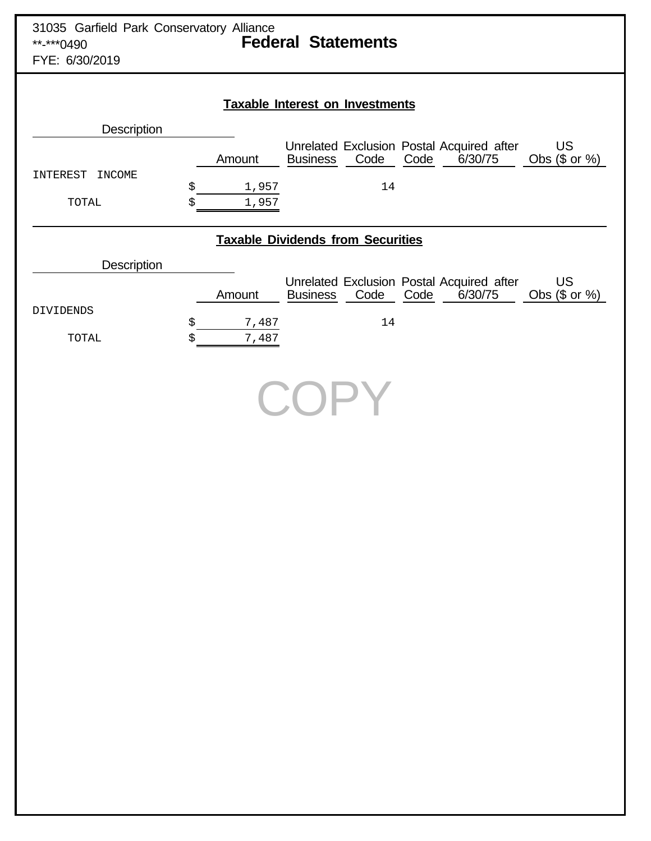| 31035 Garfield Park Conservatory Alliance<br>**-***0490<br>FYE: 6/30/2019 | <b>Federal Statements</b>                                                                                                                                           |
|---------------------------------------------------------------------------|---------------------------------------------------------------------------------------------------------------------------------------------------------------------|
|                                                                           | <b>Taxable Interest on Investments</b>                                                                                                                              |
| Description                                                               |                                                                                                                                                                     |
| INTEREST INCOME<br>TOTAL                                                  | Unrelated Exclusion Postal Acquired after<br><b>US</b><br>Code<br>Obs (\$ or %)<br>6/30/75<br>Amount<br><b>Business</b><br>Code<br>\$<br>14<br>1,957<br>1,957<br>\$ |
|                                                                           | <b>Taxable Dividends from Securities</b>                                                                                                                            |
| Description                                                               |                                                                                                                                                                     |
| <b>DIVIDENDS</b>                                                          | Unrelated Exclusion Postal Acquired after<br><b>US</b><br>Code<br>Obs (\$ or %)<br>6/30/75<br><b>Business</b><br>Code<br>Amount                                     |
| TOTAL                                                                     | \$<br>14<br>7,487<br>7,487<br>\$                                                                                                                                    |
|                                                                           | COPY                                                                                                                                                                |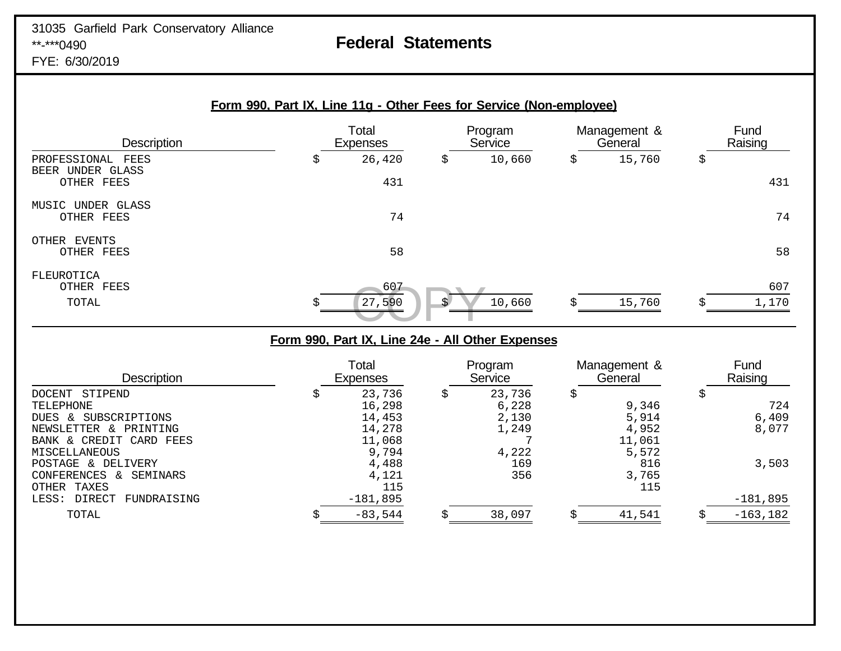# **Federal Statements**

FYE: 6/30/2019

|                                                           | Form 990, Part IX, Line 11g - Other Fees for Service (Non-employee) |                          |    |                    |                         |    |                 |
|-----------------------------------------------------------|---------------------------------------------------------------------|--------------------------|----|--------------------|-------------------------|----|-----------------|
| <b>Description</b>                                        |                                                                     | Total<br><b>Expenses</b> |    | Program<br>Service | Management &<br>General |    | Fund<br>Raising |
| PROFESSIONAL<br>FEES<br>UNDER GLASS<br>BEER<br>OTHER FEES | \$                                                                  | 26,420<br>431            | \$ | 10,660             | \$<br>15,760            | \$ | 431             |
| MUSIC UNDER GLASS<br>OTHER FEES                           |                                                                     | 74                       |    |                    |                         |    | 74              |
| EVENTS<br>OTHER<br>OTHER FEES                             |                                                                     | 58                       |    |                    |                         |    | 58              |
| FLEUROTICA<br>OTHER FEES<br>TOTAL                         | \$                                                                  | 607<br>27,590            | S. | 10,660             | 15,760                  | S  | 607<br>1,170    |

# **Form 990, Part IX, Line 24e - All Other Expenses**

| <b>Description</b>                  | Total<br><b>Expenses</b> |   | Program<br>Service | Management &<br>General | Fund<br>Raising |
|-------------------------------------|--------------------------|---|--------------------|-------------------------|-----------------|
| DOCENT STIPEND                      | 23,736                   | Ş | 23,736             |                         |                 |
| TELEPHONE                           | 16,298                   |   | 6,228              | 9,346                   | 724             |
| SUBSCRIPTIONS<br>DUES &             | 14,453                   |   | 2,130              | 5,914                   | 6,409           |
| PRINTING<br>NEWSLETTER<br>$\lambda$ | 14,278                   |   | 1,249              | 4,952                   | 8,077           |
| BANK & CREDIT CARD FEES             | 11,068                   |   |                    | 11,061                  |                 |
| MISCELLANEOUS                       | 9,794                    |   | 4,222              | 5,572                   |                 |
| POSTAGE & DELIVERY                  | 4,488                    |   | 169                | 816                     | 3,503           |
| CONFERENCES<br>SEMINARS<br>$\delta$ | 4,121                    |   | 356                | 3,765                   |                 |
| TAXES<br>OTHER                      | 115                      |   |                    | 115                     |                 |
| DIRECT<br>FUNDRAISING<br>LESS:      | $-181,895$               |   |                    |                         | $-181,895$      |
| TOTAL                               | $-83,544$                | S | 38,097             | 41,541                  | $-163, 182$     |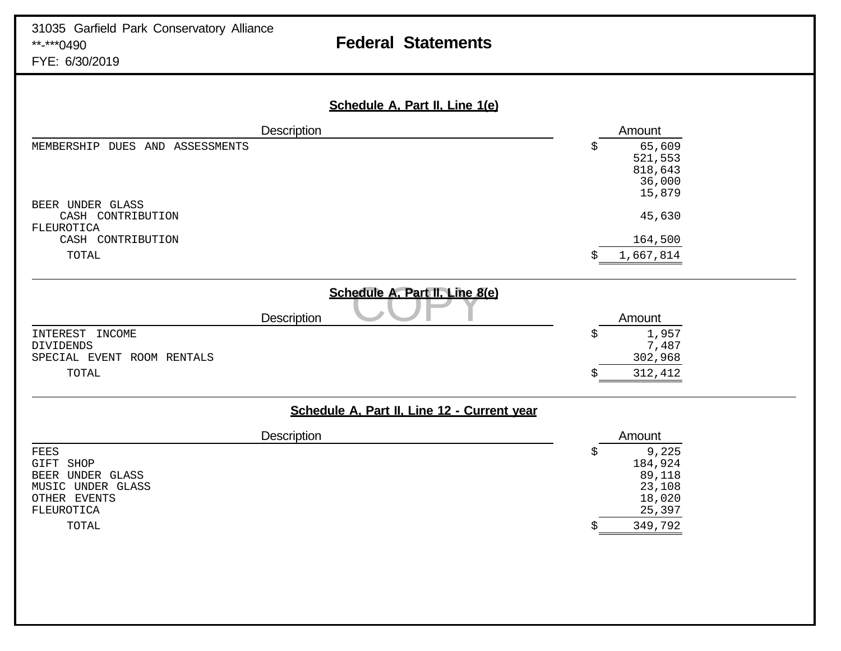# 31035 Garfield Park Conservatory Alliance<br>\*\*-\*\*\*0490

# **Federal Statements**

FYE: 6/30/2019

| Schedule A, Part II, Line 1(e)                                             |                                                      |
|----------------------------------------------------------------------------|------------------------------------------------------|
| <b>Description</b>                                                         | Amount                                               |
| MEMBERSHIP DUES AND ASSESSMENTS                                            | 65,609<br>\$<br>521,553<br>818,643                   |
| BEER UNDER GLASS                                                           | 36,000<br>15,879                                     |
| CASH CONTRIBUTION<br>FLEUROTICA                                            | 45,630                                               |
| CASH CONTRIBUTION                                                          | 164,500                                              |
| TOTAL                                                                      | 1,667,814                                            |
| Schedule A, Part II, Line 8(e)<br>Description                              | Amount                                               |
| INTEREST<br>INCOME                                                         | 1,957<br>\$                                          |
| DIVIDENDS<br>SPECIAL EVENT ROOM RENTALS                                    | 7,487<br>302,968                                     |
| TOTAL                                                                      | 312,412                                              |
| Schedule A, Part II, Line 12 - Current year                                |                                                      |
| Description                                                                | Amount                                               |
| FEES<br>GIFT SHOP<br>BEER UNDER GLASS<br>MUSIC UNDER GLASS<br>OTHER EVENTS | 9,225<br>\$<br>184,924<br>89,118<br>23,108<br>18,020 |
| FLEUROTICA<br>TOTAL                                                        | 25,397<br>349,792                                    |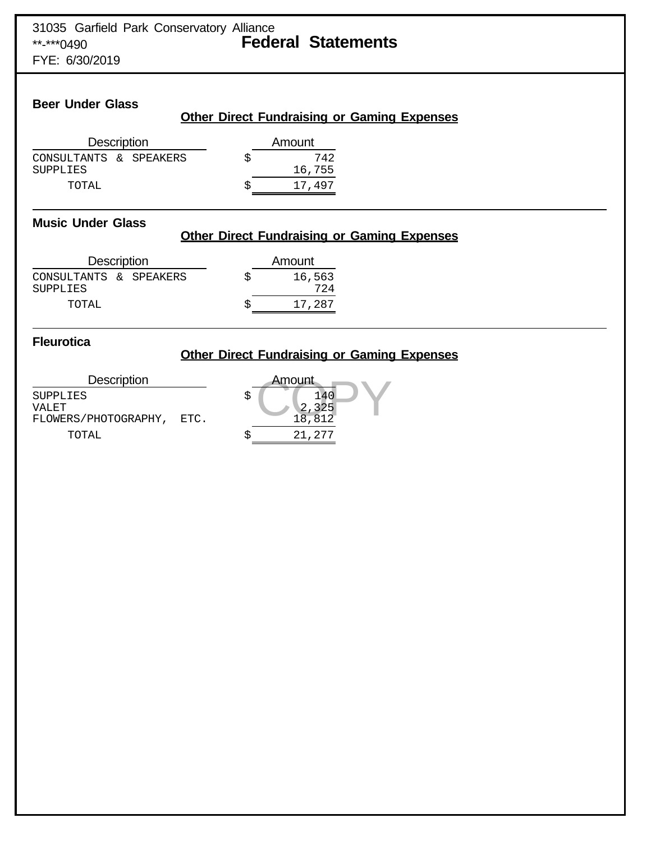FYE: 6/30/2019

## **Beer Under Glass**

## **Other Direct Fundraising or Gaming Expenses**

| <b>Description</b>                        |  |  | Amount        |
|-------------------------------------------|--|--|---------------|
| CONSULTANTS & SPEAKERS<br><b>SUPPLIES</b> |  |  | 742<br>16,755 |
| TOTAL                                     |  |  | 17.497        |

## **Music Under Glass**

# **Other Direct Fundraising or Gaming Expenses**

| <b>Description</b>                        |  |  | Amount        |
|-------------------------------------------|--|--|---------------|
| CONSULTANTS & SPEAKERS<br><b>SUPPLIES</b> |  |  | 16,563<br>724 |
| TOTAL                                     |  |  | 17,287        |

## **Fleurotica**

## **Other Direct Fundraising or Gaming Expenses**

Description  $\begin{tabular}{ll} \multicolumn{2}{c}{\text{SupPLIES}}\\ \multicolumn{2}{c}{\text{VALET}}\\ \multicolumn{2}{c}{\text{VALET}}\\ \end{tabular}$ VALET 2,325 FLOWERS/PHOTOGRAPHY, ETC. TOTAL  $\zeta$  21,2

| Amount                   |  |
|--------------------------|--|
| 140<br>$2,325$<br>18,812 |  |
| 21,277                   |  |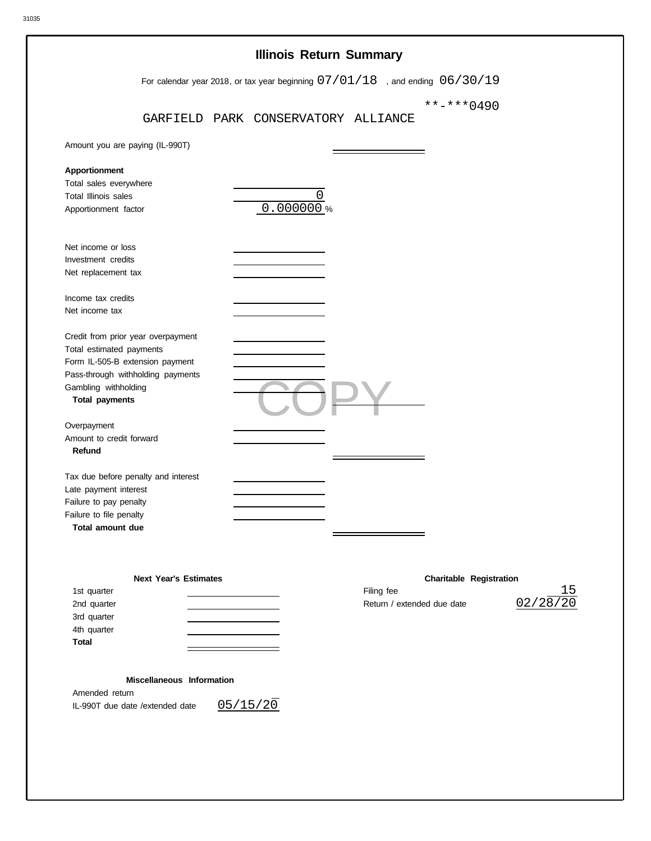| Amount you are paying (IL-990T)<br>Apportionment<br>Total sales everywhere<br>Total Illinois sales<br>Apportionment factor<br>Net income or loss<br>Investment credits<br>Net replacement tax<br>Income tax credits<br>Net income tax<br>Credit from prior year overpayment | GARFIELD PARK CONSERVATORY ALLIANCE | 0.000000% | 0 |            | For calendar year 2018, or tax year beginning $07/01/18$ , and ending $06/30/19$<br>**-***0490 |          |
|-----------------------------------------------------------------------------------------------------------------------------------------------------------------------------------------------------------------------------------------------------------------------------|-------------------------------------|-----------|---|------------|------------------------------------------------------------------------------------------------|----------|
|                                                                                                                                                                                                                                                                             |                                     |           |   |            |                                                                                                |          |
|                                                                                                                                                                                                                                                                             |                                     |           |   |            |                                                                                                |          |
|                                                                                                                                                                                                                                                                             |                                     |           |   |            |                                                                                                |          |
|                                                                                                                                                                                                                                                                             |                                     |           |   |            |                                                                                                |          |
|                                                                                                                                                                                                                                                                             |                                     |           |   |            |                                                                                                |          |
|                                                                                                                                                                                                                                                                             |                                     |           |   |            |                                                                                                |          |
|                                                                                                                                                                                                                                                                             |                                     |           |   |            |                                                                                                |          |
|                                                                                                                                                                                                                                                                             |                                     |           |   |            |                                                                                                |          |
|                                                                                                                                                                                                                                                                             |                                     |           |   |            |                                                                                                |          |
|                                                                                                                                                                                                                                                                             |                                     |           |   |            |                                                                                                |          |
|                                                                                                                                                                                                                                                                             |                                     |           |   |            |                                                                                                |          |
|                                                                                                                                                                                                                                                                             |                                     |           |   |            |                                                                                                |          |
|                                                                                                                                                                                                                                                                             |                                     |           |   |            |                                                                                                |          |
|                                                                                                                                                                                                                                                                             |                                     |           |   |            |                                                                                                |          |
| Total estimated payments                                                                                                                                                                                                                                                    |                                     |           |   |            |                                                                                                |          |
| Form IL-505-B extension payment<br>Pass-through withholding payments                                                                                                                                                                                                        |                                     |           |   |            |                                                                                                |          |
| Gambling withholding                                                                                                                                                                                                                                                        |                                     |           |   |            |                                                                                                |          |
| <b>Total payments</b>                                                                                                                                                                                                                                                       |                                     |           |   |            |                                                                                                |          |
| Overpayment                                                                                                                                                                                                                                                                 |                                     |           |   |            |                                                                                                |          |
| Amount to credit forward                                                                                                                                                                                                                                                    |                                     |           |   |            |                                                                                                |          |
| Refund                                                                                                                                                                                                                                                                      |                                     |           |   |            |                                                                                                |          |
| Tax due before penalty and interest                                                                                                                                                                                                                                         |                                     |           |   |            |                                                                                                |          |
| Late payment interest                                                                                                                                                                                                                                                       |                                     |           |   |            |                                                                                                |          |
| Failure to pay penalty                                                                                                                                                                                                                                                      |                                     |           |   |            |                                                                                                |          |
| Failure to file penalty<br><b>Total amount due</b>                                                                                                                                                                                                                          |                                     |           |   |            |                                                                                                |          |
|                                                                                                                                                                                                                                                                             |                                     |           |   |            |                                                                                                |          |
|                                                                                                                                                                                                                                                                             |                                     |           |   |            |                                                                                                |          |
| 1st quarter                                                                                                                                                                                                                                                                 | <b>Next Year's Estimates</b>        |           |   | Filing fee | <b>Charitable Registration</b>                                                                 | 15       |
| 2nd quarter                                                                                                                                                                                                                                                                 |                                     |           |   |            | Return / extended due date                                                                     | 02/28/20 |
| 3rd quarter                                                                                                                                                                                                                                                                 |                                     |           |   |            |                                                                                                |          |
| 4th quarter                                                                                                                                                                                                                                                                 |                                     |           |   |            |                                                                                                |          |

## **Miscellaneous Information**

Amended return IL-990T due date /extended date

 $05/15/20$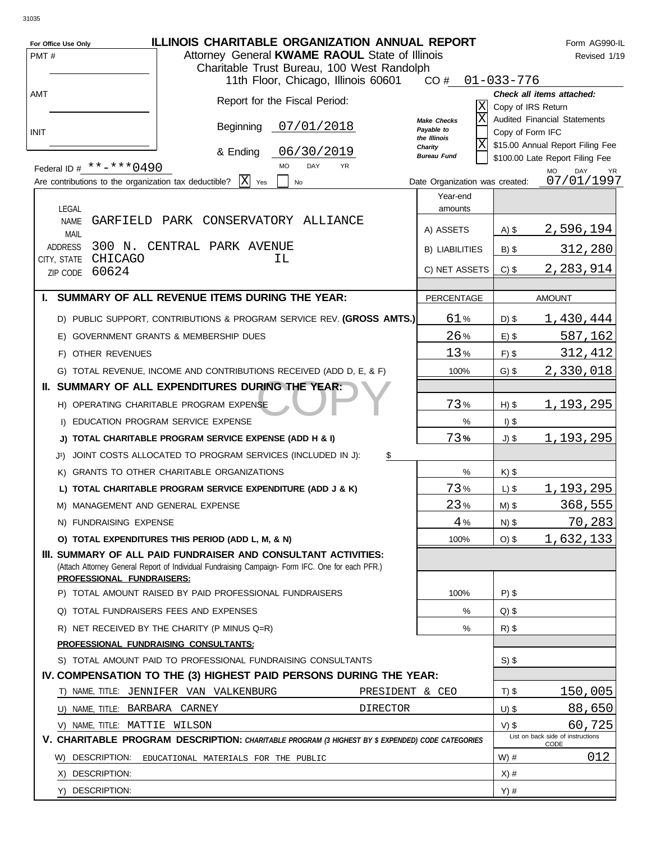| For Office Use Only<br>PMT#                                                       | <b>ILLINOIS CHARITABLE ORGANIZATION ANNUAL REPORT</b><br>Attorney General KWAME RAOUL State of Illinois<br>Charitable Trust Bureau, 100 West Randolph              |                 |                                              |                    | Form AG990-IL<br>Revised 1/19                                    |
|-----------------------------------------------------------------------------------|--------------------------------------------------------------------------------------------------------------------------------------------------------------------|-----------------|----------------------------------------------|--------------------|------------------------------------------------------------------|
|                                                                                   | 11th Floor, Chicago, Illinois 60601                                                                                                                                |                 | CO#                                          | $01 - 033 - 776$   |                                                                  |
| AMT                                                                               | Report for the Fiscal Period:                                                                                                                                      |                 | ΙX<br>ΙX<br>Make Checks                      | Copy of IRS Return | Check all items attached:<br><b>Audited Financial Statements</b> |
| <b>INIT</b>                                                                       | 07/01/2018<br>Beginning                                                                                                                                            |                 | Payable to<br>the Illinois<br> X <br>Charity | Copy of Form IFC   | \$15.00 Annual Report Filing Fee                                 |
|                                                                                   | 06/30/2019<br>& Ending<br><b>MO</b><br>DAY<br><b>YR</b>                                                                                                            |                 | <b>Bureau Fund</b>                           |                    | \$100.00 Late Report Filing Fee                                  |
| Federal ID # **-*** 0490<br>Are contributions to the organization tax deductible? | IXI<br>Yes<br>No                                                                                                                                                   |                 | Date Organization was created:               |                    | <b>MO</b><br>DAY<br>YR<br>07/01/1997                             |
|                                                                                   |                                                                                                                                                                    |                 | Year-end                                     |                    |                                                                  |
| LEGAL                                                                             |                                                                                                                                                                    |                 | amounts                                      |                    |                                                                  |
| <b>NAME</b><br><b>MAIL</b>                                                        | GARFIELD PARK CONSERVATORY ALLIANCE                                                                                                                                |                 | A) ASSETS                                    | $A)$ \$            | 2,596,194                                                        |
| 300 N.<br><b>ADDRESS</b>                                                          | CENTRAL PARK AVENUE                                                                                                                                                |                 | <b>B) LIABILITIES</b>                        | $B)$ \$            | 312,280                                                          |
| CHICAGO<br>CITY, STATE                                                            | ΙL                                                                                                                                                                 |                 |                                              |                    |                                                                  |
| 60624<br>ZIP CODE                                                                 |                                                                                                                                                                    |                 | C) NET ASSETS                                | $C)$ \$            | 2,283,914                                                        |
|                                                                                   | I. SUMMARY OF ALL REVENUE ITEMS DURING THE YEAR:                                                                                                                   |                 | PERCENTAGE                                   |                    | <b>AMOUNT</b>                                                    |
|                                                                                   | D) PUBLIC SUPPORT, CONTRIBUTIONS & PROGRAM SERVICE REV. (GROSS AMTS.)                                                                                              |                 | 61%                                          | $D)$ \$            | 1,430,444                                                        |
|                                                                                   | E) GOVERNMENT GRANTS & MEMBERSHIP DUES                                                                                                                             |                 | 26%                                          | $E)$ \$            | 587,162                                                          |
| F) OTHER REVENUES                                                                 |                                                                                                                                                                    |                 | 13%                                          | $F)$ \$            | 312,412                                                          |
|                                                                                   | G) TOTAL REVENUE, INCOME AND CONTRIBUTIONS RECEIVED (ADD D, E, & F)                                                                                                |                 | 100%                                         | $G)$ \$            | 2,330,018                                                        |
|                                                                                   | II. SUMMARY OF ALL EXPENDITURES DURING THE YEAR:                                                                                                                   |                 |                                              |                    |                                                                  |
|                                                                                   | H) OPERATING CHARITABLE PROGRAM EXPENSE                                                                                                                            |                 | 73%                                          | $H)$ \$            | 1,193,295                                                        |
|                                                                                   | I) EDUCATION PROGRAM SERVICE EXPENSE                                                                                                                               |                 | %                                            | $I)$ \$            |                                                                  |
|                                                                                   | J) TOTAL CHARITABLE PROGRAM SERVICE EXPENSE (ADD H & I)                                                                                                            |                 | 73%                                          | J) \$              | 1, 193, 295                                                      |
| J1)                                                                               | JOINT COSTS ALLOCATED TO PROGRAM SERVICES (INCLUDED IN J):                                                                                                         | \$              |                                              |                    |                                                                  |
| K)                                                                                | <b>GRANTS TO OTHER CHARITABLE ORGANIZATIONS</b>                                                                                                                    |                 | %                                            | $K)$ \$            |                                                                  |
|                                                                                   | L) TOTAL CHARITABLE PROGRAM SERVICE EXPENDITURE (ADD J & K)                                                                                                        |                 | 73%                                          | $L)$ \$            | 1,193,295                                                        |
|                                                                                   | M) MANAGEMENT AND GENERAL EXPENSE                                                                                                                                  |                 | 23%                                          | $M)$ \$            | 368,555                                                          |
| N) FUNDRAISING EXPENSE                                                            |                                                                                                                                                                    |                 | 4%                                           | $N)$ \$            | 70,283                                                           |
|                                                                                   | O) TOTAL EXPENDITURES THIS PERIOD (ADD L, M, & N)                                                                                                                  |                 | 100%                                         | $O)$ \$            | 1,632,133                                                        |
| PROFESSIONAL FUNDRAISERS:                                                         | III. SUMMARY OF ALL PAID FUNDRAISER AND CONSULTANT ACTIVITIES:<br>(Attach Attorney General Report of Individual Fundraising Campaign- Form IFC. One for each PFR.) |                 |                                              |                    |                                                                  |
|                                                                                   | P) TOTAL AMOUNT RAISED BY PAID PROFESSIONAL FUNDRAISERS                                                                                                            |                 | 100%                                         | $P$ ) \$           |                                                                  |
|                                                                                   | Q) TOTAL FUNDRAISERS FEES AND EXPENSES                                                                                                                             |                 | %                                            | $Q$ ) \$           |                                                                  |
|                                                                                   | R) NET RECEIVED BY THE CHARITY (P MINUS Q=R)                                                                                                                       |                 | $\%$                                         | $R)$ \$            |                                                                  |
|                                                                                   | PROFESSIONAL FUNDRAISING CONSULTANTS:                                                                                                                              |                 |                                              |                    |                                                                  |
|                                                                                   | S) TOTAL AMOUNT PAID TO PROFESSIONAL FUNDRAISING CONSULTANTS                                                                                                       |                 |                                              | $S)$ \$            |                                                                  |
|                                                                                   | IV. COMPENSATION TO THE (3) HIGHEST PAID PERSONS DURING THE YEAR:                                                                                                  |                 |                                              |                    |                                                                  |
|                                                                                   | T) NAME, TITLE: JENNIFER VAN VALKENBURG                                                                                                                            | PRESIDENT & CEO |                                              | $T)$ \$            | 150,005                                                          |
| U) NAME, TITLE: BARBARA CARNEY                                                    |                                                                                                                                                                    | <b>DIRECTOR</b> |                                              | $U)$ \$            | 88,650                                                           |
| V) NAME, TITLE: MATTIE WILSON                                                     |                                                                                                                                                                    |                 |                                              | $V)$ \$            | 60,725<br>List on back side of instructions                      |
|                                                                                   | V. CHARITABLE PROGRAM DESCRIPTION: CHARITABLE PROGRAM (3 HIGHEST BY \$ EXPENDED) CODE CATEGORIES                                                                   |                 |                                              |                    | CODE                                                             |
| W) DESCRIPTION:                                                                   | EDUCATIONAL MATERIALS FOR THE PUBLIC                                                                                                                               |                 |                                              | $W)$ #             | 012                                                              |
| X) DESCRIPTION:                                                                   |                                                                                                                                                                    |                 |                                              | $X)$ #             |                                                                  |
| Y) DESCRIPTION:                                                                   |                                                                                                                                                                    |                 |                                              | $Y)$ #             |                                                                  |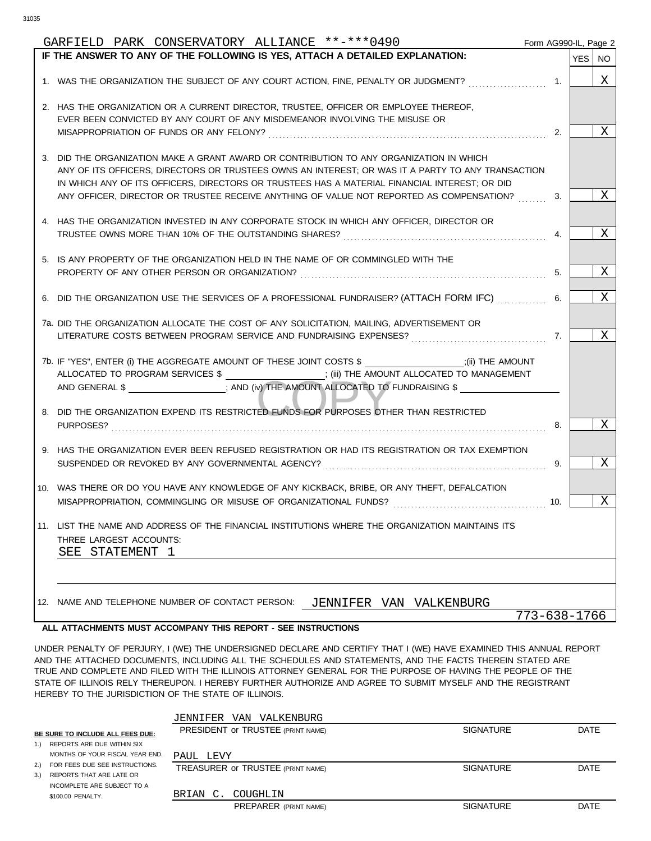| GARFIELD PARK CONSERVATORY ALLIANCE **-***0490                                                                | Form AG990-IL, Page 2 |          |
|---------------------------------------------------------------------------------------------------------------|-----------------------|----------|
| IF THE ANSWER TO ANY OF THE FOLLOWING IS YES, ATTACH A DETAILED EXPLANATION:                                  |                       | YES   NO |
| 1. WAS THE ORGANIZATION THE SUBJECT OF ANY COURT ACTION, FINE, PENALTY OR JUDGMENT?                           | 1.                    | Χ        |
|                                                                                                               |                       |          |
| 2. HAS THE ORGANIZATION OR A CURRENT DIRECTOR, TRUSTEE, OFFICER OR EMPLOYEE THEREOF,                          |                       |          |
| EVER BEEN CONVICTED BY ANY COURT OF ANY MISDEMEANOR INVOLVING THE MISUSE OR                                   | 2.                    | Χ        |
|                                                                                                               |                       |          |
| 3. DID THE ORGANIZATION MAKE A GRANT AWARD OR CONTRIBUTION TO ANY ORGANIZATION IN WHICH                       |                       |          |
| ANY OF ITS OFFICERS, DIRECTORS OR TRUSTEES OWNS AN INTEREST; OR WAS IT A PARTY TO ANY TRANSACTION             |                       |          |
| IN WHICH ANY OF ITS OFFICERS, DIRECTORS OR TRUSTEES HAS A MATERIAL FINANCIAL INTEREST; OR DID                 |                       |          |
| ANY OFFICER, DIRECTOR OR TRUSTEE RECEIVE ANYTHING OF VALUE NOT REPORTED AS COMPENSATION?                      | 3.                    | Χ        |
| 4. HAS THE ORGANIZATION INVESTED IN ANY CORPORATE STOCK IN WHICH ANY OFFICER, DIRECTOR OR                     |                       |          |
|                                                                                                               | 4.                    | Χ        |
|                                                                                                               |                       |          |
| 5. IS ANY PROPERTY OF THE ORGANIZATION HELD IN THE NAME OF OR COMMINGLED WITH THE                             |                       |          |
|                                                                                                               | 5.                    | Χ        |
|                                                                                                               |                       |          |
| 6. DID THE ORGANIZATION USE THE SERVICES OF A PROFESSIONAL FUNDRAISER? (ATTACH FORM IFC)                      | 6.                    | Χ        |
|                                                                                                               |                       |          |
| 7a. DID THE ORGANIZATION ALLOCATE THE COST OF ANY SOLICITATION, MAILING, ADVERTISEMENT OR                     |                       | Χ        |
|                                                                                                               | 7.                    |          |
| 7b. IF "YES", ENTER (i) THE AGGREGATE AMOUNT OF THESE JOINT COSTS \$ ____________________;(ii) THE AMOUNT     |                       |          |
| ALLOCATED TO PROGRAM SERVICES \$ ___________________; (iii) THE AMOUNT ALLOCATED TO MANAGEMENT                |                       |          |
| AND GENERAL \$ __________________; AND (iv) THE AMOUNT ALLOCATED TO FUNDRAISING \$                            |                       |          |
|                                                                                                               |                       |          |
| 8. DID THE ORGANIZATION EXPEND ITS RESTRICTED FUNDS FOR PURPOSES OTHER THAN RESTRICTED                        |                       |          |
|                                                                                                               | 8.                    | Χ        |
|                                                                                                               |                       |          |
| 9. HAS THE ORGANIZATION EVER BEEN REFUSED REGISTRATION OR HAD ITS REGISTRATION OR TAX EXEMPTION               |                       |          |
| SUSPENDED OR REVOKED BY ANY GOVERNMENTAL AGENCY? Mathematics and according the subsequent of the SUSPENDED OR | 9.                    | Χ        |
|                                                                                                               |                       |          |
| 10. WAS THERE OR DO YOU HAVE ANY KNOWLEDGE OF ANY KICKBACK, BRIBE, OR ANY THEFT, DEFALCATION                  |                       |          |
|                                                                                                               | 10.                   | Χ        |
| 11. LIST THE NAME AND ADDRESS OF THE FINANCIAL INSTITUTIONS WHERE THE ORGANIZATION MAINTAINS ITS              |                       |          |
| THREE LARGEST ACCOUNTS:                                                                                       |                       |          |
| SEE STATEMENT 1                                                                                               |                       |          |
|                                                                                                               |                       |          |
|                                                                                                               |                       |          |
|                                                                                                               |                       |          |
| 12. NAME AND TELEPHONE NUMBER OF CONTACT PERSON:<br>JENNIFER VAN VALKENBURG                                   |                       |          |
|                                                                                                               | 773-638-1766          |          |
| ALL ATTACHMENTS MUST ACCOMPANY THIS REPORT - SEE INSTRUCTIONS                                                 |                       |          |

UNDER PENALTY OF PERJURY, I (WE) THE UNDERSIGNED DECLARE AND CERTIFY THAT I (WE) HAVE EXAMINED THIS ANNUAL REPORT AND THE ATTACHED DOCUMENTS, INCLUDING ALL THE SCHEDULES AND STATEMENTS, AND THE FACTS THEREIN STATED ARE TRUE AND COMPLETE AND FILED WITH THE ILLINOIS ATTORNEY GENERAL FOR THE PURPOSE OF HAVING THE PEOPLE OF THE STATE OF ILLINOIS RELY THEREUPON. I HEREBY FURTHER AUTHORIZE AND AGREE TO SUBMIT MYSELF AND THE REGISTRANT HEREBY TO THE JURISDICTION OF THE STATE OF ILLINOIS.

|                                    | JENNIFER VAN VALKENBURG           |                  |      |
|------------------------------------|-----------------------------------|------------------|------|
| BE SURE TO INCLUDE ALL FEES DUE:   | PRESIDENT OF TRUSTEE (PRINT NAME) | <b>SIGNATURE</b> | DATE |
| 1.) REPORTS ARE DUE WITHIN SIX     |                                   |                  |      |
| MONTHS OF YOUR FISCAL YEAR END.    | PAUL LEVY                         |                  |      |
| 2.) FOR FEES DUE SEE INSTRUCTIONS. | TREASURER OF TRUSTEE (PRINT NAME) | <b>SIGNATURE</b> | DATE |
| 3.) REPORTS THAT ARE LATE OR       |                                   |                  |      |
| INCOMPLETE ARE SUBJECT TO A        |                                   |                  |      |
| \$100.00 PENALTY.                  | BRIAN C.<br>COUGHLIN              |                  |      |
|                                    | PREPARER (PRINT NAME)             | <b>SIGNATURE</b> | DATE |